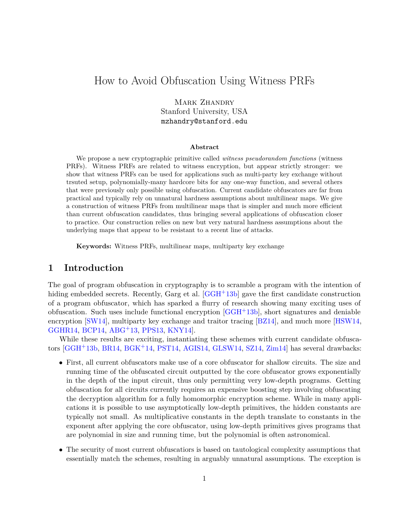# How to Avoid Obfuscation Using Witness PRFs

MARK ZHANDRY Stanford University, USA mzhandry@stanford.edu

#### **Abstract**

We propose a new cryptographic primitive called *witness pseudorandom functions* (witness PRFs). Witness PRFs are related to witness encryption, but appear strictly stronger: we show that witness PRFs can be used for applications such as multi-party key exchange without trsuted setup, polynomially-many hardcore bits for any one-way function, and several others that were previously only possible using obfuscation. Current candidate obfuscators are far from practical and typically rely on unnatural hardness assumptions about multilinear maps. We give a construction of witness PRFs from multilinear maps that is simpler and much more efficient than current obfuscation candidates, thus bringing several applications of obfuscation closer to practice. Our construction relies on new but very natural hardness assumptions about the underlying maps that appear to be resistant to a recent line of attacks.

**Keywords:** Witness PRFs, multilinear maps, multiparty key exchange

## **1 Introduction**

The goal of program obfuscation in cryptography is to scramble a program with the intention of hiding embedded secrets. Recently, Garg et al. [\[GGH](#page-48-0)+13b] gave the first candidate construction of a program obfuscator, which has sparked a flurry of research showing many exciting uses of obfuscation. Such uses include functional encryption  $[GGH<sup>+</sup>13b]$  $[GGH<sup>+</sup>13b]$ , short signatures and deniable encryption [\[SW14\]](#page-50-0), multiparty key exchange and traitor tracing [\[BZ14\]](#page-48-1), and much more [\[HSW14,](#page-49-0) [GGHR14,](#page-48-2) [BCP14,](#page-47-0) [ABG](#page-47-1)+13, [PPS13,](#page-50-1) [KNY14\]](#page-49-1).

While these results are exciting, instantiating these schemes with current candidate obfuscators [\[GGH](#page-48-0)+13b, [BR14,](#page-47-2) [BGK](#page-47-3)+14, [PST14,](#page-50-2) [AGIS14,](#page-47-4) [GLSW14,](#page-49-2) [SZ14,](#page-50-3) [Zim14\]](#page-50-4) has several drawbacks:

- First, all current obfuscators make use of a core obfuscator for shallow circuits. The size and running time of the obfuscated circuit outputted by the core obfuscator grows exponentially in the depth of the input circuit, thus only permitting very low-depth programs. Getting obfuscation for all circuits currently requires an expensive boosting step involving obfuscating the decryption algorithm for a fully homomorphic encryption scheme. While in many applications it is possible to use asymptotically low-depth primitives, the hidden constants are typically not small. As multiplicative constants in the depth translate to constants in the exponent after applying the core obfuscator, using low-depth primitives gives programs that are polynomial in size and running time, but the polynomial is often astronomical.
- The security of most current obfuscatiors is based on tautological complexity assumptions that essentially match the schemes, resulting in arguably unnatural assumptions. The exception is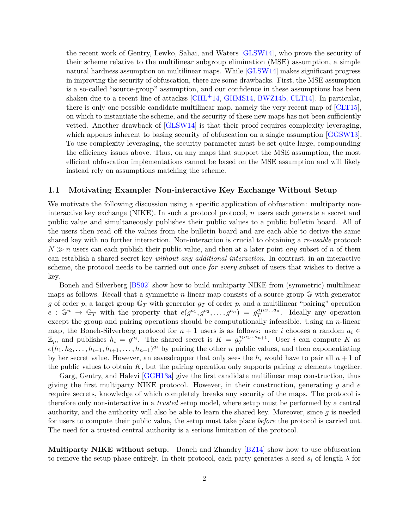the recent work of Gentry, Lewko, Sahai, and Waters [\[GLSW14\]](#page-49-2), who prove the security of their scheme relative to the multilinear subgroup elimination (MSE) assumption, a simple natural hardness assumption on multilinear maps. While [\[GLSW14\]](#page-49-2) makes significant progress in improving the security of obfuscation, there are some drawbacks. First, the MSE assumption is a so-called "source-group" assumption, and our confidence in these assumptions has been shaken due to a recent line of attackss  $\left[ \text{CHL}^{+}14, \text{GHMS14}, \text{BWZ14b}, \text{CLT14} \right]$ . In particular, there is only one possible candidate multilinear map, namely the very recent map of [\[CLT15\]](#page-48-6), on which to instantiate the scheme, and the security of these new maps has not been sufficiently vetted. Another drawback of [\[GLSW14\]](#page-49-2) is that their proof requires complexity leveraging, which appears inherent to basing security of obfuscation on a single assumption [\[GGSW13\]](#page-49-4). To use complexity leveraging, the security parameter must be set quite large, compounding the efficiency issues above. Thus, on any maps that support the MSE assumption, the most efficient obfuscation implementations cannot be based on the MSE assumption and will likely instead rely on assumptions matching the scheme.

#### **1.1 Motivating Example: Non-interactive Key Exchange Without Setup**

We motivate the following discussion using a specific application of obfuscation: multiparty noninteractive key exchange (NIKE). In such a protocol protocol, *n* users each generate a secret and public value and simultaneously publishes their public values to a public bulletin board. All of the users then read off the values from the bulletin board and are each able to derive the same shared key with no further interaction. Non-interaction is crucial to obtaining a *re-usable* protocol:  $N \gg n$  users can each publish their public value, and then at a later point *any* subset of *n* of them can establish a shared secret key *without any additional interaction*. In contrast, in an interactive scheme, the protocol needs to be carried out once *for every* subset of users that wishes to derive a key.

Boneh and Silverberg [\[BS02\]](#page-47-5) show how to build multiparty NIKE from (symmetric) multilinear maps as follows. Recall that a symmetric *n*-linear map consists of a source group G with generator *g* of order *p*, a target group  $\mathbb{G}_T$  with generator  $g_T$  of order *p*, and a multilinear "pairing" operation  $e: \mathbb{G}^n \to \mathbb{G}_T$  with the property that  $e(g^{a_1}, g^{a_2}, \ldots, g^{a_n}) = g_T^{a_1 a_2 \ldots a_n}$ . Ideally any operation except the group and pairing operations should be computationally infeasible. Using an *n*-linear map, the Boneh-Silverberg protocol for  $n + 1$  users is as follows: user *i* chooses a random  $a_i \in$  $\mathbb{Z}_p$ , and publishes  $h_i = g^{a_i}$ . The shared secret is  $K = g_T^{a_1 a_2 ... a_{n+1}}$  $T^{a_1a_2...a_{n+1}}$ . User *i* can compute *K* as  $e(h_1, h_2, \ldots, h_{i-1}, h_{i+1}, \ldots, h_{n+1})^{a_i}$  by pairing the other *n* public values, and then exponentiating by her secret value. However, an eavesdropper that only sees the  $h_i$  would have to pair all  $n + 1$  of the public values to obtain *K*, but the pairing operation only supports pairing *n* elements together.

Garg, Gentry, and Halevi [\[GGH13a\]](#page-48-7) give the first candidate multilinear map construction, thus giving the first multiparty NIKE protocol. However, in their construction, generating *g* and *e* require secrets, knowledge of which completely breaks any security of the maps. The protocol is therefore only non-interactive in a *trusted* setup model, where setup must be performed by a central authority, and the authority will also be able to learn the shared key. Moreover, since *g* is needed for users to compute their public value, the setup must take place *before* the protocol is carried out. The need for a trusted central authority is a serious limitation of the protocol.

**Multiparty NIKE without setup.** Boneh and Zhandry [\[BZ14\]](#page-48-1) show how to use obfuscation to remove the setup phase entirely. In their protocol, each party generates a seed  $s_i$  of length  $\lambda$  for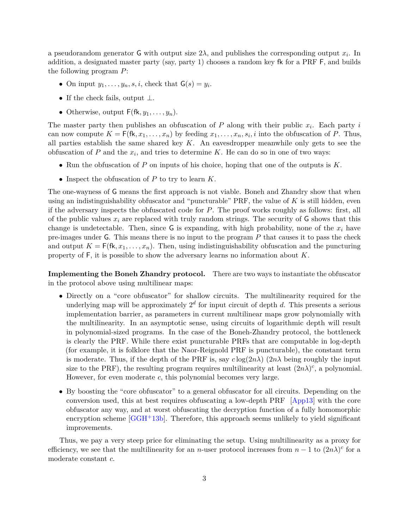a pseudorandom generator **G** with output size  $2\lambda$ , and publishes the corresponding output  $x_i$ . In addition, a designated master party (say, party 1) chooses a random key fk for a PRF F, and builds the following program *P*:

- On input  $y_1, \ldots, y_n, s, i$ , check that  $\mathsf{G}(s) = y_i$ .
- If the check fails, output  $\perp$ .
- Otherwise, output  $F(fk, y_1, \ldots, y_n)$ .

The master party then publishes an obfuscation of  $P$  along with their public  $x_i$ . Each party  $i$ can now compute  $K = F(\mathsf{fk}, x_1, \ldots, x_n)$  by feeding  $x_1, \ldots, x_n, s_i, i$  into the obfuscation of *P*. Thus, all parties establish the same shared key *K*. An eavesdropper meanwhile only gets to see the obfuscation of  $P$  and the  $x_i$ , and tries to determine  $K$ . He can do so in one of two ways:

- Run the obfuscation of *P* on inputs of his choice, hoping that one of the outputs is *K*.
- Inspect the obfuscation of *P* to try to learn *K*.

The one-wayness of G means the first approach is not viable. Boneh and Zhandry show that when using an indistinguishability obfuscator and "puncturable" PRF, the value of *K* is still hidden, even if the adversary inspects the obfuscated code for *P*. The proof works roughly as follows: first, all of the public values  $x_i$  are replaced with truly random strings. The security of  $\mathsf G$  shows that this change is undetectable. Then, since  $G$  is expanding, with high probability, none of the  $x_i$  have pre-images under G. This means there is no input to the program *P* that causes it to pass the check and output  $K = F(fk, x_1, \ldots, x_n)$ . Then, using indistinguishability obfuscation and the puncturing property of F, it is possible to show the adversary learns no information about *K*.

**Implementing the Boneh Zhandry protocol.** There are two ways to instantiate the obfuscator in the protocol above using multilinear maps:

- Directly on a "core obfuscator" for shallow circuits. The multilinearity required for the underlying map will be approximately 2 *d* for input circuit of depth *d*. This presents a serious implementation barrier, as parameters in current multilinear maps grow polynomially with the multilinearity. In an asymptotic sense, using circuits of logarithmic depth will result in polynomial-sized programs. In the case of the Boneh-Zhandry protocol, the bottleneck is clearly the PRF. While there exist puncturable PRFs that are computable in log-depth (for example, it is folklore that the Naor-Reignold PRF is puncturable), the constant term is moderate. Thus, if the depth of the PRF is, say  $c \log(2n\lambda)$  ( $2n\lambda$  being roughly the input size to the PRF), the resulting program requires multilinearity at least  $(2n\lambda)^c$ , a polynomial. However, for even moderate *c*, this polynomial becomes very large.
- By boosting the "core obfuscator" to a general obfuscator for all circuits. Depending on the conversion used, this at best requires obfuscating a low-depth PRF [\[App13\]](#page-47-6) with the core obfuscator any way, and at worst obfuscating the decryption function of a fully homomorphic encryption scheme  $[GGH^+13b]$  $[GGH^+13b]$ . Therefore, this approach seems unlikely to yield significant improvements.

Thus, we pay a very steep price for eliminating the setup. Using multilinearity as a proxy for efficiency, we see that the multilinearity for an *n*-user protocol increases from  $n-1$  to  $(2n\lambda)^c$  for a moderate constant *c*.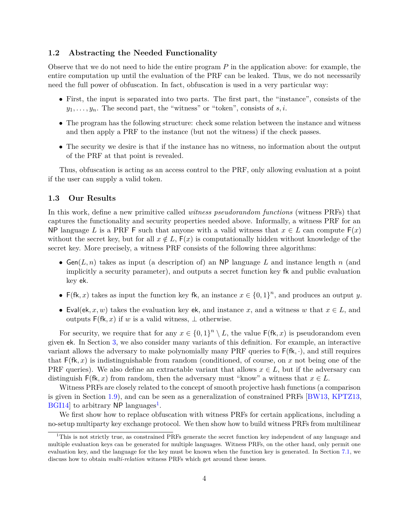## **1.2 Abstracting the Needed Functionality**

Observe that we do not need to hide the entire program *P* in the application above: for example, the entire computation up until the evaluation of the PRF can be leaked. Thus, we do not necessarily need the full power of obfuscation. In fact, obfuscation is used in a very particular way:

- First, the input is separated into two parts. The first part, the "instance", consists of the  $y_1, \ldots, y_n$ . The second part, the "witness" or "token", consists of *s, i*.
- The program has the following structure: check some relation between the instance and witness and then apply a PRF to the instance (but not the witness) if the check passes.
- The security we desire is that if the instance has no witness, no information about the output of the PRF at that point is revealed.

Thus, obfuscation is acting as an access control to the PRF, only allowing evaluation at a point if the user can supply a valid token.

## **1.3 Our Results**

In this work, define a new primitive called *witness pseudorandom functions* (witness PRFs) that captures the functionality and security properties needed above. Informally, a witness PRF for an NP language *L* is a PRF F such that anyone with a valid witness that  $x \in L$  can compute  $F(x)$ without the secret key, but for all  $x \notin L$ ,  $F(x)$  is computationally hidden without knowledge of the secret key. More precisely, a witness PRF consists of the following three algorithms:

- Gen( $L, n$ ) takes as input (a description of) an NP language  $L$  and instance length  $n$  (and implicitly a security parameter), and outputs a secret function key fk and public evaluation key ek.
- F(fk, x) takes as input the function key fk, an instance  $x \in \{0,1\}^n$ , and produces an output y.
- Eval(ek, x, w) takes the evaluation key ek, and instance x, and a witness w that  $x \in L$ , and outputs  $F(fk, x)$  if *w* is a valid witness,  $\perp$  otherwise.

For security, we require that for any  $x \in \{0,1\}^n \setminus L$ , the value  $\mathsf{F}(\mathsf{fk}, x)$  is pseudorandom even given ek. In Section [3,](#page-15-0) we also consider many variants of this definition. For example, an interactive variant allows the adversary to make polynomially many PRF queries to F(fk*,* ·), and still requires that  $F(fk, x)$  is indistinguishable from random (conditioned, of course, on x not being one of the PRF queries). We also define an extractable variant that allows  $x \in L$ , but if the adversary can distinguish  $\mathsf{F}(\mathsf{fk}, x)$  from random, then the adversary must "know" a witness that  $x \in L$ .

Witness PRFs are closely related to the concept of smooth projective hash functions (a comparison is given in Section [1.9\)](#page-11-0), and can be seen as a generalization of constrained PRFs [\[BW13,](#page-48-8) [KPTZ13,](#page-49-5)  $\text{BGI14}$  $\text{BGI14}$  $\text{BGI14}$  to arbitrary NP languages<sup>1</sup>.

We first show how to replace obfuscation with witness PRFs for certain applications, including a no-setup multiparty key exchange protocol. We then show how to build witness PRFs from multilinear

<span id="page-3-0"></span> $1$ This is not strictly true, as constrained PRFs generate the secret function key independent of any language and multiple evaluation keys can be generated for multiple languages. Witness PRFs, on the other hand, only permit one evaluation key, and the language for the key must be known when the function key is generated. In Section [7.1,](#page-43-0) we discuss how to obtain *multi-relation* witness PRFs which get around these issues.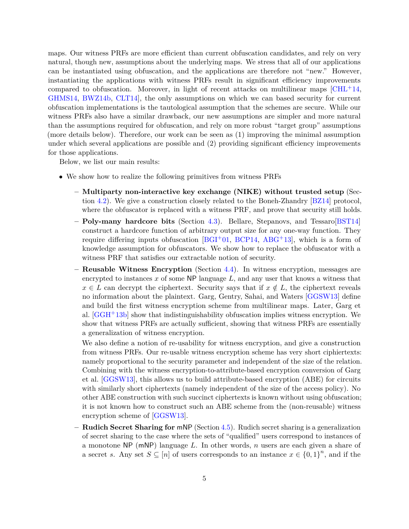maps. Our witness PRFs are more efficient than current obfuscation candidates, and rely on very natural, though new, assumptions about the underlying maps. We stress that all of our applications can be instantiated using obfuscation, and the applications are therefore not "new." However, instantiating the applications with witness PRFs result in significant efficiency improvements compared to obfuscation. Moreover, in light of recent attacks on multilinear maps  $\lbrack \text{CHL}^+14, \rbrack$ [GHMS14,](#page-49-3) [BWZ14b,](#page-48-4) [CLT14\]](#page-48-5), the only assumptions on which we can based security for current obfuscation implementations is the tautological assumption that the schemes are secure. While our witness PRFs also have a similar drawback, our new assumptions are simpler and more natural than the assumptions required for obfuscation, and rely on more robust "target group" assumptions (more details below). Therefore, our work can be seen as (1) improving the minimal assumption under which several applications are possible and (2) providing significant efficiency improvements for those applications.

Below, we list our main results:

- We show how to realize the following primitives from witness PRFs
	- **– Multiparty non-interactive key exchange (NIKE) without trusted setup** (Section [4.2\)](#page-20-0). We give a construction closely related to the Boneh-Zhandry [\[BZ14\]](#page-48-1) protocol, where the obfuscator is replaced with a witness PRF, and prove that security still holds.
	- **– Poly-many hardcore bits** (Section [4.3\)](#page-22-0). Bellare, Stepanovs, and Tessaro[\[BST14\]](#page-47-8) construct a hardcore function of arbitrary output size for any one-way function. They require differing inputs obfuscation [\[BGI](#page-47-9)+01, [BCP14,](#page-47-0) [ABG](#page-47-1)+13], which is a form of knowledge assumption for obfuscators. We show how to replace the obfuscator with a witness PRF that satisfies our extractable notion of security.
	- **– Reusable Witness Encryption** (Section [4.4\)](#page-23-0). In witness encryption, messages are encrypted to instances  $x$  of some NP language  $L$ , and any user that knows a witness that  $x \in L$  can decrypt the ciphertext. Security says that if  $x \notin L$ , the ciphertext reveals no information about the plaintext. Garg, Gentry, Sahai, and Waters [\[GGSW13\]](#page-49-4) define and build the first witness encryption scheme from multilinear maps. Later, Garg et al. [\[GGH](#page-48-0)+13b] show that indistinguishability obfuscation implies witness encryption. We show that witness PRFs are actually sufficient, showing that witness PRFs are essentially a generalization of witness encryption.

We also define a notion of re-usability for witness encryption, and give a construction from witness PRFs. Our re-usable witness encryption scheme has very short ciphiertexts: namely proportional to the security parameter and independent of the size of the relation. Combining with the witness encryption-to-attribute-based encryption conversion of Garg et al. [\[GGSW13\]](#page-49-4), this allows us to build attribute-based encryption (ABE) for circuits with similarly short ciphertexts (namely independent of the size of the access policy). No other ABE construction with such succinct ciphertexts is known without using obfuscation; it is not known how to construct such an ABE scheme from the (non-reusable) witness encryption scheme of [\[GGSW13\]](#page-49-4).

**– Rudich Secret Sharing for** mNP (Section [4.5\)](#page-26-0). Rudich secret sharing is a generalization of secret sharing to the case where the sets of "qualified" users correspond to instances of a monotone NP (mNP) language *L*. In other words, *n* users are each given a share of a secret *s*. Any set  $S \subseteq [n]$  of users corresponds to an instance  $x \in \{0,1\}^n$ , and if the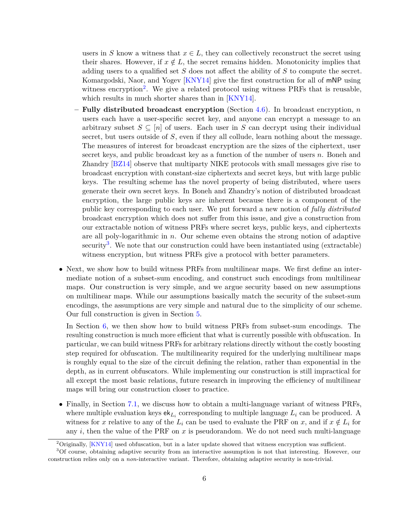users in *S* know a witness that  $x \in L$ , they can collectively reconstruct the secret using their shares. However, if  $x \notin L$ , the secret remains hidden. Monotonicity implies that adding users to a qualified set *S* does not affect the ability of *S* to compute the secret. Komargodski, Naor, and Yogev [\[KNY14\]](#page-49-1) give the first construction for all of mNP using witness encryption<sup>[2](#page-5-0)</sup>. We give a related protocol using witness PRFs that is reusable, which results in much shorter shares than in [\[KNY14\]](#page-49-1).

- **– Fully distributed broadcast encryption** (Section [4.6\)](#page-28-0). In broadcast encryption, *n* users each have a user-specific secret key, and anyone can encrypt a message to an arbitrary subset  $S \subseteq [n]$  of users. Each user in *S* can decrypt using their individual secret, but users outside of *S*, even if they all collude, learn nothing about the message. The measures of interest for broadcast encryption are the sizes of the ciphertext, user secret keys, and public broadcast key as a function of the number of users *n*. Boneh and Zhandry [\[BZ14\]](#page-48-1) observe that multiparty NIKE protocols with small messages give rise to broadcast encryption with constant-size ciphertexts and secret keys, but with large public keys. The resulting scheme has the novel property of being distributed, where users generate their own secret keys. In Boneh and Zhandry's notion of distributed broadcast encryption, the large public keys are inherent because there is a component of the public key corresponding to each user. We put forward a new notion of *fully distributed* broadcast encryption which does not suffer from this issue, and give a construction from our extractable notion of witness PRFs where secret keys, public keys, and ciphertexts are all poly-logarithmic in *n*. Our scheme even obtains the strong notion of adaptive security<sup>[3](#page-5-1)</sup>. We note that our construction could have been instantiated using (extractable) witness encryption, but witness PRFs give a protocol with better parameters.
- Next, we show how to build witness PRFs from multilinear maps. We first define an intermediate notion of a subset-sum encoding, and construct such encodings from multilinear maps. Our construction is very simple, and we argue security based on new assumptions on multilinear maps. While our assumptions basically match the security of the subset-sum encodings, the assumptions are very simple and natural due to the simplicity of our scheme. Our full construction is given in Section [5.](#page-33-0)

In Section [6,](#page-36-0) we then show how to build witness PRFs from subset-sum encodings. The resulting construction is much more efficient that what is currently possible with obfuscation. In particular, we can build witness PRFs for arbitrary relations directly without the costly boosting step required for obfuscation. The multilinearity required for the underlying multilinear maps is roughly equal to the size of the circuit defining the relation, rather than exponential in the depth, as in current obfuscators. While implementing our construction is still impractical for all except the most basic relations, future research in improving the efficiency of multilinear maps will bring our construction closer to practice.

• Finally, in Section [7.1,](#page-43-0) we discuss how to obtain a multi-language variant of witness PRFs, where multiple evaluation keys  $ek_{L_i}$  corresponding to multiple language  $L_i$  can be produced. A witness for *x* relative to any of the  $L_i$  can be used to evaluate the PRF on *x*, and if  $x \notin L_i$  for any  $i$ , then the value of the PRF on  $x$  is pseudorandom. We do not need such multi-language

<span id="page-5-1"></span><span id="page-5-0"></span> $2$ Originally, [\[KNY14\]](#page-49-1) used obfuscation, but in a later update showed that witness encryption was sufficient.

<sup>3</sup>Of course, obtaining adaptive security from an interactive assumption is not that interesting. However, our construction relies only on a *non*-interactive variant. Therefore, obtaining adaptive security is non-trivial.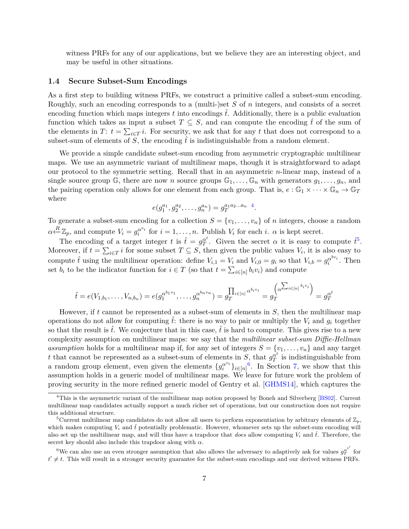witness PRFs for any of our applications, but we believe they are an interesting object, and may be useful in other situations.

#### **1.4 Secure Subset-Sum Encodings**

As a first step to building witness PRFs, we construct a primitive called a subset-sum encoding. Roughly, such an encoding corresponds to a (multi-)set *S* of *n* integers, and consists of a secret encoding function which maps integers  $t$  into encodings  $\hat{t}$ . Additionally, there is a public evaluation function which takes as input a subset  $T \subseteq S$ , and can compute the encoding  $\hat{t}$  of the sum of the elements in *T*:  $t = \sum_{i \in T} i$ . For security, we ask that for any *t* that does not correspond to a subset-sum of elements of *S*, the encoding  $\hat{t}$  is indistinguishable from a random element.

We provide a simple candidate subset-sum encoding from asymmetric cryptographic multilinear maps. We use an asymmetric variant of multilinear maps, though it is straightforward to adapt our protocol to the symmetric setting. Recall that in an asymmetric *n*-linear map, instead of a single source group  $\mathbb{G}$ , there are now *n* source groups  $\mathbb{G}_1, \ldots, \mathbb{G}_n$  with generators  $g_1, \ldots, g_n$ , and the pairing operation only allows for one element from each group. That is,  $e : \mathbb{G}_1 \times \cdots \times \mathbb{G}_n \to \mathbb{G}_T$ where

$$
e(g_1^{a_1}, g_2^{a_2}, \dots, g_n^{a_n}) = g_T^{a_1 a_2 \dots a_n}.
$$

To generate a subset-sum encoding for a collection  $S = \{v_1, \ldots, v_n\}$  of *n* integers, choose a random  $\alpha \stackrel{R}{\longleftarrow} \mathbb{Z}_p$ , and compute  $V_i = g_i^{\alpha^{v_i}}$  $a^{v_i}$  for  $i = 1, \ldots, n$ . Publish  $V_i$  for each  $i$ .  $\alpha$  is kept secret.

The encoding of a target integer *t* is  $\hat{t} = g_T^{\alpha t}$  $T$ <sup>*t*</sup>. Given the secret *α* it is easy to compute  $\hat{t}^5$  $\hat{t}^5$ . Moreover, if  $t = \sum_{i \in T} i$  for some subset  $T \subseteq S$ , then given the public values  $V_i$ , it is also easy to compute  $\hat{t}$  using the multilinear operation: define  $V_{i,1} = V_i$  and  $V_{i,0} = g_i$  so that  $V_{i,b} = g_i^{\alpha^{bv_i}}$  $\frac{\alpha^{ov_i}}{i}$ . Then set  $b_i$  to be the indicator function for  $i \in T$  (so that  $t = \sum_{i \in [n]} b_i v_i$ ) and compute

$$
\hat{t} = e(V_{1,b_1}, \dots, V_{n,b_n}) = e(g_1^{\alpha^{b_1 v_1}}, \dots, g_n^{\alpha^{b_n v_n}}) = g_T^{\prod_{i \in [n]} \alpha^{b_i v_i}} = g_T^{(\alpha^{(\sum_{i \in [n]} b_i v_i)})} = g_T^{\alpha^t}
$$

However, if *t* cannot be represented as a subset-sum of elements in *S*, then the multilinear map operations do not allow for computing  $\hat{t}$ : there is no way to pair or multiply the  $V_i$  and  $q_i$  together so that the result is  $\hat{t}$ . We conjecture that in this case,  $\hat{t}$  is hard to compute. This gives rise to a new complexity assumption on multilinear maps: we say that the *multilinear subset-sum Diffie-Hellman assumption* holds for a multilinear map if, for any set of integers  $S = \{v_1, \ldots, v_n\}$  and any target *t* that cannot be represented as a subset-sum of elements in  $S$ , that  $g_T^{\alpha t}$  $T$ <sup>*a*</sup> is indistinguishable from a random group element, even given the elements  $\{g_i^{\alpha^{v_i}}\}$  $a^{v_i}$ <sub>*i*</sub> $\in$ [*n*]<sup>[6](#page-6-2)</sup>. In Section [7,](#page-41-0) we show that this assumption holds in a generic model of multilinear maps. We leave for future work the problem of proving security in the more refined generic model of Gentry et al. [\[GHMS14\]](#page-49-3), which captures the

<span id="page-6-0"></span><sup>4</sup>This is the asymmetric variant of the multilinear map notion proposed by Boneh and Silverberg [\[BS02\]](#page-47-5). Current multilinear map candidates actually support a much richer set of operations, but our construction does not require this additional structure.

<span id="page-6-1"></span><sup>&</sup>lt;sup>5</sup>Current multilinear map candidates do not allow all users to perform exponentiation by arbitrary elements of  $\mathbb{Z}_p$ , which makes computing  $V_i$  and  $\hat{t}$  potentially problematic. However, whomever sets up the subset-sum encoding will also set up the multilinear map, and will thus have a trapdoor that *does* allow computing  $V_i$  and  $\hat{t}$ . Therefore, the secret key should also include this trapdoor along with *α*.

<span id="page-6-2"></span><sup>&</sup>lt;sup>6</sup>We can also use an even stronger assumption that also allows the adversary to adaptively ask for values  $g_T^{\alpha t'}$  for  $t' \neq t$ . This will result in a stronger security guarantee for the subset-sum encodings and our derived witness PRFs.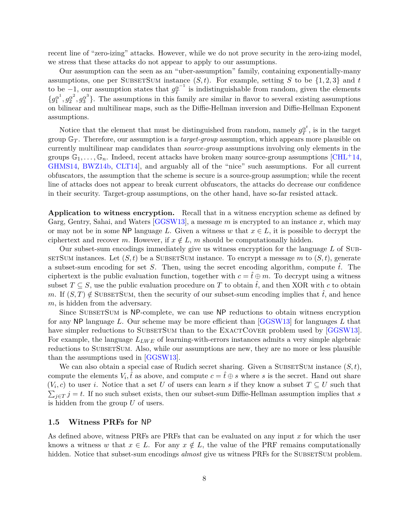recent line of "zero-izing" attacks. However, while we do not prove security in the zero-izing model, we stress that these attacks do not appear to apply to our assumptions.

Our assumption can the seen as an "uber-assumption" family, containing exponentially-many assumptions, one per SUBSETSUM instance  $(S, t)$ . For example, setting *S* to be  $\{1, 2, 3\}$  and *t* to be  $-1$ , our assumption states that  $g_T^{\alpha^{-1}}$  is indistinguishable from random, given the elements  ${g_1^{\alpha^1}, g_2^{\alpha^2}, g_3^{\alpha^3}}$ . The assumptions in this family are similar in flavor to several existing assumptions on bilinear and multilinear maps, such as the Diffie-Hellman inversion and Diffie-Hellman Exponent assumptions.

Notice that the element that must be distinguished from random, namely  $g_T^{\alpha^t}$  $T^{\alpha}$ , is in the target group G*<sup>T</sup>* . Therefore, our assumption is a *target-group* assumption, which appears more plausible on currently multilinear map candidates than *source-group* assumptions involving only elements in the groups  $\mathbb{G}_1,\ldots,\mathbb{G}_n$ . Indeed, recent attacks have broken many source-group assumptions  $\lbrack \text{CHL}^+14, \rbrack$ [GHMS14,](#page-49-3) [BWZ14b,](#page-48-4) [CLT14\]](#page-48-5), and arguably all of the "nice" such assumptions. For all current obfuscators, the assumption that the scheme is secure is a source-group assumption; while the recent line of attacks does not appear to break current obfuscators, the attacks do decrease our confidence in their security. Target-group assumptions, on the other hand, have so-far resisted attack.

**Application to witness encryption.** Recall that in a witness encryption scheme as defined by Garg, Gentry, Sahai, and Waters [\[GGSW13\]](#page-49-4), a message *m* is encrypted to an instance *x*, which may or may not be in some NP language L. Given a witness w that  $x \in L$ , it is possible to decrypt the ciphertext and recover *m*. However, if  $x \notin L$ , *m* should be computationally hidden.

Our subset-sum encodings immediately give us witness encryption for the language *L* of Subset Sum instances. Let  $(S, t)$  be a SUBSET SUM instance. To encrypt a message m to  $(S, t)$ , generate a subset-sum encoding for set *S*. Then, using the secret encoding algorithm, compute  $\hat{t}$ . The ciphertext is the public evaluation function, together with  $c = \hat{t} \oplus m$ . To decrypt using a witness subset  $T \subseteq S$ , use the public evaluation procedure on *T* to obtain  $\hat{t}$ , and then XOR with *c* to obtain *m*. If  $(S, T) \notin \text{SUBSETSum}$ , then the security of our subset-sum encoding implies that  $\hat{t}$ , and hence *m*, is hidden from the adversary.

Since SUBSETSUM is NP-complete, we can use NP reductions to obtain witness encryption for any NP language *L*. Our scheme may be more efficient than [\[GGSW13\]](#page-49-4) for languages *L* that have simpler reductions to SUBSETSUM than to the EXACTCOVER problem used by [\[GGSW13\]](#page-49-4). For example, the language  $L_{LWE}$  of learning-with-errors instances admits a very simple algebraic reductions to SUBSETSUM. Also, while our assumptions are new, they are no more or less plausible than the assumptions used in [\[GGSW13\]](#page-49-4).

We can also obtain a special case of Rudich secret sharing. Given a SUBSETSUM instance  $(S, t)$ , compute the elements  $V_i$ ,  $\hat{t}$  as above, and compute  $c = \hat{t} \oplus s$  where *s* is the secret. Hand out share  $(V_i, c)$  to user *i*. Notice that a set *U* of users can learn *s* if they know a subset  $T \subseteq U$  such that  $\sum_{j\in T} j = t$ . If no such subset exists, then our subset-sum Diffie-Hellman assumption implies that *s* is hidden from the group *U* of users.

## **1.5 Witness PRFs for** NP

As defined above, witness PRFs are PRFs that can be evaluated on any input *x* for which the user knows a witness *w* that  $x \in L$ . For any  $x \notin L$ , the value of the PRF remains computationally hidden. Notice that subset-sum encodings *almost* give us witness PRFs for the SUBSETSUM problem.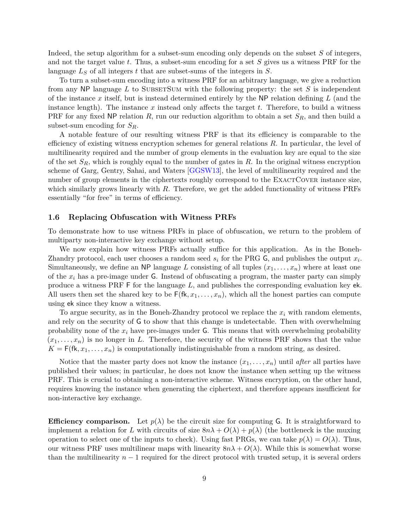Indeed, the setup algorithm for a subset-sum encoding only depends on the subset *S* of integers, and not the target value *t*. Thus, a subset-sum encoding for a set *S* gives us a witness PRF for the language *L<sup>S</sup>* of all integers *t* that are subset-sums of the integers in *S*.

To turn a subset-sum encoding into a witness PRF for an arbitrary language, we give a reduction from any NP language  $L$  to SUBSETSUM with the following property: the set  $S$  is independent of the instance *x* itself, but is instead determined entirely by the NP relation defining *L* (and the instance length). The instance *x* instead only affects the target *t*. Therefore, to build a witness PRF for any fixed NP relation *R*, run our reduction algorithm to obtain a set *SR*, and then build a subset-sum encoding for *SR*.

A notable feature of our resulting witness PRF is that its efficiency is comparable to the efficiency of existing witness encryption schemes for general relations *R*. In particular, the level of multilinearity required and the number of group elements in the evaluation key are equal to the size of the set *SR*, which is roughly equal to the number of gates in *R*. In the original witness encryption scheme of Garg, Gentry, Sahai, and Waters [\[GGSW13\]](#page-49-4), the level of multilinearity required and the number of group elements in the ciphertexts roughly correspond to the EXACTCOVER instance size, which similarly grows linearly with *R*. Therefore, we get the added functionality of witness PRFs essentially "for free" in terms of efficiency.

#### **1.6 Replacing Obfuscation with Witness PRFs**

To demonstrate how to use witness PRFs in place of obfuscation, we return to the problem of multiparty non-interactive key exchange without setup.

We now explain how witness PRFs actually suffice for this application. As in the Boneh-Zhandry protocol, each user chooses a random seed  $s_i$  for the PRG  $\mathsf{G}$ , and publishes the output  $x_i$ . Simultaneously, we define an NP language *L* consisting of all tuples  $(x_1, \ldots, x_n)$  where at least one of the  $x_i$  has a pre-image under  $\mathsf G$ . Instead of obfuscating a program, the master party can simply produce a witness PRF F for the language *L*, and publishes the corresponding evaluation key ek. All users then set the shared key to be  $F(fk, x_1, \ldots, x_n)$ , which all the honest parties can compute using ek since they know a witness.

To argue security, as in the Boneh-Zhandry protocol we replace the *x<sup>i</sup>* with random elements, and rely on the security of G to show that this change is undetectable. Then with overwhelming probability none of the *x<sup>i</sup>* have pre-images under G. This means that with overwhelming probability  $(x_1, \ldots, x_n)$  is no longer in L. Therefore, the security of the witness PRF shows that the value  $K = F(fk, x_1, \ldots, x_n)$  is computationally indistinguishable from a random string, as desired.

Notice that the master party does not know the instance  $(x_1, \ldots, x_n)$  until *after* all parties have published their values; in particular, he does not know the instance when setting up the witness PRF. This is crucial to obtaining a non-interactive scheme. Witness encryption, on the other hand, requires knowing the instance when generating the ciphertext, and therefore appears insufficient for non-interactive key exchange.

**Efficiency comparison.** Let  $p(\lambda)$  be the circuit size for computing G. It is straightforward to implement a relation for *L* with circuits of size  $8n\lambda + O(\lambda) + p(\lambda)$  (the bottleneck is the muxing operation to select one of the inputs to check). Using fast PRGs, we can take  $p(\lambda) = O(\lambda)$ . Thus, our witness PRF uses multilinear maps with linearity  $8n\lambda + O(\lambda)$ . While this is somewhat worse than the multilinearity  $n-1$  required for the direct protocol with trusted setup, it is several orders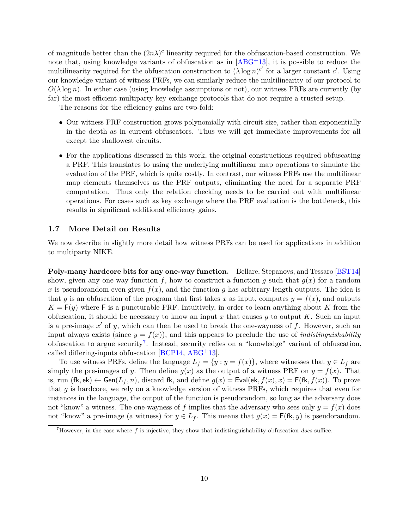of magnitude better than the  $(2n\lambda)^c$  linearity required for the obfuscation-based construction. We note that, using knowledge variants of obfuscation as in  $[ABC^+13]$ , it is possible to reduce the multilinearity required for the obfuscation construction to  $(\lambda \log n)^{c'}$  for a larger constant *c*'. Using our knowledge variant of witness PRFs, we can similarly reduce the multilinearity of our protocol to  $O(\lambda \log n)$ . In either case (using knowledge assumptions or not), our witness PRFs are currently (by far) the most efficient multiparty key exchange protocols that do not require a trusted setup.

The reasons for the efficiency gains are two-fold:

- Our witness PRF construction grows polynomially with circuit size, rather than exponentially in the depth as in current obfuscators. Thus we will get immediate improvements for all except the shallowest circuits.
- For the applications discussed in this work, the original constructions required obfuscating a PRF. This translates to using the underlying multilinear map operations to simulate the evaluation of the PRF, which is quite costly. In contrast, our witness PRFs use the multilinear map elements themselves as the PRF outputs, eliminating the need for a separate PRF computation. Thus only the relation checking needs to be carried out with multilinear operations. For cases such as key exchange where the PRF evaluation is the bottleneck, this results in significant additional efficiency gains.

### **1.7 More Detail on Results**

We now describe in slightly more detail how witness PRFs can be used for applications in addition to multiparty NIKE.

**Poly-many hardcore bits for any one-way function.** Bellare, Stepanovs, and Tessaro [\[BST14\]](#page-47-8) show, given any one-way function  $f$ , how to construct a function  $g$  such that  $g(x)$  for a random *x* is pseudorandom even given  $f(x)$ , and the function *g* has arbitrary-length outputs. The idea is that *g* is an obfuscation of the program that first takes *x* as input, computes  $y = f(x)$ , and outputs  $K = F(y)$  where F is a puncturable PRF. Intuitively, in order to learn anything about *K* from the obfuscation, it should be necessary to know an input *x* that causes *g* to output *K*. Such an input is a pre-image  $x'$  of  $y$ , which can then be used to break the one-wayness of  $f$ . However, such an input always exists (since  $y = f(x)$ ), and this appears to preclude the use of *indistinguishability* obfuscation to argue security<sup>[7](#page-9-0)</sup>. Instead, security relies on a "knowledge" variant of obfuscation, called differing-inputs obfuscation [\[BCP14,](#page-47-0) [ABG](#page-47-1)+13].

To use witness PRFs, define the language  $L_f = \{y : y = f(x)\}\$ , where witnesses that  $y \in L_f$  are simply the pre-images of *y*. Then define  $g(x)$  as the output of a witness PRF on  $y = f(x)$ . That is, run  $(fk, ek) \leftarrow Gen(L_f, n)$ , discard fk, and define  $g(x) = Exal(ek, f(x), x) = F(fk, f(x))$ . To prove that *g* is hardcore, we rely on a knowledge version of witness PRFs, which requires that even for instances in the language, the output of the function is pseudorandom, so long as the adversary does not "know" a witness. The one-wayness of f implies that the adversary who sees only  $y = f(x)$  does not "know" a pre-image (a witness) for  $y \in L_f$ . This means that  $g(x) = F(fk, y)$  is pseudorandom.

<span id="page-9-0"></span><sup>7</sup>However, in the case where *f* is injective, they show that indistinguishability obfuscation *does* suffice.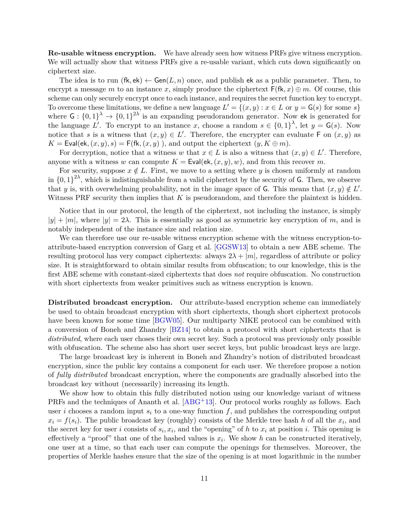**Re-usable witness encryption.** We have already seen how witness PRFs give witness encryption. We will actually show that witness PRFs give a re-usable variant, which cuts down significantly on ciphertext size.

The idea is to run  $(fk, ek) \leftarrow Gen(L, n)$  once, and publish ek as a public parameter. Then, to encrypt a message *m* to an instance *x*, simply produce the ciphertext  $F(fk, x) \oplus m$ . Of course, this scheme can only securely encrypt once to each instance, and requires the secret function key to encrypt. To overcome these limitations, we define a new language  $L' = \{(x, y) : x \in L \text{ or } y = G(s) \text{ for some } s\}$ where  $G: \{0,1\}^{\lambda} \to \{0,1\}^{2\lambda}$  is an expanding pseudorandom generator. Now ek is generated for the language L'. To encrypt to an instance x, choose a random  $s \in \{0,1\}^{\lambda}$ , let  $y = G(s)$ . Now notice that *s* is a witness that  $(x, y) \in L'$ . Therefore, the encrypter can evaluate F on  $(x, y)$  as  $K = \text{Eval}(\text{ek}, (x, y), s) = \text{F}(\text{fk}, (x, y))$ , and output the ciphertext  $(y, K \oplus m)$ .

For decryption, notice that a witness *w* that  $x \in L$  is also a witness that  $(x, y) \in L'$ . Therefore, anyone with a witness *w* can compute  $K = \text{Eval}(\text{ek}, (x, y), w)$ , and from this recover *m*.

For security, suppose  $x \notin L$ . First, we move to a setting where *y* is chosen uniformly at random in  $\{0,1\}^{2\lambda}$ , which is indistinguishable from a valid ciphertext by the security of G. Then, we observe that *y* is, with overwhelming probability, not in the image space of G. This means that  $(x, y) \notin L'$ . Witness PRF security then implies that *K* is pseudorandom, and therefore the plaintext is hidden.

Notice that in our protocol, the length of the ciphertext, not including the instance, is simply  $|y| + |m|$ , where  $|y| = 2\lambda$ . This is essentially as good as symmetric key encryption of *m*, and is notably independent of the instance size and relation size.

We can therefore use our re-usable witness encryption scheme with the witness encryption-toattribute-based encryption conversion of Garg et al. [\[GGSW13\]](#page-49-4) to obtain a new ABE scheme. The resulting protocol has very compact ciphertexts: always 2*λ* + |*m*|, regardless of attribute or policy size. It is straightforward to obtain similar results from obfuscation; to our knowledge, this is the first ABE scheme with constant-sized ciphertexts that does *not* require obfuscation. No construction with short ciphertexts from weaker primitives such as witness encryption is known.

**Distributed broadcast encryption.** Our attribute-based encryption scheme can immediately be used to obtain broadcast encryption with short ciphertexts, though short ciphertext protocols have been known for some time [\[BGW05\]](#page-47-10). Our multiparty NIKE protocol can be combined with a conversion of Boneh and Zhandry [\[BZ14\]](#page-48-1) to obtain a protocol with short ciphertexts that is *distributed*, where each user choses their own secret key. Such a protocol was previously only possible with obfuscation. The scheme also has short user secret keys, but public broadcast keys are large.

The large broadcast key is inherent in Boneh and Zhandry's notion of distributed broadcast encryption, since the public key contains a component for each user. We therefore propose a notion of *fully distributed* broadcast encryption, where the components are gradually absorbed into the broadcast key without (necessarily) increasing its length.

We show how to obtain this fully distributed notion using our knowledge variant of witness PRFs and the techniques of Ananth et al. [\[ABG](#page-47-1)+13]. Our protocol works roughly as follows. Each user  $i$  chooses a random input  $s_i$  to a one-way function  $f$ , and publishes the corresponding output  $x_i = f(s_i)$ . The public broadcast key (roughly) consists of the Merkle tree hash *h* of all the  $x_i$ , and the secret key for user *i* consists of  $s_i, x_i$ , and the "opening" of *h* to  $x_i$  at position *i*. This opening is effectively a "proof" that one of the hashed values is  $x_i$ . We show h can be constructed iteratively, one user at a time, so that each user can compute the openings for themselves. Moreover, the properties of Merkle hashes ensure that the size of the opening is at most logarithmic in the number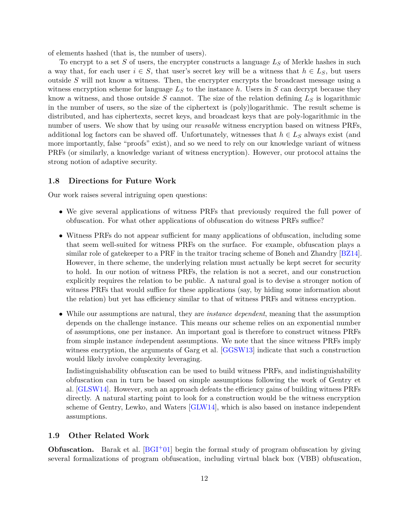of elements hashed (that is, the number of users).

To encrypt to a set *S* of users, the encrypter constructs a language *L<sup>S</sup>* of Merkle hashes in such a way that, for each user  $i \in S$ , that user's secret key will be a witness that  $h \in L_S$ , but users outside *S* will not know a witness. Then, the encrypter encrypts the broadcast message using a witness encryption scheme for language  $L<sub>S</sub>$  to the instance h. Users in  $S$  can decrypt because they know a witness, and those outside *S* cannot. The size of the relation defining *L<sup>S</sup>* is logarithmic in the number of users, so the size of the ciphertext is (poly)logarithmic. The result scheme is distributed, and has ciphertexts, secret keys, and broadcast keys that are poly-logarithmic in the number of users. We show that by using our *reusable* witness encryption based on witness PRFs, additional log factors can be shaved off. Unfortunately, witnesses that  $h \in L_S$  always exist (and more importantly, false "proofs" exist), and so we need to rely on our knowledge variant of witness PRFs (or similarly, a knowledge variant of witness encryption). However, our protocol attains the strong notion of adaptive security.

#### **1.8 Directions for Future Work**

Our work raises several intriguing open questions:

- We give several applications of witness PRFs that previously required the full power of obfuscation. For what other applications of obfuscation do witness PRFs suffice?
- Witness PRFs do not appear sufficient for many applications of obfuscation, including some that seem well-suited for witness PRFs on the surface. For example, obfuscation plays a similar role of gatekeeper to a PRF in the traitor tracing scheme of Boneh and Zhandry [\[BZ14\]](#page-48-1). However, in there scheme, the underlying relation must actually be kept secret for security to hold. In our notion of witness PRFs, the relation is not a secret, and our construction explicitly requires the relation to be public. A natural goal is to devise a stronger notion of witness PRFs that would suffice for these applications (say, by hiding some information about the relation) but yet has efficiency similar to that of witness PRFs and witness encryption.
- While our assumptions are natural, they are *instance dependent*, meaning that the assumption depends on the challenge instance. This means our scheme relies on an exponential number of assumptions, one per instance. An important goal is therefore to construct witness PRFs from simple instance *in*dependent assumptions. We note that the since witness PRFs imply witness encryption, the arguments of Garg et al. [\[GGSW13\]](#page-49-4) indicate that such a construction would likely involve complexity leveraging.

Indistinguishability obfuscation can be used to build witness PRFs, and indistinguishability obfuscation can in turn be based on simple assumptions following the work of Gentry et al. [\[GLSW14\]](#page-49-2). However, such an approach defeats the efficiency gains of building witness PRFs directly. A natural starting point to look for a construction would be the witness encryption scheme of Gentry, Lewko, and Waters [\[GLW14\]](#page-49-6), which is also based on instance independent assumptions.

#### <span id="page-11-0"></span>**1.9 Other Related Work**

**Obfuscation.** Barak et al.  $[**BGI**+01]$  begin the formal study of program obfuscation by giving several formalizations of program obfuscation, including virtual black box (VBB) obfuscation,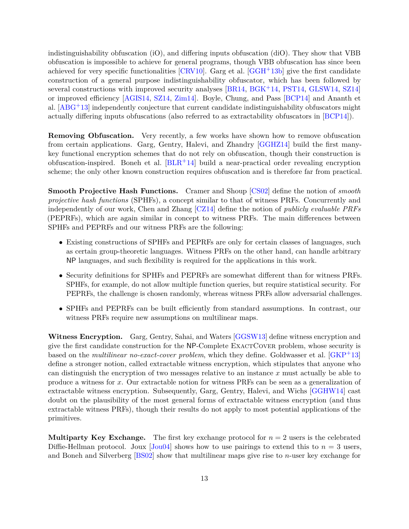indistinguishability obfuscation (iO), and differing inputs obfuscation (diO). They show that VBB obfuscation is impossible to achieve for general programs, though VBB obfuscation has since been achieved for very specific functionalities  $[CRV10]$ . Garg et al.  $[GGH<sup>+</sup>13b]$  $[GGH<sup>+</sup>13b]$  give the first candidate construction of a general purpose indistinguishability obfuscator, which has been followed by several constructions with improved security analyses [\[BR14,](#page-47-2) [BGK](#page-47-3)+14, [PST14,](#page-50-2) [GLSW14,](#page-49-2) [SZ14\]](#page-50-3) or improved efficiency [\[AGIS14,](#page-47-4) [SZ14,](#page-50-3) [Zim14\]](#page-50-4). Boyle, Chung, and Pass [\[BCP14\]](#page-47-0) and Ananth et al.  $[ABC^{+13}]$  independently conjecture that current candidate indistinguishability obfuscators might actually differing inputs obfuscations (also referred to as extractability obfuscators in [\[BCP14\]](#page-47-0)).

**Removing Obfuscation.** Very recently, a few works have shown how to remove obfuscation from certain applications. Garg, Gentry, Halevi, and Zhandry [\[GGHZ14\]](#page-49-7) build the first manykey functional encryption schemes that do not rely on obfuscation, though their construction is obfuscation-inspired. Boneh et al.  $[BLR+14]$  $[BLR+14]$  build a near-practical order revealing encryption scheme; the only other known construction requires obfuscation and is therefore far from practical.

**Smooth Projective Hash Functions.** Cramer and Shoup [\[CS02\]](#page-48-10) define the notion of *smooth projective hash functions* (SPHFs), a concept similar to that of witness PRFs. Concurrently and independently of our work, Chen and Zhang [\[CZ14\]](#page-48-11) define the notion of *publicly evaluable PRFs* (PEPRFs), which are again similar in concept to witness PRFs. The main differences between SPHFs and PEPRFs and our witness PRFs are the following:

- Existing constructions of SPHFs and PEPRFs are only for certain classes of languages, such as certain group-theoretic languages. Witness PRFs on the other hand, can handle arbitrary NP languages, and such flexibility is required for the applications in this work.
- Security definitions for SPHFs and PEPRFs are somewhat different than for witness PRFs. SPHFs, for example, do not allow multiple function queries, but require statistical security. For PEPRFs, the challenge is chosen randomly, whereas witness PRFs allow adversarial challenges.
- SPHFs and PEPRFs can be built efficiently from standard assumptions. In contrast, our witness PRFs require new assumptions on multilinear maps.

**Witness Encryption.** Garg, Gentry, Sahai, and Waters [\[GGSW13\]](#page-49-4) define witness encryption and give the first candidate construction for the NP-Complete ExactCover problem, whose security is based on the *multilinear no-exact-cover problem*, which they define. Goldwasser et al. [\[GKP](#page-49-8)+13] define a stronger notion, called extractable witness encryption, which stipulates that anyone who can distinguish the encryption of two messages relative to an instance *x* must actually be able to produce a witness for *x*. Our extractable notion for witness PRFs can be seen as a generalization of extractable witness encryption. Subsequently, Garg, Gentry, Halevi, and Wichs [\[GGHW14\]](#page-49-9) cast doubt on the plausibility of the most general forms of extractable witness encryption (and thus extractable witness PRFs), though their results do not apply to most potential applications of the primitives.

**Multiparty Key Exchange.** The first key exchange protocol for  $n = 2$  users is the celebrated Diffie-Hellman protocol. Joux  $\left[\frac{\text{Jou04}}{\text{Jou04}}\right]$  shows how to use pairings to extend this to  $n=3$  users, and Boneh and Silverberg [\[BS02\]](#page-47-5) show that multilinear maps give rise to *n*-user key exchange for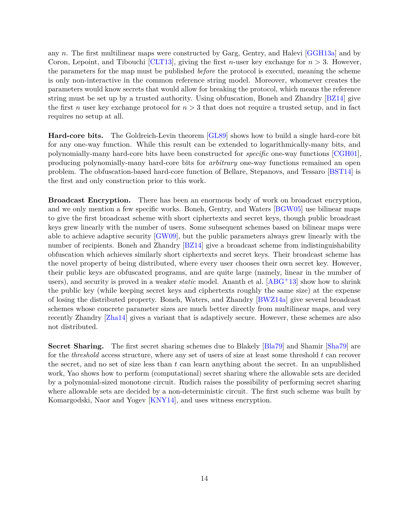any *n*. The first multilinear maps were constructed by Garg, Gentry, and Halevi [\[GGH13a\]](#page-48-7) and by Coron, Lepoint, and Tibouchi [\[CLT13\]](#page-48-12), giving the first *n*-user key exchange for *n >* 3. However, the parameters for the map must be published *before* the protocol is executed, meaning the scheme is only non-interactive in the common reference string model. Moreover, whomever creates the parameters would know secrets that would allow for breaking the protocol, which means the reference string must be set up by a trusted authority. Using obfuscation, Boneh and Zhandry [\[BZ14\]](#page-48-1) give the first *n* user key exchange protocol for  $n > 3$  that does not require a trusted setup, and in fact requires no setup at all.

**Hard-core bits.** The Goldreich-Levin theorem [\[GL89\]](#page-49-11) shows how to build a single hard-core bit for any one-way function. While this result can be extended to logarithmically-many bits, and polynomially-many hard-core bits have been constructed for *specific* one-way functions [\[CGH01\]](#page-48-13), producing polynomially-many hard-core bits for *arbitrary* one-way functions remained an open problem. The obfuscation-based hard-core function of Bellare, Stepanovs, and Tessaro [\[BST14\]](#page-47-8) is the first and only construction prior to this work.

**Broadcast Encryption.** There has been an enormous body of work on broadcast encryption, and we only mention a few specific works. Boneh, Gentry, and Waters [\[BGW05\]](#page-47-10) use bilinear maps to give the first broadcast scheme with short ciphertexts and secret keys, though public broadcast keys grew linearly with the number of users. Some subsequent schemes based on bilinear maps were able to achieve adaptive security [\[GW09\]](#page-49-12), but the public parameters always grew linearly with the number of recipients. Boneh and Zhandry [\[BZ14\]](#page-48-1) give a broadcast scheme from indistinguishability obfuscation which achieves similarly short ciphertexts and secret keys. Their broadcast scheme has the novel property of being distributed, where every user chooses their own secret key. However, their public keys are obfuscated programs, and are quite large (namely, linear in the number of users), and security is proved in a weaker *static* model. Ananth et al. [\[ABG](#page-47-1)+13] show how to shrink the public key (while keeping secret keys and ciphertexts roughly the same size) at the expense of losing the distributed property. Boneh, Waters, and Zhandry [\[BWZ14a\]](#page-48-14) give several broadcast schemes whose concrete parameter sizes are much better directly from multilinear maps, and very recently Zhandry [\[Zha14\]](#page-50-5) gives a variant that is adaptively secure. However, these schemes are also not distributed.

**Secret Sharing.** The first secret sharing schemes due to Blakely [\[Bla79\]](#page-47-12) and Shamir [\[Sha79\]](#page-50-6) are for the *threshold* access structure, where any set of users of size at least some threshold *t* can recover the secret, and no set of size less than *t* can learn anything about the secret. In an unpublished work, Yao shows how to perform (computational) secret sharing where the allowable sets are decided by a polynomial-sized monotone circuit. Rudich raises the possibility of performing secret sharing where allowable sets are decided by a non-deterministic circuit. The first such scheme was built by Komargodski, Naor and Yogev [\[KNY14\]](#page-49-1), and uses witness encryption.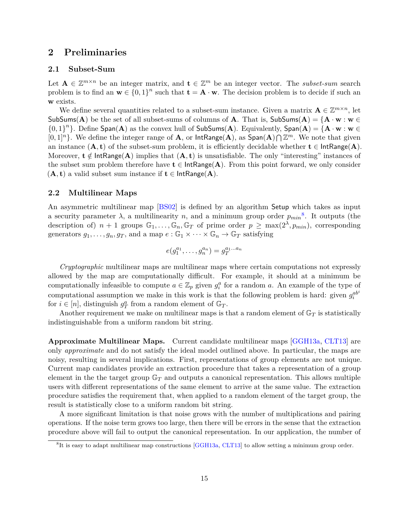## **2 Preliminaries**

## **2.1 Subset-Sum**

Let  $A \in \mathbb{Z}^{m \times n}$  be an integer matrix, and  $\mathbf{t} \in \mathbb{Z}^m$  be an integer vector. The *subset-sum* search problem is to find an  $\mathbf{w} \in \{0,1\}^n$  such that  $\mathbf{t} = \mathbf{A} \cdot \mathbf{w}$ . The decision problem is to decide if such an **w** exists.

We define several quantities related to a subset-sum instance. Given a matrix  $\mathbf{A} \in \mathbb{Z}^{m \times n}$ , let SubSums(A) be the set of all subset-sums of columns of **A**. That is, SubSums(A) =  $\{A \cdot w : w \in$  $\{0,1\}^n\}$ . Define Span(A) as the convex hull of SubSums(A). Equivalently, Span(A) = { $\mathbf{A} \cdot \mathbf{w} : \mathbf{w} \in \mathbb{R}$  $[0,1]^n$ . We define the integer range of **A**, or IntRange(**A**), as  $Span(A) \bigcap \mathbb{Z}^m$ . We note that given an instance  $(A, t)$  of the subset-sum problem, it is efficiently decidable whether  $t \in \text{IntRange}(A)$ . Moreover,  $\mathbf{t} \notin \textsf{IntRange}(\mathbf{A})$  implies that  $(\mathbf{A}, \mathbf{t})$  is unsatisfiable. The only "interesting" instances of the subset sum problem therefore have  $t \in \text{IntRange}(A)$ . From this point forward, we only consider  $(A, t)$  a valid subset sum instance if  $t \in \text{IntRange}(A)$ .

## **2.2 Multilinear Maps**

An asymmetric multilinear map [\[BS02\]](#page-47-5) is defined by an algorithm Setup which takes as input a security parameter  $\lambda$ , a multilinearity  $n$ , and a minimum group order  $p_{min}^8$  $p_{min}^8$ . It outputs (the description of)  $n + 1$  groups  $\mathbb{G}_1, \ldots, \mathbb{G}_n, \mathbb{G}_T$  of prime order  $p \ge \max(2^{\lambda}, p_{min})$ , corresponding generators  $g_1, \ldots, g_n, g_T$ , and a map  $e : \mathbb{G}_1 \times \cdots \times \mathbb{G}_n \to \mathbb{G}_T$  satisfying

$$
e(g_1^{a_1}, \ldots, g_n^{a_n}) = g_T^{a_1 \ldots a_n}
$$

*Cryptographic* multilinear maps are multilinear maps where certain computations not expressly allowed by the map are computationally difficult. For example, it should at a minimum be computationally infeasible to compute  $a \in \mathbb{Z}_p$  given  $g_i^a$  for a random *a*. An example of the type of computational assumption we make in this work is that the following problem is hard: given  $g_i^{ab}$ for  $i \in [n]$ , distinguish  $g_T^a$  from a random element of  $\mathbb{G}_T$ .

Another requirement we make on multilinear maps is that a random element of  $\mathbb{G}_T$  is statistically indistinguishable from a uniform random bit string.

**Approximate Multilinear Maps.** Current candidate multilinear maps [\[GGH13a,](#page-48-7) [CLT13\]](#page-48-12) are only *approximate* and do not satisfy the ideal model outlined above. In particular, the maps are noisy, resulting in several implications. First, representations of group elements are not unique. Current map candidates provide an extraction procedure that takes a representation of a group element in the the target group  $\mathbb{G}_T$  and outputs a canonical representation. This allows multiple users with different representations of the same element to arrive at the same value. The extraction procedure satisfies the requirement that, when applied to a random element of the target group, the result is statistically close to a uniform random bit string.

A more significant limitation is that noise grows with the number of multiplications and pairing operations. If the noise term grows too large, then there will be errors in the sense that the extraction procedure above will fail to output the canonical representation. In our application, the number of

<span id="page-14-0"></span><sup>&</sup>lt;sup>8</sup>It is easy to adapt multilinear map constructions [\[GGH13a,](#page-48-7) [CLT13\]](#page-48-12) to allow setting a minimum group order.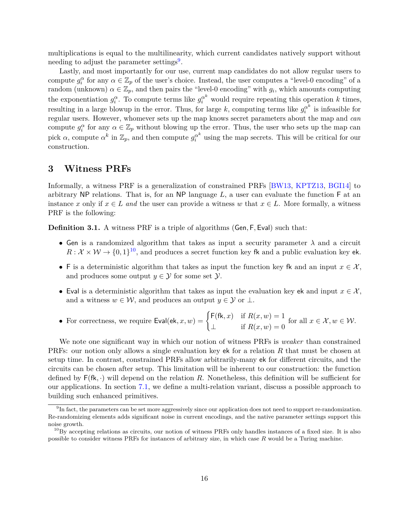multiplications is equal to the multilinearity, which current candidates natively support without needing to adjust the parameter settings<sup>[9](#page-15-1)</sup>.

Lastly, and most importantly for our use, current map candidates do not allow regular users to compute  $g_i^{\alpha}$  for any  $\alpha \in \mathbb{Z}_p$  of the user's choice. Instead, the user computes a "level-0 encoding" of a random (unknown)  $\alpha \in \mathbb{Z}_p$ , and then pairs the "level-0 encoding" with  $g_i$ , which amounts computing the exponentiation  $g_i^{\alpha}$ . To compute terms like  $g_i^{\alpha^k}$  would require repeating this operation *k* times, resulting in a large blowup in the error. Thus, for large k, computing terms like  $g_i^{\alpha^k}$  $\hat{i}^{\alpha}$  is infeasible for regular users. However, whomever sets up the map knows secret parameters about the map and *can* compute  $g_i^{\alpha}$  for any  $\alpha \in \mathbb{Z}_p$  without blowing up the error. Thus, the user who sets up the map can pick  $\alpha$ , compute  $\alpha^k$  in  $\mathbb{Z}_p$ , and then compute  $g_i^{\alpha^k}$  using the map secrets. This will be critical for our construction.

## <span id="page-15-0"></span>**3 Witness PRFs**

Informally, a witness PRF is a generalization of constrained PRFs [\[BW13,](#page-48-8) [KPTZ13,](#page-49-5) [BGI14\]](#page-47-7) to arbitrary NP relations. That is, for an NP language *L*, a user can evaluate the function F at an instance *x* only if  $x \in L$  *and* the user can provide a witness *w* that  $x \in L$ . More formally, a witness PRF is the following:

**Definition 3.1.** A witness PRF is a triple of algorithms (Gen*,* F*,* Eval) such that:

- Gen is a randomized algorithm that takes as input a security parameter  $\lambda$  and a circuit  $R: \mathcal{X} \times \mathcal{W} \rightarrow \{0,1\}^{10}$  $R: \mathcal{X} \times \mathcal{W} \rightarrow \{0,1\}^{10}$  $R: \mathcal{X} \times \mathcal{W} \rightarrow \{0,1\}^{10}$ , and produces a secret function key fk and a public evaluation key ek.
- F is a deterministic algorithm that takes as input the function key fk and an input  $x \in \mathcal{X}$ , and produces some output  $y \in \mathcal{Y}$  for some set  $\mathcal{Y}$ .
- Eval is a deterministic algorithm that takes as input the evaluation key ek and input  $x \in \mathcal{X}$ , and a witness  $w \in \mathcal{W}$ , and produces an output  $y \in \mathcal{Y}$  or  $\perp$ .
- For correctness, we require  $\textsf{Eval}(\textsf{ek}, x, w) = \begin{cases} \textsf{F}(\textsf{fk}, x) & \text{if } R(x, w) = 1 \\ 0 & \text{if } R(x, w) = 0 \end{cases}$  $\perp$  if  $R(x, w) = 0$ for all  $x \in \mathcal{X}, w \in \mathcal{W}$ .

We note one significant way in which our notion of witness PRFs is *weaker* than constrained PRFs: our notion only allows a single evaluation key ek for a relation *R* that must be chosen at setup time. In contrast, constrained PRFs allow arbitrarily-many ek for different circuits, and the circuits can be chosen after setup. This limitation will be inherent to our construction: the function defined by  $F(fk, \cdot)$  will depend on the relation R. Nonetheless, this definition will be sufficient for our applications. In section [7.1,](#page-43-0) we define a multi-relation variant, discuss a possible approach to building such enhanced primitives.

<span id="page-15-1"></span><sup>&</sup>lt;sup>9</sup>In fact, the parameters can be set more aggressively since our application does not need to support re-randomization. Re-randomizing elements adds significant noise in current encodings, and the native parameter settings support this noise growth.

<span id="page-15-2"></span> $^{10}$ By accepting relations as circuits, our notion of witness PRFs only handles instances of a fixed size. It is also possible to consider witness PRFs for instances of arbitrary size, in which case *R* would be a Turing machine.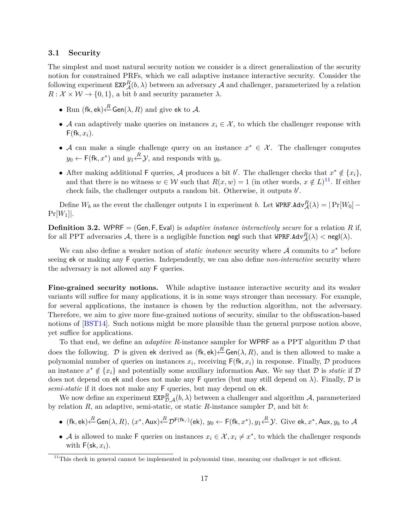## **3.1 Security**

The simplest and most natural security notion we consider is a direct generalization of the security notion for constrained PRFs, which we call adaptive instance interactive security. Consider the following experiment  $\texttt{EXP}_{\mathcal{A}}^R(b, \lambda)$  between an adversary  $\mathcal A$  and challenger, parameterized by a relation  $R: \mathcal{X} \times \mathcal{W} \rightarrow \{0, 1\},$  a bit *b* and security parameter  $\lambda$ .

- Run  $(\mathsf{fk}, \mathsf{ek}) \stackrel{R}{\leftarrow} \mathsf{Gen}(\lambda, R)$  and give ek to A.
- A can adaptively make queries on instances  $x_i \in \mathcal{X}$ , to which the challenger response with  $F(fk, x_i)$ .
- A can make a single challenge query on an instance  $x^* \in \mathcal{X}$ . The challenger computes  $y_0 \leftarrow \mathsf{F}(\mathsf{fk}, x^*)$  and  $y_1 \leftarrow R \mathcal{Y}$ , and responds with  $y_b$ .
- After making additional F queries, A produces a bit *b'*. The challenger checks that  $x^* \notin \{x_i\}$ , and that there is no witness  $w \in \mathcal{W}$  such that  $R(x, w) = 1$  (in other words,  $x \notin L$ )<sup>[11](#page-16-0)</sup>. If either check fails, the challenger outputs a random bit. Otherwise, it outputs *b'*.

Define  $W_b$  as the event the challenger outputs 1 in experiment *b*. Let  $\text{WPRF.Adv}_{\mathcal{A}}^R(\lambda) = |\Pr[W_0] Pr[W_1]$ .

**Definition 3.2.** WPRF = (Gen, F, Eval) is *adaptive instance interactively secure* for a relation *R* if, for all PPT adversaries  $A$ , there is a negligible function negl such that  $\texttt{WPRF.Adv}_{\mathcal{A}}^R(\lambda) < \texttt{negl}(\lambda)$ .

We can also define a weaker notion of *static instance* security where A commits to *x* <sup>∗</sup> before seeing ek or making any F queries. Independently, we can also define *non-interactive* security where the adversary is not allowed any F queries.

**Fine-grained security notions.** While adaptive instance interactive security and its weaker variants will suffice for many applications, it is in some ways stronger than necessary. For example, for several applications, the instance is chosen by the reduction algorithm, not the adversary. Therefore, we aim to give more fine-grained notions of security, similar to the obfuscation-based notions of [\[BST14\]](#page-47-8). Such notions might be more plausible than the general purpose notion above, yet suffice for applications.

To that end, we define an *adaptive R*-instance sampler for WPRF as a PPT algorithm  $D$  that does the following. D is given ek derived as  $(fk, ek) \stackrel{R}{\leftarrow} \mathsf{Gen}(\lambda, R)$ , and is then allowed to make a polynomial number of queries on instances  $x_i$ , receiving  $\mathsf{F}(\mathsf{fk}, x_i)$  in response. Finally,  $\mathcal D$  produces an instance  $x^* \notin \{x_i\}$  and potentially some auxiliary information Aux. We say that  $D$  is *static* if  $D$ does not depend on ek and does not make any F queries (but may still depend on  $\lambda$ ). Finally,  $\mathcal D$  is *semi-static* if it does not make any F queries, but may depend on ek.

We now define an experiment  $\texttt{EXP}_{\mathcal{D},\mathcal{A}}^R(b,\lambda)$  between a challenger and algorithm  $\mathcal{A}$ , parameterized by relation  $R$ , an adaptive, semi-static, or static  $R$ -instance sampler  $D$ , and bit  $b$ :

- $\bullet$  (fk, ek) $\stackrel{R}{\leftarrow}$ Gen( $\lambda, R$ ), ( $x^*,$  Aux) $\stackrel{R}{\leftarrow}$  $\mathcal{D}^{\mathsf{F}(\mathsf{fk},\cdot)}(\mathsf{ek}),$   $y_0 \leftarrow$   $\mathsf{F}(\mathsf{fk},x^*),$   $y_1 \stackrel{R}{\leftarrow} \mathcal{Y}$ . Give ek,  $x^*,$  Aux,  $y_b$  to  $\mathcal{A}$
- A is allowed to make F queries on instances  $x_i \in \mathcal{X}, x_i \neq x^*$ , to which the challenger responds with  $F(\mathsf{sk}, x_i)$ .

<span id="page-16-0"></span> $11$ This check in general cannot be implemented in polynomial time, meaning our challenger is not efficient.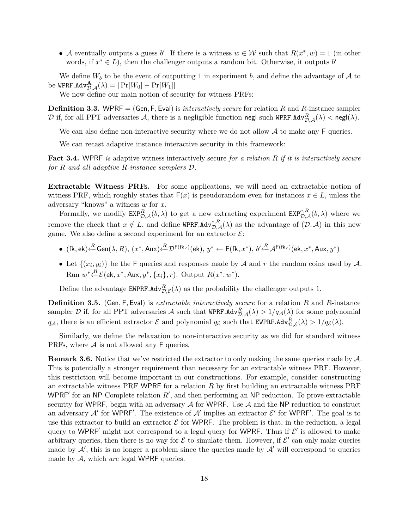• A eventually outputs a guess *b'*. If there is a witness  $w \in \mathcal{W}$  such that  $R(x^*, w) = 1$  (in other words, if  $x^* \in L$ ), then the challenger outputs a random bit. Otherwise, it outputs *b* 

We define  $W_b$  to be the event of outputting 1 in experiment *b*, and define the advantage of A to  $\mathrm{b\acute{e}}$  WPRF.Adv $^{\mathbf{A}}_{{\mathcal{D}},\mathcal{A}}(\lambda)=|\Pr[W_0]-\Pr[W_1]|$ 

We now define our main notion of security for witness PRFs:

**Definition 3.3.** WPRF = (Gen*,* F*,* Eval) is *interactively secure* for relation *R* and *R*-instance sampler  ${\cal D}$  if, for all PPT adversaries  ${\cal A},$  there is a negligible function negl such WPRF.Adv $^R_{{\cal D}, {\cal A}}(\lambda)<$  negl $(\lambda).$ 

We can also define non-interactive security where we do not allow  $A$  to make any  $F$  queries.

We can recast adaptive instance interactive security in this framework:

**Fact 3.4.** WPRF *is* adaptive witness interactively secure *for a relation R if it is interactively secure for R and all adaptive R-instance samplers* D*.*

**Extractable Witness PRFs.** For some applications, we will need an extractable notion of witness PRF, which roughly states that  $F(x)$  is pseudorandom even for instances  $x \in L$ , unless the adversary "knows" a witness *w* for *x*.

Formally, we modify  $\text{EXP}_{\mathcal{D},\mathcal{A}}^R(b,\lambda)$  to get a new extracting experiment  $\text{EXP}_{\mathcal{D},\mathcal{A}}^{e,R}(b,\lambda)$  where we remove the check that  $x \notin L$ , and define WPRF.Adv<sup>e,R</sup><sub>D,A</sub>( $\lambda$ ) as the advantage of  $(\mathcal{D}, \mathcal{A})$  in this new game. We also define a second experiment for an extractor  $\mathcal{E}$ :

- $\bullet$  (fk, ek) $\stackrel{R}{\leftarrow}$ Gen( $\lambda, R$ ), ( $x^*,$  Aux) $\stackrel{R}{\leftarrow}$  $\mathcal{D}^{\mathsf{F}(\mathsf{fk},\cdot)}(\mathsf{ek}), y^* \leftarrow \mathsf{F}(\mathsf{fk}, x^*), b' \stackrel{R}{\leftarrow} \mathcal{A}^{\mathsf{F}(\mathsf{fk},\cdot)}(\mathsf{ek}, x^*,$  Aux,  $y^*)$
- Let  $\{(x_i, y_i)\}\)$  be the F queries and responses made by A and r the random coins used by A. Run  $w^*$  ←  $E$  (ek,  $x^*$ , Aux,  $y^*$ ,  $\{x_i\}$ ,  $r$ ). Output  $R(x^*, w^*)$ .

Define the advantage  $\text{EWPRF.Adv}_{\mathcal{D},\mathcal{E}}^R(\lambda)$  as the probability the challenger outputs 1.

**Definition 3.5.** (Gen*,* F*,* Eval) is *extractable interactively secure* for a relation *R* and *R*-instance sampler D if, for all PPT adversaries A such that  $WPRF.Adv^R_{\mathcal{D},\mathcal{A}}(\lambda) > 1/q_\mathcal{A}(\lambda)$  for some polynomial *q*<sub>A</sub>, there is an efficient extractor  $\mathcal{E}$  and polynomial  $q_{\mathcal{E}}$  such that **EWPRF**.Adv $_{\mathcal{D},\mathcal{E}}^R(\lambda) > 1/q_{\mathcal{E}}(\lambda)$ .

Similarly, we define the relaxation to non-interactive security as we did for standard witness PRFs, where  $A$  is not allowed any  $F$  queries.

**Remark 3.6.** Notice that we've restricted the extractor to only making the same queries made by  $\mathcal{A}$ . This is potentially a stronger requirement than necessary for an extractable witness PRF. However, this restriction will become important in our constructions. For example, consider constructing an extractable witness PRF WPRF for a relation *R* by first building an extractable witness PRF WPRF<sup> $\prime$ </sup> for an NP-Complete relation  $R'$ , and then performing an NP reduction. To prove extractable security for WPRF, begin with an adversary  $A$  for WPRF. Use  $A$  and the NP reduction to construct an adversary  $\mathcal{A}'$  for WPRF'. The existence of  $\mathcal{A}'$  implies an extractor  $\mathcal{E}'$  for WPRF'. The goal is to use this extractor to build an extractor  $\mathcal E$  for WPRF. The problem is that, in the reduction, a legal query to WPRF' might not correspond to a legal query for WPRF. Thus if  $\mathcal{E}'$  is allowed to make arbitrary queries, then there is no way for  $\mathcal E$  to simulate them. However, if  $\mathcal E'$  can only make queries made by  $A'$ , this is no longer a problem since the queries made by  $A'$  will correspond to queries made by A, which *are* legal WPRF queries.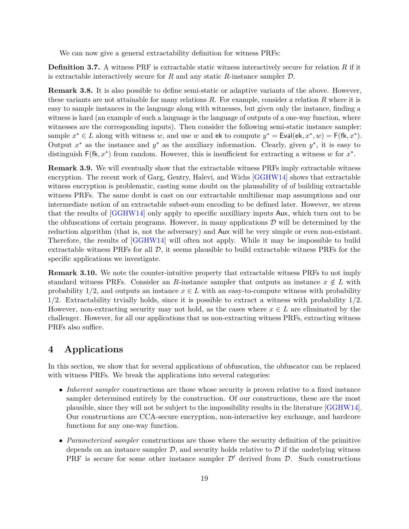We can now give a general extractability definition for witness PRFs:

**Definition 3.7.** A witness PRF is extractable static witness interactively secure for relation R if it is extractable interactively secure for  $R$  and any static  $R$ -instance sampler  $D$ .

**Remark 3.8.** It is also possible to define semi-static or adaptive variants of the above. However, these variants are not attainable for many relations *R*. For example, consider a relation *R* where it is easy to sample instances in the language along with witnesses, but given only the instance, finding a witness is hard (an example of such a language is the language of outputs of a one-way function, where witnesses are the corresponding inputs). Then consider the following semi-static instance sampler: sample  $x^* \in L$  along with witness *w*, and use *w* and ek to compute  $y^* = \text{Eval}(\text{ek}, x^*, w) = \text{F}(\text{fk}, x^*)$ . Output  $x^*$  as the instance and  $y^*$  as the auxiliary information. Clearly, given  $y^*$ , it is easy to distinguish  $F(fk, x^*)$  from random. However, this is insufficient for extracting a witness *w* for  $x^*$ .

**Remark 3.9.** We will eventually show that the extractable witness PRFs imply extractable witness encryption. The recent work of Garg, Gentry, Halevi, and Wichs [\[GGHW14\]](#page-49-9) shows that extractable witness encryption is problematic, casting some doubt on the plausability of of building extractable witness PRFs. The same doubt is cast on our extractable multilienar map assumptions and our intermediate notion of an extractable subset-sum encoding to be defined later. However, we stress that the results of [\[GGHW14\]](#page-49-9) only apply to specific auxilliary inputs Aux, which turn out to be the obfuscations of certain programs. However, in many applications  $\mathcal D$  will be determined by the reduction algorithm (that is, not the adversary) and Aux will be very simple or even non-existant. Therefore, the results of [\[GGHW14\]](#page-49-9) will often not apply. While it may be impossible to build extractable witness PRFs for all  $\mathcal{D}$ , it seems plausible to build extractable witness PRFs for the specific applications we investigate.

**Remark 3.10.** We note the counter-intuitive property that extractable witness PRFs to not imply standard witness PRFs. Consider an *R*-instance sampler that outputs an instance  $x \notin L$  with probability 1/2, and outputs an instance  $x \in L$  with an easy-to-compute witness with probability 1*/*2. Extractability trvially holds, since it is possible to extract a witness with probability 1*/*2. However, non-extracting security may not hold, as the cases where  $x \in L$  are eliminated by the challenger. However, for all our applications that us non-extracting witness PRFs, extracting witness PRFs also suffice.

## **4 Applications**

In this section, we show that for several applications of obfuscation, the obfuscator can be replaced with witness PRFs. We break the applications into several categories:

- *Inherent sampler* constructions are those whose security is proven relative to a fixed instance sampler determined entirely by the construction. Of our constructions, these are the most plausible, since they will not be subject to the impossibility results in the literature [\[GGHW14\]](#page-49-9). Our constructions are CCA-secure encryption, non-interactive key exchange, and hardcore functions for any one-way function.
- *Parameterized sampler* constructions are those where the security definition of the primitive depends on an instance sampler  $\mathcal{D}$ , and security holds relative to  $\mathcal{D}$  if the underlying witness PRF is secure for some other instance sampler  $\mathcal{D}'$  derived from  $\mathcal{D}$ . Such constructions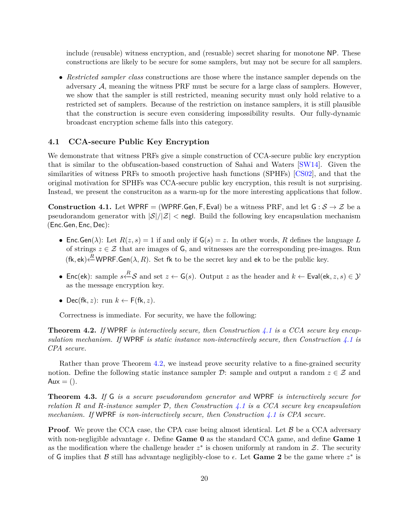include (reusable) witness encryption, and (resuable) secret sharing for monotone NP. These constructions are likely to be secure for some samplers, but may not be secure for all samplers.

• *Restricted sampler class* constructions are those where the instance sampler depends on the adversary A, meaning the witness PRF must be secure for a large class of samplers. However, we show that the sampler is still restricted, meaning security must only hold relative to a restricted set of samplers. Because of the restriction on instance samplers, it is still plausible that the construction is secure even considering impossibility results. Our fully-dynamic broadcast encryption scheme falls into this category.

### **4.1 CCA-secure Public Key Encryption**

We demonstrate that witness PRFs give a simple construction of CCA-secure public key encryption that is similar to the obfuscation-based construction of Sahai and Waters [\[SW14\]](#page-50-0). Given the similarities of witness PRFs to smooth projective hash functions (SPHFs) [\[CS02\]](#page-48-10), and that the original motivation for SPHFs was CCA-secure public key encryption, this result is not surprising. Instead, we present the construciton as a warm-up for the more interesting applications that follow.

<span id="page-19-0"></span>**Construction 4.1.** Let WPRF = (WPRF.Gen, F, Eval) be a witness PRF, and let  $G : S \to Z$  be a pseudorandom generator with  $|\mathcal{S}|/|\mathcal{Z}|$  < negl. Build the following key encapsulation mechanism (Enc*.*Gen*,* Enc*,* Dec):

- Enc. Gen( $\lambda$ ): Let  $R(z, s) = 1$  if and only if  $G(s) = z$ . In other words, R defines the language L of strings  $z \in \mathcal{Z}$  that are images of G, and witnesses are the corresponding pre-images. Run  $(fk, ek) \stackrel{R}{\leftarrow} WPRF.Gen(\lambda, R)$ . Set fk to be the secret key and ek to be the public key.
- Enc(ek): sample  $s \stackrel{R}{\leftarrow} S$  and set  $z \leftarrow G(s)$ . Output z as the header and  $k \leftarrow$  Eval(ek, z, s)  $\in \mathcal{Y}$ as the message encryption key.
- Dec(fk, z): run  $k \leftarrow F(fk, z)$ .

Correctness is immediate. For security, we have the following:

<span id="page-19-1"></span>**Theorem 4.2.** *If* WPRF *is interactively secure, then Construction [4.1](#page-19-0) is a CCA secure key encapsulation mechanism. If* WPRF *is static instance non-interactively secure, then Construction [4.1](#page-19-0) is CPA secure.*

Rather than prove Theorem [4.2,](#page-19-1) we instead prove security relative to a fine-grained security notion. Define the following static instance sampler  $\mathcal{D}$ : sample and output a random  $z \in \mathcal{Z}$  and  $Aux = ($ ).

<span id="page-19-2"></span>**Theorem 4.3.** *If* G *is a secure pseudorandom generator and* WPRF *is interactively secure for relation R and R-instance sampler* D*, then Construction [4.1](#page-19-0) is a CCA secure key encapsulation mechanism. If* WPRF *is non-interactively secure, then Construction [4.1](#page-19-0) is CPA secure.*

**Proof**. We prove the CCA case, the CPA case being almost identical. Let  $\beta$  be a CCA adversary with non-negligible advantage  $\epsilon$ . Define **Game 0** as the standard CCA game, and define **Game 1** as the modification where the challenge header  $z^*$  is chosen uniformly at random in  $\mathcal{Z}$ . The security of G implies that B still has advantage negligibly-close to  $\epsilon$ . Let Game 2 be the game where  $z^*$  is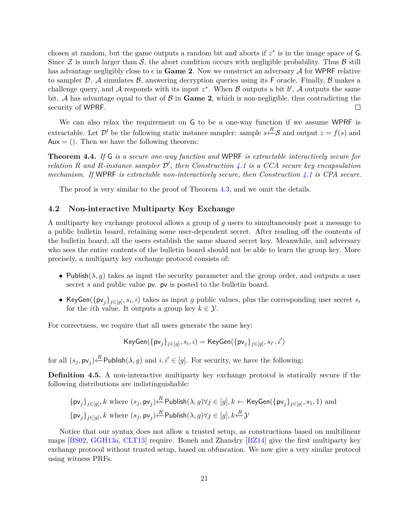chosen at random, but the game outputs a random bit and aborts if  $z^*$  is in the image space of  $G$ . Since  $\mathcal Z$  is much larger than  $\mathcal S$ , the abort condition occurs with negligible probability. Thus  $\mathcal B$  still has advantage negligibly close to  $\epsilon$  in **Game 2**. Now we construct an adversary A for WPRF relative to sampler D. A simulates  $\beta$ , answering decryption queries using its F oracle. Finally,  $\beta$  makes a challenge query, and A responds with its input  $z^*$ . When B outputs a bit  $b'$ , A outputs the same bit. A has advantage equal to that of  $\beta$  in **Game 2**, which is non-negligible, thus contradicting the security of WPRF. П

We can also relax the requirement on G to be a one-way function if we assume WPRF is extractable. Let  $\mathcal{D}'$  be the following static instance sampler: sample  $s \stackrel{R}{\leftarrow} \mathcal{S}$  and output  $z = f(s)$  and  $Aux = ($ ). Then we have the following theorem:

**Theorem 4.4.** *If* G *is a secure one-way function and* WPRF *is extractable interactively secure for relation R* and *R*-instance sampler  $\mathcal{D}'$ , then Construction [4.1](#page-19-0) is a CCA secure key encapsulation *mechanism. If* WPRF *is extractable non-interactively secure, then Construction [4.1](#page-19-0) is CPA secure.*

The proof is very similar to the proof of Theorem [4.3,](#page-19-2) and we omit the details.

### <span id="page-20-0"></span>**4.2 Non-interactive Multiparty Key Exchange**

A multiparty key exchange protocol allows a group of *g* users to simultaneously post a message to a public bulletin board, retaining some user-dependent secret. After reading off the contents of the bulletin board, all the users establish the same shared secret key. Meanwhile, and adversary who sees the entire contents of the bulletin board should not be able to learn the group key. More precisely, a multiparty key exchange protocol consists of:

- Publish $(\lambda, g)$  takes as input the security parameter and the group order, and outputs a user secret *s* and public value pv. pv is posted to the bulletin board.
- KeyGen( $\{p_{V_j}\}_{j\in[g],\ S_i,i}$ ) takes as input *g* public values, plus the corresponding user secret  $s_i$ for the *i*th value. It outputs a group key  $k \in \mathcal{Y}$ .

For correctness, we require that all users generate the same key:

$$
\mathsf{KeyGen}(\{\mathsf{pv}_j\}_{j\in[g]},s_i,i) = \mathsf{KeyGen}(\{\mathsf{pv}_j\}_{j\in[g]},s_{i'},i')
$$

for all  $(s_j, \mathsf{pv}_j) \stackrel{R}{\leftarrow}$ Publish $(\lambda, g)$  and  $i, i' \in [g]$ . For security, we have the following:

*R*

**Definition 4.5.** A non-interactive multiparty key exchange protocol is statically secure if the following distributions are indistinguishable:

$$
\{\mathsf{pv}_j\}_{j \in [g]}, k \text{ where } (s_j, \mathsf{pv}_j) \stackrel{R}{\leftarrow} \mathsf{Published}( \lambda, g) \forall j \in [g], k \leftarrow \mathsf{KeyGen}(\{\mathsf{pv}_j\}_{j \in [g]}, s_1, 1) \text{ and}
$$
  

$$
\{\mathsf{pv}_j\}_{j \in [g]}, k \text{ where } (s_j, \mathsf{pv}_j) \stackrel{R}{\leftarrow} \mathsf{Published}( \lambda, g) \forall j \in [g], k \stackrel{R}{\leftarrow} \mathcal{Y}
$$

<span id="page-20-1"></span>Notice that our syntax does not allow a trusted setup, as constructions based on multilinear maps [\[BS02,](#page-47-5) [GGH13a,](#page-48-7) [CLT13\]](#page-48-12) require. Boneh and Zhandry [\[BZ14\]](#page-48-1) give the first multiparty key exchange protocol without trusted setup, based on obfuscation. We now give a very similar protocol using witness PRFs.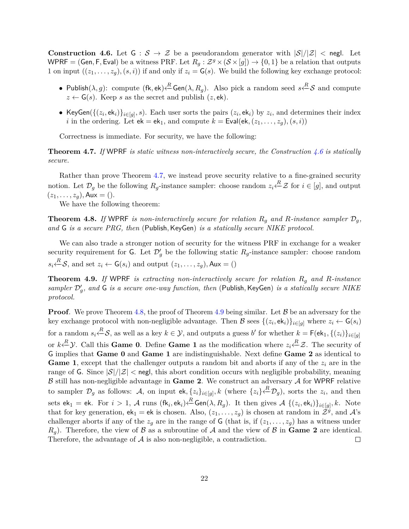**Construction 4.6.** Let  $G : S \to Z$  be a pseudorandom generator with  $|S|/|Z|$   $\lt$  negl. Let WPRF = (Gen, F, Eval) be a witness PRF. Let  $R_g: \mathcal{Z}^g \times (\mathcal{S} \times [g]) \to \{0,1\}$  be a relation that outputs 1 on input  $((z_1, \ldots, z_q), (s, i))$  if and only if  $z_i = \mathsf{G}(s)$ . We build the following key exchange protocol:

- Publish(*λ, g*): compute (fk, ek) <sup>*R*</sup> Gen(*λ, R<sub>g</sub>*). Also pick a random seed *s* <sup>*R*</sup>−S and compute  $z \leftarrow G(s)$ . Keep *s* as the secret and publish  $(z, ek)$ .
- KeyGen( $\{(z_i, \text{ek}_i)\}_{i \in [g]}, s$ ). Each user sorts the pairs  $(z_i, \text{ek}_i)$  by  $z_i$ , and determines their index *i* in the ordering. Let  $ek = ek_1$ , and compute  $k = \text{Eval}(ek, (z_1, \ldots, z_q), (s, i))$

Correctness is immediate. For security, we have the following:

<span id="page-21-0"></span>**Theorem 4.7.** *If* WPRF *is static witness non-interactively secure, the Construction [4.6](#page-20-1) is statically secure.*

Rather than prove Theorem [4.7,](#page-21-0) we instead prove security relative to a fine-grained security notion. Let  $\mathcal{D}_g$  be the following  $R_g$ -instance sampler: choose random  $z_i \stackrel{R}{\leftarrow} \mathcal{Z}$  for  $i \in [g]$ , and output  $(z_1, \ldots, z_q)$ , Aux = ().

We have the following theorem:

<span id="page-21-1"></span>**Theorem 4.8.** If WPRF is non-interactively secure for relation  $R_q$  and  $R$ -instance sampler  $\mathcal{D}_q$ , *and* G *is a secure PRG, then* (Publish*,*KeyGen) *is a statically secure NIKE protocol.*

We can also trade a stronger notion of security for the witness PRF in exchange for a weaker security requirement for  $\mathsf{G}$ . Let  $\mathcal{D}'_g$  be the following static  $R_g$ -instance sampler: choose random  $s_i \stackrel{R}{\leftarrow} S$ , and set  $z_i \leftarrow G(s_i)$  and output  $(z_1, \ldots, z_g)$ , Aux = ()

<span id="page-21-2"></span>**Theorem 4.9.** *If* WPRF *is extracting non-interactively secure for relation R<sup>g</sup> and R-instance* sampler  $\mathcal{D}'_g$ , and G *is a secure one-way function, then* (Publish, KeyGen) *is a statically secure NIKE protocol.*

**Proof**. We prove Theorem [4.8,](#page-21-1) the proof of Theorem [4.9](#page-21-2) being similar. Let B be an adversary for the key exchange protocol with non-negligible advantage. Then B sees  $\{(z_i, \text{ek}_i)\}_{i \in [g]}$  where  $z_i \leftarrow G(s_i)$ for a random  $s_i \stackrel{R}{\leftarrow} S$ , as well as a key  $k \in \mathcal{Y}$ , and outputs a guess *b'* for whether  $k = \mathsf{F}(\mathsf{ek}_1, \{(z_i)\}_{i \in [g]}$ or  $k \stackrel{R}{\leftarrow} Y$ . Call this **Game 0**. Define **Game 1** as the modification where  $z_i \stackrel{R}{\leftarrow} Z$ . The security of G implies that **Game 0** and **Game 1** are indistinguishable. Next define **Game 2** as identical to **Game 1**, except that the challenger outputs a random bit and aborts if any of the *z<sup>i</sup>* are in the range of G. Since  $|\mathcal{S}|/|\mathcal{Z}|$  < neglect this abort condition occurs with negligible probability, meaning  $\beta$  still has non-negligible advantage in **Game 2**. We construct an adversary  $\mathcal A$  for WPRF relative to sampler  $\mathcal{D}_g$  as follows: A, on input ek,  $\{z_i\}_{i\in[g]}, k$  (where  $\{z_i\}\stackrel{R}{\leftarrow} \mathcal{D}_g$ ), sorts the  $z_i$ , and then  $\mathsf{Sets}\, \mathsf{ek}_1 = \mathsf{ek}. \ \ \text{For}\, \ i>1,\, \mathcal{A} \ \text{runs}\, \ (\mathsf{fk}_i,\mathsf{ek}_i)\overset{R}{\longleftarrow} \mathsf{Gen}(\lambda, R_g). \ \ \text{It then gives}\, \ \mathcal{A} \ \{ (z_i,\mathsf{ek}_i) \}_{i\in [g]}, k. \ \ \text{Note}$ that for key generation,  $ek_1 = ek$  is chosen. Also,  $(z_1, \ldots, z_g)$  is chosen at random in  $\tilde{Z}^g$ , and  $\mathcal{A}$ 's challenger aborts if any of the  $z_g$  are in the range of G (that is, if  $(z_1, \ldots, z_g)$ ) has a witness under  $R_q$ ). Therefore, the view of  $\beta$  as a subroutine of  $\beta$  and the view of  $\beta$  in **Game 2** are identical. Therefore, the advantage of  $A$  is also non-negligible, a contradiction.  $\Box$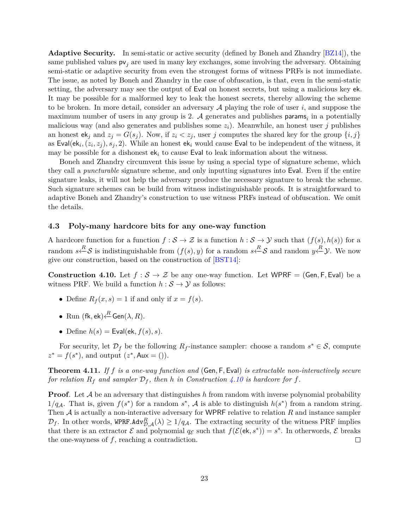**Adaptive Security.** In semi-static or active security (defined by Boneh and Zhandry [\[BZ14\]](#page-48-1)), the same published values  $pv_j$  are used in many key exchanges, some involving the adversary. Obtaining semi-static or adaptive security from even the strongest forms of witness PRFs is not immediate. The issue, as noted by Boneh and Zhandry in the case of obfuscation, is that, even in the semi-static setting, the adversary may see the output of Eval on honest secrets, but using a malicious key ek. It may be possible for a malformed key to leak the honest secrets, thereby allowing the scheme to be broken. In more detail, consider an adversary A playing the role of user *i*, and suppose the maximum number of users in any group is 2.  $A$  generates and publishes params<sub>i</sub> in a potentially malicious way (and also generates and publishes some *zi*). Meanwhile, an honest user *j* publishes an honest  $ek_j$  and  $z_j = G(s_j)$ . Now, if  $z_i < z_j$ , user *j* computes the shared key for the group  $\{i, j\}$ as Eval(ek<sub>i</sub>,  $(z_i, z_j)$ ,  $s_j$ , 2). While an honest ek<sub>i</sub> would cause Eval to be independent of the witness, it may be possible for a dishonest  $ek_i$  to cause Eval to leak information about the witness.

Boneh and Zhandry circumvent this issue by using a special type of signature scheme, which they call a *puncturable* signature scheme, and only inputting signatures into Eval. Even if the entire signature leaks, it will not help the adversary produce the necessary signature to break the scheme. Such signature schemes can be build from witness indistinguishable proofs. It is straightforward to adaptive Boneh and Zhandry's construction to use witness PRFs instead of obfuscation. We omit the details.

## <span id="page-22-0"></span>**4.3 Poly-many hardcore bits for any one-way function**

A hardcore function for a function  $f : \mathcal{S} \to \mathcal{Z}$  is a function  $h : \mathcal{S} \to \mathcal{Y}$  such that  $(f(s), h(s))$  for a random  $s \stackrel{R}{\leftarrow} S$  is indistinguishable from  $(f(s), y)$  for a random  $s \stackrel{R}{\leftarrow} S$  and random  $y \stackrel{R}{\leftarrow} Y$ . We now give our construction, based on the construction of [\[BST14\]](#page-47-8):

<span id="page-22-1"></span>**Construction 4.10.** Let  $f : \mathcal{S} \to \mathcal{Z}$  be any one-way function. Let WPRF = (Gen, F, Eval) be a witness PRF. We build a function  $h : \mathcal{S} \to \mathcal{Y}$  as follows:

- Define  $R_f(x, s) = 1$  if and only if  $x = f(s)$ .
- Run  $(\textsf{fk}, \textsf{ek}) \xleftarrow{R} \mathsf{Gen}(\lambda, R)$ .
- Define  $h(s)$  = Eval(ek,  $f(s)$ , s).

For security, let  $\mathcal{D}_f$  be the following  $R_f$ -instance sampler: choose a random  $s^* \in \mathcal{S}$ , compute  $z^* = f(s^*)$ , and output  $(z^*, Aux = 0)$ .

**Theorem 4.11.** *If f is a one-way function and* (Gen*,* F*,* Eval) *is extractable non-interactively secure for relation*  $R_f$  *and sampler*  $D_f$ *, then h in Construction* [4.10](#page-22-1) *is hardcore for f.* 

**Proof**. Let A be an adversary that distinguishes h from random with inverse polynomial probability 1/q<sub>A</sub>. That is, given  $f(s^*)$  for a random  $s^*$ , A is able to distinguish  $h(s^*)$  from a random string. Then A is actually a non-interactive adversary for WPRF relative to relation *R* and instance sampler  $\mathcal{D}_f$ . In other words, WPRF.Adv $^R_{\mathcal{D},\mathcal{A}}(\lambda) \geq 1/q_{\mathcal{A}}$ . The extracting security of the witness PRF implies that there is an extractor  $\mathcal E$  and polynomial  $q_{\mathcal E}$  such that  $f(\mathcal E(\mathsf{ek}, s^*)) = s^*$ . In otherwords,  $\mathcal E$  breaks the one-wayness of *f*, reaching a contradiction.  $\Box$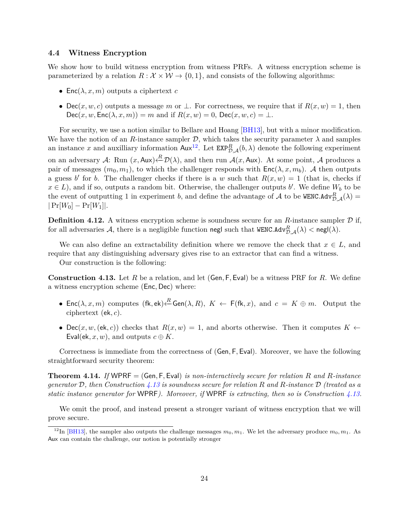### <span id="page-23-0"></span>**4.4 Witness Encryption**

We show how to build witness encryption from witness PRFs. A witness encryption scheme is parameterized by a relation  $R : \mathcal{X} \times \mathcal{W} \rightarrow \{0, 1\}$ , and consists of the following algorithms:

- Enc $(\lambda, x, m)$  outputs a ciphertext *c*
- Dec(*x, w, c*) outputs a message *m* or  $\perp$ . For correctness, we require that if  $R(x, w) = 1$ , then  $Dec(x, w, Enc(\lambda, x, m)) = m$  and if  $R(x, w) = 0$ ,  $Dec(x, w, c) = \bot$ .

For security, we use a notion similar to Bellare and Hoang [\[BH13\]](#page-47-13), but with a minor modification. We have the notion of an *R*-instance sampler  $D$ , which takes the security parameter  $\lambda$  and samples an instance *x* and auxilliary information  $\text{Aux}^{12}$  $\text{Aux}^{12}$  $\text{Aux}^{12}$ . Let  $\text{EXP}_{\mathcal{D},\mathcal{A}}^R(b,\lambda)$  denote the following experiment on an adversary  $\mathcal{A}$ : Run  $(x, \mathsf{Aux}) \stackrel{R}{\leftarrow} \mathcal{D}(\lambda)$ , and then run  $\mathcal{A}(x, \mathsf{Aux})$ . At some point,  $\mathcal{A}$  produces a pair of messages  $(m_0, m_1)$ , to which the challenger responds with  $Enc(\lambda, x, m_b)$ . A then outputs a guess *b* for *b*. The challenger checks if there is a *w* such that  $R(x, w) = 1$  (that is, checks if  $x \in L$ ), and if so, outputs a random bit. Otherwise, the challenger outputs *b'*. We define  $W_b$  to be the event of outputting 1 in experiment *b*, and define the advantage of A to be WENC.Adv $_{\mathcal{D},\mathcal{A}}^R(\lambda)$  =  $|Pr[W_0] - Pr[W_1]|$ .

**Definition 4.12.** A witness encryption scheme is soundness secure for an  $R$ -instance sampler  $D$  if, for all adversaries  $\mathcal{A}$ , there is a negligible function negl such that  $\texttt{WENC.Adv}^R_{\mathcal{D},\mathcal{A}}(\lambda) < \texttt{negl}(\lambda).$ 

We can also define an extractability definition where we remove the check that  $x \in L$ , and require that any distinguishing adversary gives rise to an extractor that can find a witness.

Our construction is the following:

<span id="page-23-2"></span>**Construction 4.13.** Let *R* be a relation, and let (Gen*,* F*,* Eval) be a witness PRF for *R*. We define a witness encryption scheme (Enc*,* Dec) where:

- Enc $(\lambda, x, m)$  computes  $(fk, ek) \stackrel{R}{\leftarrow}$  Gen $(\lambda, R), K \leftarrow F(fk, x),$  and  $c = K \oplus m$ . Output the ciphertext (ek*, c*).
- Dec(*x, w*, (ek, *c*)) checks that  $R(x, w) = 1$ , and aborts otherwise. Then it computes  $K \leftarrow$ Eval(ek, x, w), and outputs  $c \oplus K$ .

Correctness is immediate from the correctness of (Gen*,* F*,* Eval). Moreover, we have the following straightforward security theorem:

**Theorem 4.14.** *If* WPRF = (Gen*,* F*,* Eval) *is non-interactively secure for relation R and R-instance generator* D*, then Construction [4.13](#page-23-2) is soundness secure for relation R and R-instance* D *(treated as a static instance generator for* WPRF*). Moreover, if* WPRF *is extracting, then so is Construction [4.13.](#page-23-2)*

We omit the proof, and instead present a stronger variant of witness encryption that we will prove secure.

<span id="page-23-1"></span><sup>&</sup>lt;sup>12</sup>In [\[BH13\]](#page-47-13), the sampler also outputs the challenge messages  $m_0, m_1$ . We let the adversary produce  $m_0, m_1$ . As Aux can contain the challenge, our notion is potentially stronger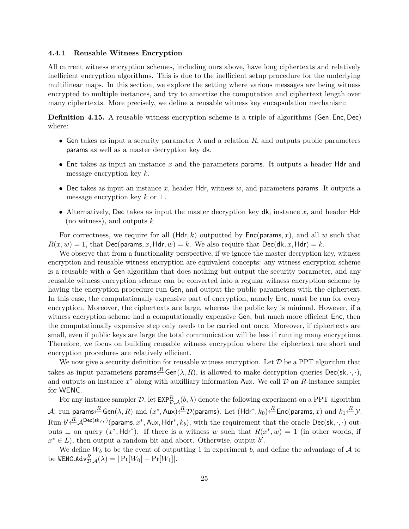#### **4.4.1 Reusable Witness Encryption**

All current witness encryption schemes, including ours above, have long ciphertexts and relatively inefficient encryption algorithms. This is due to the inefficient setup procedure for the underlying multilinear maps. In this section, we explore the setting where various messages are being witness encrypted to multiple instances, and try to amortize the computation and ciphertext length over many ciphertexts. More precisely, we define a reusable witness key encapsulation mechanism:

**Definition 4.15.** A reusable witness encryption scheme is a triple of algorithms (Gen*,* Enc*,* Dec) where:

- Gen takes as input a security parameter  $\lambda$  and a relation  $R$ , and outputs public parameters params as well as a master decryption key dk.
- Enc takes as input an instance *x* and the parameters params. It outputs a header Hdr and message encryption key *k*.
- Dec takes as input an instance *x*, header Hdr, witness *w*, and parameters params. It outputs a message encryption key *k* or ⊥.
- Alternatively, Dec takes as input the master decryption key dk, instance *x*, and header Hdr (no witness), and outputs *k*

For correctness, we require for all (Hdr*, k*) outputted by Enc(params*, x*), and all *w* such that  $R(x, w) = 1$ , that Dec(params, x, Hdr, w) = k. We also require that Dec(dk, x, Hdr) = k.

We observe that from a functionality perspective, if we ignore the master decryption key, witness encryption and reusable witness encryption are equivalent concepts: any witness encryption scheme is a reusable with a Gen algorithm that does nothing but output the security parameter, and any reusable witness encryption scheme can be converted into a regular witness encryption scheme by having the encryption procedure run Gen, and output the public parameters with the ciphertext. In this case, the computationally expensive part of encryption, namely Enc, must be run for every encryption. Moreover, the ciphertexts are large, whereas the public key is minimal. However, if a witness encryption scheme had a computationally expensive Gen, but much more efficient Enc, then the computationally expensive step only needs to be carried out once. Moreover, if ciphertexts are small, even if public keys are large the total communication will be less if running many encryptions. Therefore, we focus on building reusable witness encryption where the ciphertext are short and encryption procedures are relatively efficient.

We now give a security definition for reusable witness encryption. Let  $\mathcal D$  be a PPT algorithm that takes as input parameters  $\mathsf{params} \stackrel{R}{\leftarrow} \mathsf{Gen}(\lambda, R),$  is allowed to make decryption queries  $\mathsf{Dec}(\mathsf{sk}, \cdot, \cdot),$ and outputs an instance  $x^*$  along with auxilliary information Aux. We call  $D$  an *R*-instance sampler for WENC.

For any instance sampler  $D$ , let  $\texttt{EXP}_{\mathcal{D},\mathcal{A}}^R(b,\lambda)$  denote the following experiment on a PPT algorithm  ${\mathcal A}$ : run params $\stackrel{R}{\longleftarrow}$ Gen $(\lambda,R)$  and  $(x^*,\mathsf{Aux})\stackrel{R}{\longleftarrow} \mathcal D(\mathsf{params}).$  Let  $(\mathsf{Hdr}^*,k_0)\stackrel{R}{\longleftarrow}$ Enc(params, $x)$  and  $k_1\stackrel{R}{\longleftarrow} \mathcal Y.$  ${\rm Run} \,\, b' \!\!\leftarrow\!\!\!\!\!\!\!\! \mathcal{A}^{\rm Dec(\mathsf{sk},\cdot,\cdot)}(\mathsf{params},x^*,\mathsf{Aux},\mathsf{Hdr}^*,k_b), \text{ with the requirement that the oracle } \mathsf{Dec}(\mathsf{sk},\cdot,\cdot) \text{ out--}$ puts  $\perp$  on query  $(x^*, \text{Hdr}^*)$ . If there is a witness *w* such that  $R(x^*, w) = 1$  (in other words, if  $x^* \in L$ , then output a random bit and abort. Otherwise, output *b'*.

We define  $W_b$  to be the event of outputting 1 in experiment *b*, and define the advantage of A to  $\text{be WENC.Adv}_{\mathcal{D},\mathcal{A}}^R(\lambda) = |\Pr[W_0] - \Pr[W_1]|.$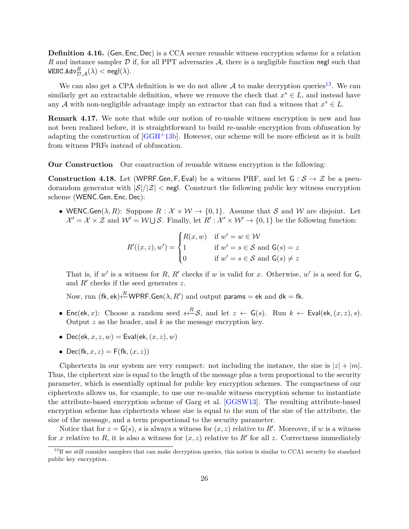**Definition 4.16.** (Gen*,* Enc*,* Dec) is a CCA secure reusable witness encryption scheme for a relation *R* and instance sampler D if, for all PPT adversaries A, there is a negligible function negl such that  $\texttt{WENC.Adv}_{\mathcal{D},\mathcal{A}}^R(\lambda) < \mathsf{negl}(\lambda).$ 

We can also get a CPA definition is we do not allow  $A$  to make decryption queries<sup>[13](#page-25-0)</sup>. We can similarly get an extractable definition, where we remove the check that  $x^* \in L$ , and instead have any A with non-negligible advantage imply an extractor that can find a witness that  $x^* \in L$ .

**Remark 4.17.** We note that while our notion of re-usable witness encryption is new and has not been realized before, it is straightforward to build re-usable encryption from obfuscation by adapting the construction of  $[GGH^+13b]$  $[GGH^+13b]$ . However, our scheme will be more efficient as it is built from witness PRFs instead of obfuscation.

<span id="page-25-1"></span>**Our Construction** Our construction of reusable witness encryption is the following:

**Construction 4.18.** Let (WPRF*.*Gen, F, Eval) be a witness PRF, and let  $G : S \rightarrow \mathcal{Z}$  be a pseudorandom generator with  $|\mathcal{S}|/|\mathcal{Z}|$  < negl. Construct the following public key witness encryption scheme (WENC*.*Gen*,* Enc*,* Dec):

• WENC.Gen( $\lambda$ , R): Suppose  $R : \mathcal{X} \times \mathcal{W} \rightarrow \{0,1\}$ . Assume that S and W are disjoint. Let  $\mathcal{X}' = \mathcal{X} \times \mathcal{Z}$  and  $\mathcal{W}' = \mathcal{W} \cup \mathcal{S}$ . Finally, let  $R' : \mathcal{X}' \times \mathcal{W}' \rightarrow \{0, 1\}$  be the following function:

$$
R'((x, z), w') = \begin{cases} R(x, w) & \text{if } w' = w \in \mathcal{W} \\ 1 & \text{if } w' = s \in \mathcal{S} \text{ and } \mathsf{G}(s) = z \\ 0 & \text{if } w' = s \in \mathcal{S} \text{ and } \mathsf{G}(s) \neq z \end{cases}
$$

That is, if  $w'$  is a witness for *R*, *R'* checks if *w* is valid for *x*. Otherwise,  $w'$  is a seed for  $\mathsf{G}$ , and  $R'$  checks if the seed generates  $z$ .

Now, run (fk, ek) $\stackrel{R}{\longleftarrow}$ WPRF.Gen( $\lambda, R'$ ) and output params = ek and dk = fk.

- Enc(ek, x): Choose a random seed  $s \stackrel{R}{\leftarrow} S$ , and let  $z \leftarrow G(s)$ . Run  $k \leftarrow$  Eval(ek,  $(x, z)$ , s). Output *z* as the header, and *k* as the message encryption key.
- Dec(ek,  $x, z, w$ ) = Eval(ek,  $(x, z)$ , w)
- Dec(fk,  $x, z$ ) = F(fk,  $(x, z)$ )

Ciphertexts in our system are very compact: not including the instance, the size is  $|z| + |m|$ . Thus, the ciphertext size is equal to the length of the message plus a term proportional to the security parameter, which is essentially optimal for public key encryption schemes. The compactness of our ciphertexts allows us, for example, to use our re-usable witness encryption scheme to instantiate the attribute-based encryption scheme of Garg et al. [\[GGSW13\]](#page-49-4). The resulting attribute-based encryption scheme has ciphertexts whose size is equal to the sum of the size of the attribute, the size of the message, and a term proportional to the security parameter.

Notice that for  $z = G(s)$ , *s* is always a witness for  $(x, z)$  relative to R'. Moreover, if w is a witness for *x* relative to *R*, it is also a witness for  $(x, z)$  relative to *R'* for all *z*. Correctness immediately

<span id="page-25-0"></span> $13$ If we still consider samplers that can make decryption queries, this notion is similar to CCA1 security for standard public key encryption.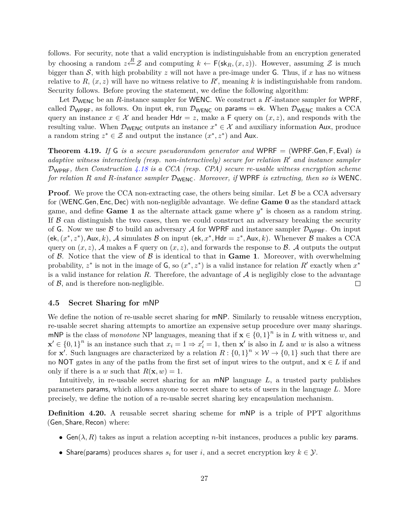follows. For security, note that a valid encryption is indistinguishable from an encryption generated by choosing a random  $z \stackrel{R}{\leftarrow} \mathcal{Z}$  and computing  $k \leftarrow \mathsf{F}(\mathsf{sk}_R,(x,z))$ . However, assuming  $\mathcal{Z}$  is much bigger than  $S$ , with high probability  $z$  will not have a pre-image under  $G$ . Thus, if  $x$  has no witness relative to  $R$ ,  $(x, z)$  will have no witness relative to  $R'$ , meaning k is indistinguishable from random. Security follows. Before proving the statement, we define the following algorithm:

Let  $\mathcal{D}_{\text{WENC}}$  be an *R*-instance sampler for WENC. We construct a *R'*-instance sampler for WPRF, called  $\mathcal{D}_{\text{WPRF}}$ , as follows. On input ek, run  $\mathcal{D}_{\text{WENC}}$  on params = ek. When  $\mathcal{D}_{\text{WENC}}$  makes a CCA query an instance  $x \in \mathcal{X}$  and header  $Hdr = z$ , make a F query on  $(x, z)$ , and responds with the resulting value. When  $\mathcal{D}_{WENC}$  outputs an instance  $x^* \in \mathcal{X}$  and auxiliary information Aux, produce a random string  $z^* \in \mathcal{Z}$  and output the instance  $(x^*, z^*)$  and Aux.

**Theorem 4.19.** *If* G *is a secure pseudorandom generator and* WPRF = (WPRF*.*Gen*,* F*,* Eval) *is adaptive witness interactively (resp. non-interactively) secure for relation R*<sup>0</sup> *and instance sampler* DWPRF*, then Construction [4.18](#page-25-1) is a CCA (resp. CPA) secure re-usable witness encryption scheme for relation R and R-instance sampler* DWENC*. Moreover, if* WPRF *is extracting, then so is* WENC*.*

**Proof**. We prove the CCA non-extracting case, the others being similar. Let  $\beta$  be a CCA adversary for (WENC*.*Gen*,* Enc*,* Dec) with non-negligible advantage. We define **Game 0** as the standard attack game, and define **Game 1** as the alternate attack game where  $y^*$  is chosen as a random string. If  $\beta$  can distinguish the two cases, then we could construct an adversary breaking the security of G. Now we use B to build an adversary A for WPRF and instance sampler  $\mathcal{D}_{WPRF}$ . On input  $(\mathsf{ek}, (x^*, z^*), \mathsf{Aux}, k), \mathcal{A}$  simulates  $\mathcal B$  on input  $(\mathsf{ek}, x^*, \mathsf{Hdr} = z^*, \mathsf{Aux}, k)$ . Whenever  $\mathcal B$  makes a CCA query on  $(x, z)$ , A makes a F query on  $(x, z)$ , and forwards the response to B. A outputs the output of  $\beta$ . Notice that the view of  $\beta$  is identical to that in **Game 1**. Moreover, with overwhelming probability,  $z^*$  is not in the image of G, so  $(x^*, z^*)$  is a valid instance for relation  $R'$  exactly when  $x^*$ is a valid instance for relation  $R$ . Therefore, the advantage of  $A$  is negligibly close to the advantage of  $\beta$ , and is therefore non-negligible.  $\Box$ 

#### <span id="page-26-0"></span>**4.5 Secret Sharing for** mNP

We define the notion of re-usable secret sharing for **mNP**. Similarly to reusable witness encryption, re-usable secret sharing attempts to amortize an expensive setup procedure over many sharings. mNP is the class of *monotone* NP languages, meaning that if  $\mathbf{x} \in \{0,1\}^n$  is in *L* with witness *w*, and  $\mathbf{x}' \in \{0,1\}^n$  is an instance such that  $x_i = 1 \Rightarrow x'_i = 1$ , then  $\mathbf{x}'$  is also in *L* and *w* is also a witness for **x**<sup>'</sup>. Such languages are characterized by a relation  $R: \{0,1\}^n \times W \to \{0,1\}$  such that there are no NOT gates in any of the paths from the first set of input wires to the output, and **x** ∈ *L* if and only if there is a *w* such that  $R(\mathbf{x}, w) = 1$ .

Intuitively, in re-usable secret sharing for an mNP language *L*, a trusted party publishes parameters params, which allows anyone to secret share to sets of users in the language *L*. More precisely, we define the notion of a re-usable secret sharing key encapsulation mechanism.

**Definition 4.20.** A reusable secret sharing scheme for mNP is a triple of PPT algorithms (Gen*,* Share*,* Recon) where:

- Gen( $\lambda$ , R) takes as input a relation accepting *n*-bit instances, produces a public key params.
- Share(params) produces shares  $s_i$  for user *i*, and a secret encryption key  $k \in \mathcal{Y}$ .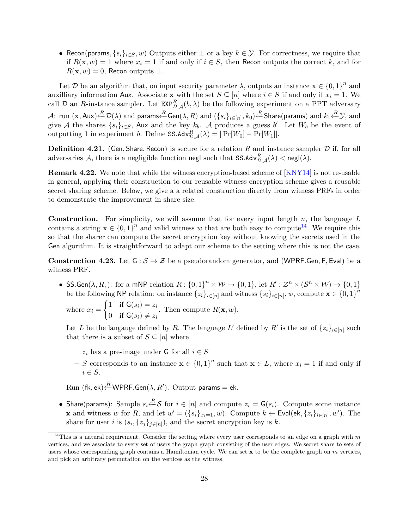• Recon(params,  $\{s_i\}_{i\in S}, w$ ) Outputs either  $\perp$  or a key  $k \in \mathcal{Y}$ . For correctness, we require that if  $R(\mathbf{x}, w) = 1$  where  $x_i = 1$  if and only if  $i \in S$ , then Recon outputs the correct k, and for  $R(\mathbf{x}, w) = 0$ , Recon outputs  $\perp$ .

Let D be an algorithm that, on input security parameter  $\lambda$ , outputs an instance  $\mathbf{x} \in \{0,1\}^n$  and auxilliary information Aux. Associate **x** with the set  $S \subseteq [n]$  where  $i \in S$  if and only if  $x_i = 1$ . We call D an *R*-instance sampler. Let  $\text{EXP}_{\mathcal{D},\mathcal{A}}^R(b,\lambda)$  be the following experiment on a PPT adversary  ${\cal A}\colon \text{run }(\mathbf{x}, \mathsf{Aux})$   $\overset{R}{\leftarrow} \mathcal{D}(\lambda)$  and params $\overset{R}{\leftarrow} \mathsf{Gen}(\lambda, R)$  and  $(\{s_i\}_{i\in [n]}, k_0)$   $\overset{R}{\leftarrow} \mathsf{Share}(\mathsf{params})$  and  $k_1$   $\overset{R}{\leftarrow} \mathcal{Y},$  and give A the shares  $\{s_i\}_{i\in S}$ , Aux and the key  $k_b$ . A produces a guess *b'*. Let  $W_b$  be the event of outputting 1 in experiment *b*. Define  $SS.Adv_{\mathcal{D},\mathcal{A}}^R(\lambda) = |\Pr[W_0] - \Pr[W_1]|$ .

**Definition 4.21.** (Gen, Share, Recon) is secure for a relation  $R$  and instance sampler  $D$  if, for all adversaries  $\mathcal{A}$ , there is a negligible function negl such that  $SS.Ad v_{\mathcal{D},\mathcal{A}}^R(\lambda) <$  negl $(\lambda).$ 

**Remark 4.22.** We note that while the witness encryption-based scheme of [\[KNY14\]](#page-49-1) is not re-usable in general, applying their construction to our reusable witness encryption scheme gives a reusable secret sharing scheme. Below, we give a a related construction directly from witness PRFs in order to demonstrate the improvement in share size.

**Construction.** For simplicity, we will assume that for every input length *n*, the language *L* contains a string  $\mathbf{x} \in \{0,1\}^n$  and valid witness *w* that are both easy to compute<sup>[14](#page-27-0)</sup>. We require this so that the sharer can compute the secret encryption key without knowing the secrets used in the Gen algorithm. It is straightforward to adapt our scheme to the setting where this is not the case.

**Construction 4.23.** Let  $G : \mathcal{S} \to \mathcal{Z}$  be a pseudorandom generator, and (WPRF.Gen, F, Eval) be a witness PRF.

• SS. Gen( $\lambda$ ,  $R$ ,): for a mNP relation  $R: \{0,1\}^n \times W \to \{0,1\}$ , let  $R': \mathcal{Z}^n \times (\mathcal{S}^n \times W) \to \{0,1\}$ be the following NP relation: on instance  $\{z_i\}_{i \in [n]}$  and witness  $\{s_i\}_{i \in [n]}, w$ , compute  $\mathbf{x} \in \{0, 1\}^n$ 

where  $x_i =$  $\int 1$  if  $G(s_i) = z_i$ 0 if  $G(s_i) \neq z_i$ . Then compute  $R(\mathbf{x}, w)$ .

Let *L* be the language defined by *R*. The language *L*<sup>'</sup> defined by *R*<sup>'</sup> is the set of  $\{z_i\}_{i\in[n]}$  such that there is a subset of  $S \subseteq [n]$  where

- **–** *z<sup>i</sup>* has a pre-image under G for all *i* ∈ *S*
- **−** *S* corresponds to an instance  $\mathbf{x} \in \{0,1\}^n$  such that  $\mathbf{x} \in L$ , where  $x_i = 1$  if and only if *i* ∈ *S*.

 $\mathrm{Run}\; (\mathsf{fk}, \mathsf{ek}){\xleftarrow{R}}\mathsf{WPRF}.\mathsf{Gen}(\lambda, R').\;\mathrm{Output}\;\mathsf{params} = \mathsf{ek}.$ 

• Share(params): Sample  $s_i \stackrel{R}{\leftarrow} S$  for  $i \in [n]$  and compute  $z_i = G(s_i)$ . Compute some instance **x** and witness *w* for *R*, and let  $w' = (\{s_i\}_{x_i=1}, w)$ . Compute  $k \leftarrow \textsf{Eval}(\textsf{ek}, \{z_i\}_{i \in [n]}, w')$ . The share for user *i* is  $(s_i, \{z_j\}_{j \in [n]})$ , and the secret encryption key is *k*.

<span id="page-27-0"></span><sup>&</sup>lt;sup>14</sup>This is a natural requirement. Consider the setting where every user corresponds to an edge on a graph with  $m$ vertices, and we associate to every set of users the graph graph consisting of the user edges. We secret share to sets of users whose corresponding graph contains a Hamiltonian cycle. We can set **x** to be the complete graph on *m* vertices, and pick an arbitrary permutation on the vertices as the witness.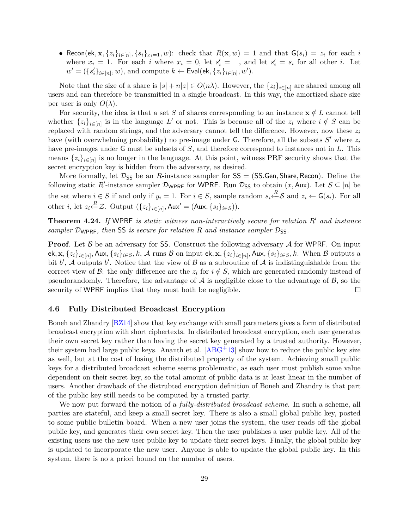• Recon(ek,  $\mathbf{x}, \{z_i\}_{i\in[n]}, \{s_i\}_{x_i=1}, w)$ : check that  $R(\mathbf{x}, w) = 1$  and that  $\mathsf{G}(s_i) = z_i$  for each  $i$ where  $x_i = 1$ . For each *i* where  $x_i = 0$ , let  $s'_i = \perp$ , and let  $s'_i = s_i$  for all other *i*. Let  $w' = (\{s'_i\}_{i \in [n]}, w)$ , and compute  $k \leftarrow \textsf{Eval}(\textsf{ek}, \{z_i\}_{i \in [n]}, w')$ .

Note that the size of a share is  $|s| + n|z| \in O(n\lambda)$ . However, the  $\{z_i\}_{i \in [n]}$  are shared among all users and can therefore be transmitted in a single broadcast. In this way, the amortized share size per user is only  $O(\lambda)$ .

For security, the idea is that a set *S* of shares corresponding to an instance  $\mathbf{x} \notin L$  cannot tell whether  $\{z_i\}_{i\in[n]}$  is in the language L' or not. This is because all of the  $z_i$  where  $i \notin S$  can be replaced with random strings, and the adversary cannot tell the difference. However, now these *z<sup>i</sup>* have (with overwhelming probability) no pre-image under  $G$ . Therefore, all the subsets  $S'$  where  $z_i$ have pre-images under G must be subsets of *S*, and therefore correspond to instances not in *L*. This means  $\{z_i\}_{i\in[n]}$  is no longer in the language. At this point, witness PRF security shows that the secret encryption key is hidden from the adversary, as desired.

More formally, let  $\mathcal{D}_{SS}$  be an *R*-instance sampler for  $SS = (SS.Gen, Share, Recon)$ . Define the following static *R*<sup> $\prime$ </sup>-instance sampler  $\mathcal{D}_{\text{WPRF}}$  for WPRF. Run  $\mathcal{D}_{SS}$  to obtain  $(x, \text{Aux})$ . Let  $S \subseteq [n]$  be the set where  $i \in S$  if and only if  $y_i = 1$ . For  $i \in S$ , sample random  $s_i \stackrel{R}{\leftarrow} S$  and  $z_i \leftarrow G(s_i)$ . For all other *i*, let  $z_i \stackrel{R}{\leftarrow} \mathcal{Z}$ . Output  $(\{z_i\}_{i \in [n]}, \text{Aux'} = (\text{Aux}, \{s_i\}_{i \in S}))$ .

**Theorem 4.24.** If WPRF is static witness non-interactively secure for relation R' and instance *sampler*  $\mathcal{D}_{\text{WPRF}}$ *, then* SS *is secure for relation R and instance sampler*  $\mathcal{D}_{\text{SS}}$ *.* 

**Proof**. Let  $\beta$  be an adversary for SS. Construct the following adversary  $\mathcal A$  for WPRF. On input ek,  $\mathbf{x},\{z_i\}_{i\in[n]},$  Aux,  $\{s_i\}_{i\in S},k$ ,  $\mathcal A$  runs  $\mathcal B$  on input ek,  $\mathbf{x},\{z_i\}_{i\in[n]},$  Aux,  $\{s_i\}_{i\in S},k$ . When  $\mathcal B$  outputs a bit  $b'$ , A outputs  $b'$ . Notice that the view of  $\beta$  as a subroutine of A is indistinguishable from the correct view of B: the only difference are the  $z_i$  for  $i \notin S$ , which are generated randomly instead of pseudorandomly. Therefore, the advantage of  $A$  is negligible close to the advantage of  $B$ , so the security of WPRF implies that they must both be negligible.  $\Box$ 

### <span id="page-28-0"></span>**4.6 Fully Distributed Broadcast Encryption**

Boneh and Zhandry [\[BZ14\]](#page-48-1) show that key exchange with small parameters gives a form of distributed broadcast encryption with short ciphertexts. In distributed broadcast encryption, each user generates their own secret key rather than having the secret key generated by a trusted authority. However, their system had large public keys. Ananth et al.  $[ABC^+13]$  show how to reduce the public key size as well, but at the cost of losing the distributed property of the system. Achieving small public keys for a distributed broadcast scheme seems problematic, as each user must publish some value dependent on their secret key, so the total amount of public data is at least linear in the number of users. Another drawback of the distrubted encryption definition of Boneh and Zhandry is that part of the public key still needs to be computed by a trusted party.

We now put forward the notion of a *fully-distributed broadcast scheme*. In such a scheme, all parties are stateful, and keep a small secret key. There is also a small global public key, posted to some public bulletin board. When a new user joins the system, the user reads off the global public key, and generates their own secret key. Then the user publishes a user public key. All of the existing users use the new user public key to update their secret keys. Finally, the global public key is updated to incorporate the new user. Anyone is able to update the global public key. In this system, there is no a priori bound on the number of users.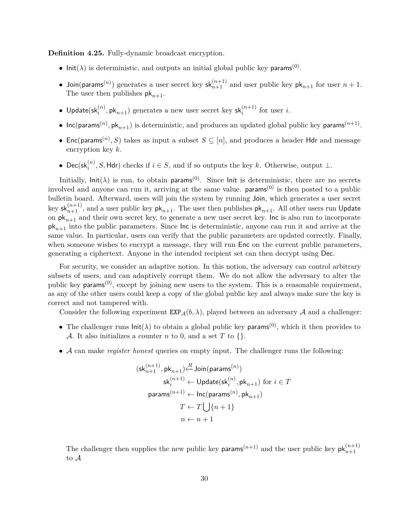**Definition 4.25.** Fully-dynamic broadcast encryption.

- $\textsf{Init}(\lambda)$  is deterministic, and outputs an initial global public key params<sup>(0)</sup>.
- Join(params<sup>(*n*)</sup>)</sub> generates a user secret key  $sk_{n+1}^{(n+1)}$  and user public key  $pk_{n+1}$  for user  $n+1$ . The user then publishes  $pk_{n+1}$ .
- $\bullet$  Update(sk $_i^{(n)},$  pk $_{n+1}$ ) generates a new user secret key sk $_i^{(n+1)}$  for user *i*.
- $Inc(params<sup>(n)</sup>, pk<sub>n+1</sub>)$  is deterministic, and produces an updated global public key params<sup> $(n+1)$ </sup>.
- Enc(params<sup>(*n*)</sup>, *S*) takes as input a subset  $S \subseteq [n]$ , and produces a header Hdr and message encryption key *k*.
- Dec(sk $_i^{(n)}$ , *S*, Hdr) checks if  $i \in S$ , and if so outputs the key *k*. Otherwise, output ⊥.

Initially,  $\text{Init}(\lambda)$  is run, to obtain params<sup>(0)</sup>. Since lnit is deterministic, there are no secrets involved and anyone can run it, arriving at the same value.  $\mathsf{params}^{(0)}$  is then posted to a public bulletin board. Afterward, users will join the system by running Join, which generates a user secret key  $\mathsf{sk}_{n+1}^{(n+1)}$ , and a user public key  $\mathsf{pk}_{n+1}.$  The user then publishes  $\mathsf{pk}_{n+1}.$  All other users run <code>Update</code> on  $pk_{n+1}$  and their own secret key, to generate a new user secret key. Inc is also run to incorporate pk*n*+1 into the public parameters. Since Inc is deterministic, anyone can run it and arrive at the same value. In particular, users can verify that the public parameters are updated correctly. Finally, when someone wishes to encrypt a message, they will run Enc on the current public parameters, generating a ciphertext. Anyone in the intended recipient set can then decrypt using Dec.

For security, we consider an adaptive notion. In this notion, the adversary can control arbitrary subsets of users, and can adaptively corrupt them. We do not allow the adversary to alter the public key params<sup> $(0)$ </sup>, except by joining new users to the system. This is a reasonable requirement, as any of the other users could keep a copy of the global public key and always make sure the key is correct and not tampered with.

Consider the following experiment  $\text{EXP}_{\mathcal{A}}(b,\lambda)$ , played between an adversary  $\mathcal A$  and a challenger:

- The challenger runs  $\text{Init}(\lambda)$  to obtain a global public key params<sup>(0)</sup>, which it then provides to A. It also initializes a counter *n* to 0, and a set *T* to  $\{ \}$ .
- A can make *register honest* queries on empty input. The challenger runs the following:

$$
(\mathsf{sk}_{n+1}^{(n+1)},\mathsf{pk}_{n+1})\underset{\mathsf{sk}_{i}^{(n+1)}\leftarrow \mathsf{Join}(\mathsf{params}^{(n)})}{\mathsf{sk}_{i}^{(n+1)}\leftarrow \mathsf{Update}(\mathsf{sk}_{i}^{(n)},\mathsf{pk}_{n+1}) \text{ for } i\in T}
$$
\n
$$
\mathsf{params}^{(n+1)}\leftarrow \mathsf{Inc}(\mathsf{params}^{(n)},\mathsf{pk}_{n+1})
$$
\n
$$
T\leftarrow T\bigcup\{n+1\}
$$
\n
$$
n\leftarrow n+1
$$

The challenger then supplies the new public key params<sup> $(n+1)$ </sup> and the user public key  $pk_{n+1}^{(n+1)}$ to A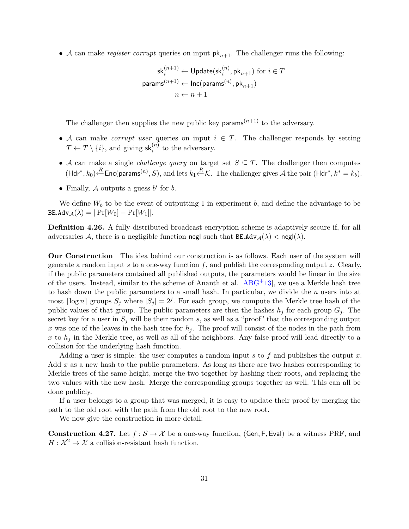• A can make *register corrupt* queries on input  $pk_{n+1}$ . The challenger runs the following:

$$
\mathsf{sk}_i^{(n+1)} \leftarrow \mathsf{Update}(\mathsf{sk}_i^{(n)}, \mathsf{pk}_{n+1}) \text{ for } i \in T
$$
\n
$$
\mathsf{params}^{(n+1)} \leftarrow \mathsf{Inc}(\mathsf{params}^{(n)}, \mathsf{pk}_{n+1})
$$
\n
$$
n \leftarrow n+1
$$

The challenger then supplies the new public key params<sup> $(n+1)$ </sup> to the adversary.

- A can make *corrupt user* queries on input  $i \in T$ . The challenger responds by setting  $T \leftarrow T \setminus \{i\}$ , and giving  $\mathsf{sk}_{i}^{(n)}$  to the adversary.
- A can make a single *challenge query* on target set  $S \subseteq T$ . The challenger then computes  $(Hdr^*, k_0) \stackrel{R}{\leftarrow} \textsf{Enc}(\textsf{params}^{(n)}, S)$ , and lets  $k_1 \stackrel{R}{\leftarrow} \mathcal{K}$ . The challenger gives A the pair  $(Hdr^*, k^* = k_b)$ .
- Finally,  $A$  outputs a guess  $b'$  for  $b$ .

We define  $W_b$  to be the event of outputting 1 in experiment *b*, and define the advantage to be  $B\mathsf{E}.\mathsf{Adv}_{\mathcal{A}}(\lambda) = |\Pr[W_0] - \Pr[W_1]|.$ 

**Definition 4.26.** A fully-distributed broadcast encryption scheme is adaptively secure if, for all adversaries A, there is a negligible function negl such that  $B\text{E.Adv}_{\mathcal{A}}(\lambda) < \text{negl}(\lambda)$ .

**Our Construction** The idea behind our construction is as follows. Each user of the system will generate a random input *s* to a one-way function *f*, and publish the corresponding output *z*. Clearly, if the public parameters contained all published outputs, the parameters would be linear in the size of the users. Instead, similar to the scheme of Ananth et al. [\[ABG](#page-47-1)+13], we use a Merkle hash tree to hash down the public parameters to a small hash. In particular, we divide the *n* users into at most  $\lceil \log n \rceil$  groups  $S_j$  where  $|S_j| = 2^j$ . For each group, we compute the Merkle tree hash of the public values of that group. The public parameters are then the hashes  $h_j$  for each group  $G_j$ . The secret key for a user in  $S_j$  will be their random *s*, as well as a "proof" that the corresponding output *x* was one of the leaves in the hash tree for  $h_j$ . The proof will consist of the nodes in the path from x to  $h_j$  in the Merkle tree, as well as all of the neighbors. Any false proof will lead directly to a collision for the underlying hash function.

Adding a user is simple: the user computes a random input *s* to *f* and publishes the output *x*. Add x as a new hash to the public parameters. As long as there are two hashes corresponding to Merkle trees of the same height, merge the two together by hashing their roots, and replacing the two values with the new hash. Merge the corresponding groups together as well. This can all be done publicly.

If a user belongs to a group that was merged, it is easy to update their proof by merging the path to the old root with the path from the old root to the new root.

We now give the construction in more detail:

<span id="page-30-0"></span>**Construction 4.27.** Let  $f : \mathcal{S} \to \mathcal{X}$  be a one-way function, (Gen, F, Eval) be a witness PRF, and  $H: \mathcal{X}^2 \to \mathcal{X}$  a collision-resistant hash function.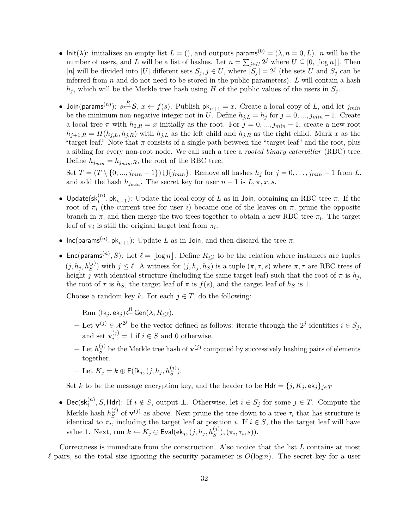- Init( $\lambda$ ): initializes an empty list  $L = ($ ), and outputs params<sup>(0)</sup> = ( $\lambda$ ,  $n = 0, L$ ). *n* will be the number of users, and *L* will be a list of hashes. Let  $n = \sum_{j \in U} 2^j$  where  $U \subseteq [0, \lfloor \log n \rfloor]$ . Then [*n*] will be divided into |*U*| different sets  $S_j$ ,  $j \in U$ , where  $|\overline{S}_j| = 2^j$  (the sets *U* and  $S_j$  can be inferred from *n* and do not need to be stored in the public parameters). *L* will contain a hash  $h_j$ , which will be the Merkle tree hash using *H* of the public values of the users in  $S_j$ .
- $\bullet$  Join(params<sup>(*n*)</sup>):  $s \stackrel{R}{\leftarrow} S$ ,  $x \leftarrow f(s)$ . Publish pk<sub>*n*+1</sub> = *x*. Create a local copy of *L*, and let  $j_{min}$ be the minimum non-negative integer not in *U*. Define  $h_{j,L} = h_j$  for  $j = 0, ..., j_{min} - 1$ . Create a local tree  $\pi$  with  $h_{0,R} = x$  initially as the root. For  $j = 0, ..., j_{min} - 1$ , create a new root  $h_{j+1,R} = H(h_{j,L}, h_{j,R})$  with  $h_{j,L}$  as the left child and  $h_{j,R}$  as the right child. Mark *x* as the "target leaf." Note that  $\pi$  consists of a single path between the "target leaf" and the root, plus a sibling for every non-root node. We call such a tree a *rooted binary caterpillar* (RBC) tree. Define  $h_{j_{min}} = h_{j_{min},R}$ , the root of the RBC tree.

Set  $T = (T \setminus \{0, ..., j_{min} - 1\}) \cup \{j_{min}\}.$  Remove all hashes  $h_j$  for  $j = 0, ..., j_{min} - 1$  from *L*, and add the hash  $h_{j_{min}}$ . The secret key for user  $n+1$  is  $L, \pi, x, s$ .

- Update(sk<sub>i</sub><sup>(n)</sup>, pk<sub>n+1</sub>): Update the local copy of *L* as in Join, obtaining an RBC tree  $\pi$ . If the root of  $π<sub>i</sub>$  (the current tree for user *i*) became one of the leaves on  $π$ , prune the opposite branch in  $\pi$ , and then merge the two trees together to obtain a new RBC tree  $\pi_i$ . The target leaf of  $\pi_i$  is still the original target leaf from  $\pi_i$ .
- Inc(params<sup>(*n*)</sup>,  $\mathsf{pk}_{n+1}$ ): Update *L* as in Join, and then discard the tree  $\pi$ .
- Enc(params<sup>(*n*)</sup>, *S*): Let  $\ell = \lfloor \log n \rfloor$ . Define  $R_{\leq \ell}$  to be the relation where instances are tuples  $(j, h_j, h_S^{(j)})$  with  $j \leq \ell$ . A witness for  $(j, h_j, h_S)$  is a tuple  $(\pi, \tau, s)$  where  $\pi, \tau$  are RBC trees of height *j* with identical structure (including the same target leaf) such that the root of  $\pi$  is  $h_j$ , the root of  $\tau$  is  $h_S$ , the target leaf of  $\pi$  is  $f(s)$ , and the target leaf of  $h_S$  is 1.

Choose a random key k. For each  $j \in T$ , do the following:

- $-$  Run (fk $_j,$  ek $_j$ )⊹ $\stackrel{R}{\leftarrow}$ Gen( $\lambda, R_{\leq \ell}$ ).
- $\mathbf{I}$  − Let  $\mathbf{v}^{(j)} \in \mathcal{X}^{2^j}$  be the vector defined as follows: iterate through the  $2^j$  identities  $i \in S_j$ , and set  $\mathbf{v}_i^{(j)} = 1$  if  $i \in S$  and 0 otherwise.
- $-$  Let  $h_S^{(j)}$  $S^{(j)}$  be the Merkle tree hash of  $\mathbf{v}^{(j)}$  computed by successively hashing pairs of elements together.
- $-$  Let  $K_j = k \oplus \mathsf{F}(\mathsf{fk}_j, (j, h_j, h_S^{(j)})).$

Set *k* to be the message encryption key, and the header to be  $Hdr = \{j, K_j, ek_j\}_{j \in T}$ 

• Dec(sk $_i^{(n)}$ , *S*, Hdr): If  $i \notin S$ , output ⊥. Otherwise, let  $i \in S_j$  for some  $j \in T$ . Compute the Merkle hash  $h_S^{(j)}$  $S^{(j)}$  of  $\mathbf{v}^{(j)}$  as above. Next prune the tree down to a tree  $\tau_i$  that has structure is identical to  $\pi_i$ , including the target leaf at position *i*. If  $i \in S$ , the the target leaf will have value 1. Next, run  $k \leftarrow K_j \oplus \textsf{Eval}(\textsf{ek}_j, (j, h_j, h_S^{(j)}), (\pi_i, \tau_i, s)).$ 

Correctness is immediate from the construction. Also notice that the list *L* contains at most  $\ell$  pairs, so the total size ignoring the security parameter is  $O(\log n)$ . The secret key for a user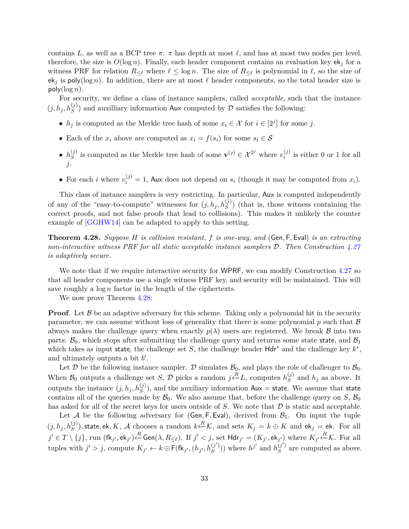contains L, as well as a BCP tree  $\pi$ .  $\pi$  has depth at most  $\ell$ , and has at most two nodes per level. therefore, the size is  $O(\log n)$ . Finally, each header component contains an evaluation key ek<sub>j</sub> for a witness PRF for relation  $R_{\leq \ell}$  where  $\ell \leq \log n$ . The size of  $R_{\leq \ell}$  is polynomial in  $\ell$ , so the size of  $ek_j$  is poly(log *n*). In addition, there are at most  $\ell$  header components, so the total header size is  $poly(log n)$ .

For security, we define a class of instance samplers, called *acceptable*, such that the instance  $(j, h_j, h_S^{(j)})$  and auxilliary information Aux computed by  $\mathcal D$  satisfies the following:

- $h_j$  is computed as the Merkle tree hash of some  $x_i \in \mathcal{X}$  for  $i \in [2^j]$  for some *j*.
- Each of the  $x_i$  above are computed as  $x_i = f(s_i)$  for some  $s_i \in \mathcal{S}$
- $\bullet$   $h_S^{(j)}$ *S*<sup>(*j*)</sup> is computed as the Merkle tree hash of some **v**<sup>(*j*)</sup> ∈  $\mathcal{X}^{2j}$  where  $v_i^{(j)}$  $i^{(j)}$  is either 0 or 1 for all *j*.
- For each *i* where  $v_i^{(j)} = 1$ , Aux does not depend on  $s_i$  (though it may be computed from  $x_i$ ).

This class of instance samplers is very restricting. In particular, Aux is computed independently of any of the "easy-to-compute" witnesses for  $(j, h_j, h_S^{(j)})$  (that is, those witness containing the correct proofs, and not false proofs that lead to collisions). This makes it unlikely the counter example of [\[GGHW14\]](#page-49-9) can be adapted to apply to this setting.

<span id="page-32-0"></span>**Theorem 4.28.** *Suppose H is collision resistant, f is one-way, and* (Gen*,* F*,* Eval) *is an extracting non-interactive witness PRF for all static acceptable instance samplers* D*. Then Construction [4.27](#page-30-0) is adaptively secure.*

We note that if we require interactive security for WPRF, we can modify Construction [4.27](#page-30-0) so that all header components use a single witness PRF key, and security will be maintained. This will save roughly a  $\log n$  factor in the length of the ciphertexts.

We now prove Theorem [4.28:](#page-32-0)

**Proof.** Let  $\beta$  be an adaptive adversary for this scheme. Taking only a polynomial hit in the security parameter, we can assume without loss of generality that there is some polynomial *p* such that B always makes the challenge query when exactly  $p(\lambda)$  users are registered. We break B into two parts:  $\mathcal{B}_0$ , which stops after submitting the challenge query and returns some state state, and  $\mathcal{B}_1$ which takes as input state, the challenge set *S*, the challenge header  $Hdr^*$  and the challenge key  $k^*$ , and ultimately outputs a bit  $b'$ .

Let  $D$  be the following instance sampler.  $D$  simulates  $B_0$ , and plays the role of challenger to  $B_0$ . When  $\mathcal{B}_0$  outputs a challenge set *S*,  $\mathcal{D}$  picks a random  $j \stackrel{R}{\leftarrow} L$ , computes  $h_S^{(j)}$  $S<sup>(J)</sup>$  and  $h_j$  as above. It outputs the instance  $(j, h_j, h_S^{(j)})$ , and the auxiliary information  $Au =$  state. We assume that state contains all of the queries made by  $\mathcal{B}_0$ . We also assume that, before the challenge query on *S*,  $\mathcal{B}_0$ has asked for all of the secret keys for users outside of *S*. We note that *D* is static and acceptable.

Let A be the following adversary for  $(Gen, F, Eval)$ , derived from  $\mathcal{B}_1$ . On input the tuple  $(j, h_j, h_S^{(j)})$ , state, ek, K, A chooses a random  $k \stackrel{R}{\leftarrow} \mathcal{K}$ , and sets  $K_j = k \oplus K$  and ek<sub>j</sub> = ek. For all  $j'\in T\setminus\{j\},$  run (fk $_{j'},$ ek $_{j'})$  $\stackrel{R}{\leftarrow}$ Gen $(\lambda,R_{\leq \ell}).$  If  $j'< j,$  set  $\mathsf{Hdr}_{j'}=(K_{j'},\mathsf{ek}_{j'})$  where  $K_{j'}\stackrel{R}{\leftarrow} \mathcal{K}.$  For all tuples with  $j' > j$ , compute  $K_{j'} \leftarrow k \oplus \overline{\mathsf{F}}(\mathsf{fk}_{j'}, (h_{j'}, h_S^{(j')}))$  $S^{(j')})$ ) where  $h^{j'}$  and  $h^{(j')}_S$  $S<sup>(J')</sup>$  are computed as above.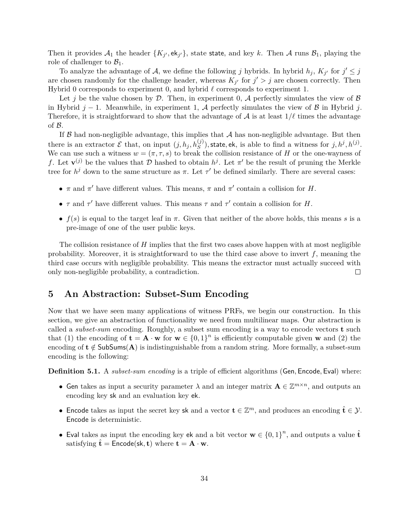Then it provides  $A_1$  the header  $\{K_{j'}, \mathsf{ek}_{j'}\}$ , state state, and key k. Then A runs  $B_1$ , playing the role of challenger to  $\mathcal{B}_1$ .

To analyze the advantage of A, we define the following *j* hybrids. In hybrid  $h_j$ ,  $K_{j'}$  for  $j' \leq j$ are chosen randomly for the challenge header, whereas  $K_{j'}$  for  $j' > j$  are chosen correctly. Then Hybrid 0 corresponds to experiment 0, and hybrid  $\ell$  corresponds to experiment 1.

Let *j* be the value chosen by  $D$ . Then, in experiment 0,  $A$  perfectly simulates the view of  $B$ in Hybrid  $j-1$ . Meanwhile, in experiment 1, A perfectly simulates the view of B in Hybrid *j*. Therefore, it is straightforward to show that the advantage of  $A$  is at least  $1/\ell$  times the advantage of  $\mathcal{B}$ .

If  $\beta$  had non-negligible advantage, this implies that  $\mathcal A$  has non-negligible advantage. But then there is an extractor  $\mathcal E$  that, on input  $(j, h_j, h_S^{(j)})$ , state, ek, is able to find a witness for  $j, h^j, h^{(j)}$ . We can use such a witness  $w = (\pi, \tau, s)$  to break the collision resistance of *H* or the one-wayness of *f*. Let  $\mathbf{v}^{(j)}$  be the values that D hashed to obtain  $h^j$ . Let  $\pi'$  be the result of pruning the Merkle tree for  $h^j$  down to the same structure as  $\pi$ . Let  $\tau'$  be defined similarly. There are several cases:

- *π* and  $\pi'$  have different values. This means,  $\pi$  and  $\pi'$  contain a collision for *H*.
- *τ* and  $\tau'$  have different values. This means  $\tau$  and  $\tau'$  contain a collision for *H*.
- *f*(*s*) is equal to the target leaf in *π*. Given that neither of the above holds, this means *s* is a pre-image of one of the user public keys.

The collision resistance of *H* implies that the first two cases above happen with at most negligible probability. Moreover, it is straightforward to use the third case above to invert  $f$ , meaning the third case occurs with negligible probability. This means the extractor must actually succeed with only non-negligible probability, a contradiction.  $\Box$ 

## <span id="page-33-0"></span>**5 An Abstraction: Subset-Sum Encoding**

Now that we have seen many applications of witness PRFs, we begin our construction. In this section, we give an abstraction of functionality we need from multilinear maps. Our abstraction is called a *subset-sum* encoding. Roughly, a subset sum encoding is a way to encode vectors **t** such that (1) the encoding of  $\mathbf{t} = \mathbf{A} \cdot \mathbf{w}$  for  $\mathbf{w} \in \{0,1\}^n$  is efficiently computable given **w** and (2) the encoding of  $t \notin SubSums(A)$  is indistinguishable from a random string. More formally, a subset-sum encoding is the following:

**Definition 5.1.** A *subset-sum encoding* is a triple of efficient algorithms (Gen*,* Encode*,* Eval) where:

- Gen takes as input a security parameter  $\lambda$  and an integer matrix  $\mathbf{A} \in \mathbb{Z}^{m \times n}$ , and outputs an encoding key sk and an evaluation key ek.
- Encode takes as input the secret key sk and a vector  $\mathbf{t} \in \mathbb{Z}^m$ , and produces an encoding  $\hat{\mathbf{t}} \in \mathcal{Y}$ . Encode is deterministic.
- Eval takes as input the encoding key ek and a bit vector  $\mathbf{w} \in \{0,1\}^n$ , and outputs a value  $\hat{\mathbf{t}}$ satisfying  $\hat{\mathbf{t}} =$  Encode(sk, **t**) where  $\mathbf{t} = \mathbf{A} \cdot \mathbf{w}$ .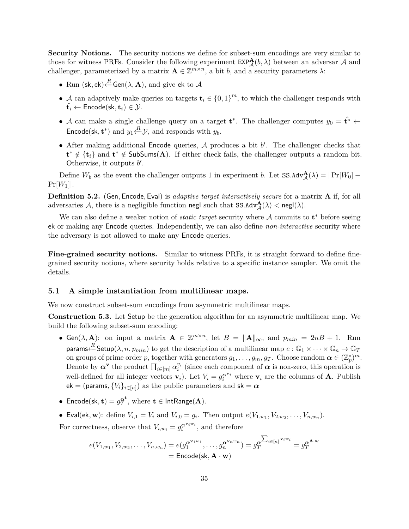**Security Notions.** The security notions we define for subset-sum encodings are very similar to those for witness PRFs. Consider the following experiment  $\text{EXP}_{\mathcal{A}}^{\mathbf{A}}(b,\lambda)$  between an adversar  $\mathcal{A}$  and challenger, parameterized by a matrix  $\mathbf{A} \in \mathbb{Z}^{m \times n}$ , a bit *b*, and a security parameters  $\lambda$ :

- Run (sk, ek) $\xleftarrow{R}$  Gen( $\lambda$ , **A**), and give ek to A
- A can adaptively make queries on targets  $\mathbf{t}_i \in \{0,1\}^m$ , to which the challenger responds with  $\hat{\mathbf{t}_i} \leftarrow$  Encode(sk,  $\mathbf{t}_i$ )  $\in \mathcal{Y}$ .
- A can make a single challenge query on a target  $t^*$ . The challenger computes  $y_0 = \hat{t}^* \leftarrow$ Encode(sk,  $\mathbf{t}^*$ ) and  $y_1 \stackrel{R}{\leftarrow} \mathcal{Y}$ , and responds with  $y_b$ .
- After making additional Encode queries,  $A$  produces a bit  $b'$ . The challenger checks that **t**<sup>\*</sup> ∉ {**t**<sub>*i*</sub>} and **t**<sup>\*</sup> ∉ SubSums(A). If either check fails, the challenger outputs a random bit. Otherwise, it outputs  $b'$ .

Define  $W_b$  as the event the challenger outputs 1 in experiment *b*. Let  $SS.AdV_A^{\mathbf{A}}(\lambda) = |Pr[W_0] Pr[W_1]$ .

**Definition 5.2.** (Gen*,* Encode*,* Eval) is *adaptive target interactively secure* for a matrix **A** if, for all adversaries  $\mathcal{A}$ , there is a negligible function negl such that  $SS.Adv^{\mathbf{A}}_{\mathcal{A}}(\lambda) <$  negl $(\lambda)$ .

We can also define a weaker notion of *static target* security where A commits to **t** <sup>∗</sup> before seeing ek or making any Encode queries. Independently, we can also define *non-interactive* security where the adversary is not allowed to make any Encode queries.

**Fine-grained security notions.** Similar to witness PRFs, it is straight forward to define finegrained security notions, where security holds relative to a specific instance sampler. We omit the details.

### **5.1 A simple instantiation from multilinear maps.**

We now construct subset-sum encodings from asymmetric multilinear maps.

<span id="page-34-0"></span>**Construction 5.3.** Let Setup be the generation algorithm for an asymmetric multilinear map. We build the following subset-sum encoding:

- Gen( $\lambda$ , **A**): on input a matrix  $\mathbf{A} \in \mathbb{Z}^{m \times n}$ , let  $B = ||\mathbf{A}||_{\infty}$ , and  $p_{min} = 2nB + 1$ . Run  $\mathsf{params} \overset{R}{\leftarrow} \mathsf{Setup}(\lambda,n,p_{min})$  to get the description of a multilinear map  $e:\mathbb{G}_1\times\cdots\times\mathbb{G}_n\rightarrow\mathbb{G}_T$ on groups of prime order *p*, together with generators  $g_1, \ldots, g_m, g_T$ . Choose random  $\alpha \in (\mathbb{Z}_p^*)^m$ . Denote by  $\alpha^{\mathbf{v}}$  the product  $\prod_{i \in [m]} \alpha_i^{v_i}$  (since each component of  $\alpha$  is non-zero, this operation is well-defined for all integer vectors  $\mathbf{v}_i$ ). Let  $V_i = g_i^{\alpha \mathbf{v}_i}$  where  $\mathbf{v}_i$  are the columns of **A**. Publish  $\mathsf{ek} = (\mathsf{params}, \{V_i\}_{i \in [n]}) \text{ as the public parameters and } \mathsf{sk} = \boldsymbol{\alpha}$
- Encode(sk,  $\mathbf{t}) = g_T^{\alpha^{\mathbf{t}}}$ , where  $\mathbf{t} \in \mathsf{IntRange}(\mathbf{A})$ .
- Eval(ek, w): define  $V_{i,1} = V_i$  and  $V_{i,0} = g_i$ . Then output  $e(V_{1,w_1}, V_{2,w_2}, \ldots, V_{n,w_n})$ .

For correctness, observe that  $V_{i,w_i} = g_i^{\alpha^{v_i w_i}}$ , and therefore

$$
e(V_{1,w_1}, V_{2,w_2}, \dots, V_{n,w_n}) = e(g_1^{\alpha^{\mathbf{v}_1 w_1}}, \dots, g_n^{\alpha^{\mathbf{v}_n w_n}}) = g_T^{\alpha^{\sum_{i \in [n]} \mathbf{v}_i w_i}} = g_T^{\alpha^{\mathbf{A} \cdot \mathbf{w}}}
$$

$$
= \text{Encode}(\mathbf{sk}, \mathbf{A} \cdot \mathbf{w})
$$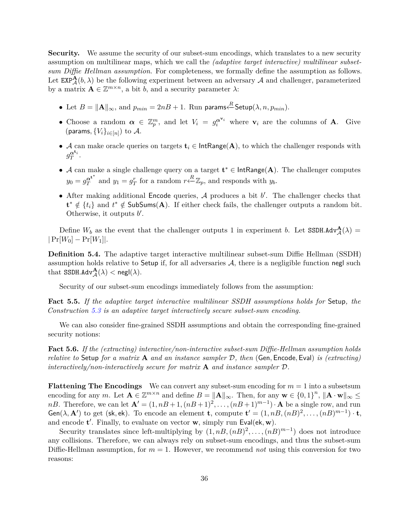**Security.** We assume the security of our subset-sum encodings, which translates to a new security assumption on multilinear maps, which we call the *(adaptive target interactive) multilinear subsetsum Diffie Hellman assumption*. For completeness, we formally define the assumption as follows. Let  $\text{EXP}_{\mathcal{A}}^{\mathbf{A}}(b,\lambda)$  be the following experiment between an adversary  $\mathcal{A}$  and challenger, parameterized by a matrix  $\mathbf{A} \in \mathbb{Z}^{m \times n}$ , a bit *b*, and a security parameter  $\lambda$ :

- Let  $B = \|\mathbf{A}\|_{\infty}$ , and  $p_{min} = 2nB + 1$ . Run params $\stackrel{R}{\leftarrow}$ Setup $(\lambda, n, p_{min})$ .
- Choose a random  $\alpha \in \mathbb{Z}_p^m$ , and let  $V_i = g_i^{\alpha^{v_i}}$  where  $v_i$  are the columns of **A**. Give (params,  ${V_i}_{i \in [n]}$ ) to  $A$ .
- A can make oracle queries on targets  $\mathbf{t}_i \in \text{IntRange}(\mathbf{A})$ , to which the challenger responds with  $g_T^{\boldsymbol{\alpha}^{\mathbf{t}_i}}$ .
- A can make a single challenge query on a target **t** <sup>∗</sup> ∈ IntRange(**A**). The challenger computes  $y_0 = g_T^{\alpha t^*}$  $q_T^{\mathbf{t}^*}$  and  $y_1 = g_T^r$  for a random  $r \stackrel{R}{\leftarrow} \mathbb{Z}_p$ , and responds with  $y_b$ .
- $\bullet$  After making additional Encode queries,  $A$  produces a bit  $b'$ . The challenger checks that **t**<sup>\*</sup> ∉ { $t_i$ } and  $t^*$  ∉ SubSums(A). If either check fails, the challenger outputs a random bit. Otherwise, it outputs  $b'$ .

Define  $W_b$  as the event that the challenger outputs 1 in experiment *b*. Let SSDH.Adv $_A^{\mathbf{A}}(\lambda)$  =  $|Pr[W_0] - Pr[W_1]|$ .

**Definition 5.4.** The adaptive target interactive multilinear subset-sum Diffie Hellman (SSDH) assumption holds relative to Setup if, for all adversaries  $A$ , there is a negligible function negl such  $\text{that SSDH.Adv}_{\mathcal{A}}^{\mathbf{A}}(\lambda) < \text{negl}(\lambda).$ 

Security of our subset-sum encodings immediately follows from the assumption:

**Fact 5.5.** *If the adaptive target interactive multilinear SSDH assumptions holds for* Setup*, the Construction [5.3](#page-34-0) is an adaptive target interactively secure subset-sum encoding.*

We can also consider fine-grained SSDH assumptions and obtain the corresponding fine-grained security notions:

**Fact 5.6.** *If the (extracting) interactive/non-interactive subset-sum Diffie-Hellman assumption holds relative to* Setup *for a matrix* **A** *and an instance sampler* D*, then* (Gen*,* Encode*,* Eval) *is (extracting) interactively/non-interactively secure for matrix* **A** *and instance sampler* D*.*

**Flattening The Encodings** We can convert any subset-sum encoding for  $m = 1$  into a subsetsum encoding for any *m*. Let  $\mathbf{A} \in \mathbb{Z}^{m \times n}$  and define  $B = \|\mathbf{A}\|_{\infty}$ . Then, for any  $\mathbf{w} \in \{0,1\}^n$ ,  $\|\mathbf{A} \cdot \mathbf{w}\|_{\infty} \leq$ *nB*. Therefore, we can let  $\mathbf{A}' = (1, nB + 1, (nB + 1)^2, \ldots, (nB + 1)^{m-1}) \cdot \mathbf{A}$  be a single row, and run  $Gen(\lambda, \mathbf{A}')$  to get (sk, ek). To encode an element **t**, compute  $\mathbf{t}' = (1, nB, (nB)^2, \ldots, (nB)^{m-1}) \cdot \mathbf{t}$ , and encode **t'**. Finally, to evaluate on vector **w**, simply run Eval(ek, **w**).

Security translates since left-multiplying by  $(1, nB, (nB)^2, \ldots, (nB)^{m-1})$  does not introduce any collisions. Therefore, we can always rely on subset-sum encodings, and thus the subset-sum Diffie-Hellman assumption, for  $m = 1$ . However, we recommend *not* using this conversion for two reasons: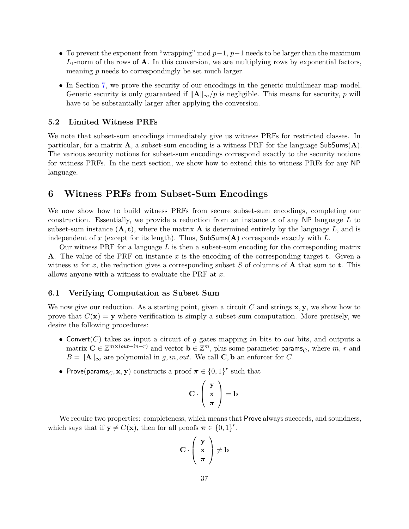- To prevent the exponent from "wrapping" mod *p*−1, *p*−1 needs to be larger than the maximum  $L_1$ -norm of the rows of **A**. In this conversion, we are multiplying rows by exponential factors, meaning *p* needs to correspondingly be set much larger.
- In Section [7,](#page-41-0) we prove the security of our encodings in the generic multilinear map model. Generic security is only guaranteed if  $\|\mathbf{A}\|_{\infty}/p$  is negligible. This means for security, p will have to be substantially larger after applying the conversion.

#### **5.2 Limited Witness PRFs**

We note that subset-sum encodings immediately give us witness PRFs for restricted classes. In particular, for a matrix  $\mathbf{A}$ , a subset-sum encoding is a witness PRF for the language  $\mathsf{SubSums}(\mathbf{A})$ . The various security notions for subset-sum encodings correspond exactly to the security notions for witness PRFs. In the next section, we show how to extend this to witness PRFs for any NP language.

## <span id="page-36-0"></span>**6 Witness PRFs from Subset-Sum Encodings**

We now show how to build witness PRFs from secure subset-sum encodings, completing our construction. Essentially, we provide a reduction from an instance *x* of any NP language *L* to subset-sum instance  $(A, t)$ , where the matrix  $A$  is determined entirely by the language L, and is independent of *x* (except for its length). Thus, SubSums(**A**) corresponds exactly with *L*.

Our witness PRF for a language *L* is then a subset-sum encoding for the corresponding matrix **A**. The value of the PRF on instance *x* is the encoding of the corresponding target **t**. Given a witness *w* for *x*, the reduction gives a corresponding subset *S* of columns of **A** that sum to **t**. This allows anyone with a witness to evaluate the PRF at *x*.

### **6.1 Verifying Computation as Subset Sum**

We now give our reduction. As a starting point, given a circuit *C* and strings **x***,* **y**, we show how to prove that  $C(\mathbf{x}) = \mathbf{y}$  where verification is simply a subset-sum computation. More precisely, we desire the following procedures:

- Convert(*C*) takes as input a circuit of *g* gates mapping *in* bits to *out* bits, and outputs a matrix  $\mathbf{C} \in \mathbb{Z}^{m \times (out + in + r)}$  and vector  $\mathbf{b} \in \mathbb{Z}^m$ , plus some parameter params<sub>*C*</sub>, where *m*, *r* and  $B = \|\mathbf{A}\|_{\infty}$  are polynomial in *g, in, out*. We call **C**, **b** an enforcer for *C*.
- Prove(params<sub>*C*</sub>, **x**, **y**) constructs a proof  $\boldsymbol{\pi} \in \{0, 1\}^r$  such that

$$
C \cdot \left(\begin{array}{c} y \\ x \\ \pi \end{array}\right) = b
$$

We require two properties: completeness, which means that **Prove** always succeeds, and soundness, which says that if  $y \neq C(x)$ , then for all proofs  $\pi \in \{0,1\}^r$ ,

$$
C \cdot \left(\begin{array}{c} y \\ x \\ \pi \end{array}\right) \neq b
$$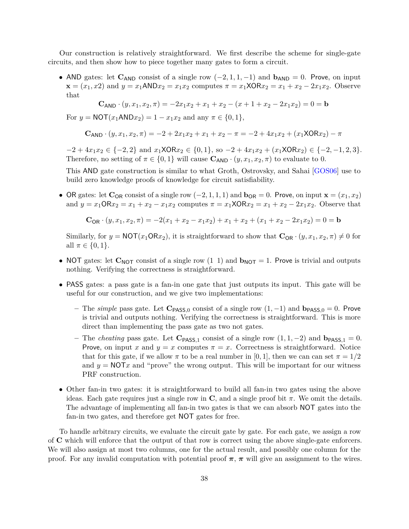Our construction is relatively straightforward. We first describe the scheme for single-gate circuits, and then show how to piece together many gates to form a circuit.

• AND gates: let  $C_{AND}$  consist of a single row  $(-2, 1, 1, -1)$  and  $b_{AND} = 0$ . Prove, on input  $\mathbf{x} = (x_1, x_2)$  and  $y = x_1 \text{AND} x_2 = x_1 x_2$  computes  $\pi = x_1 \text{XOR} x_2 = x_1 + x_2 - 2x_1 x_2$ . Observe that

$$
\mathbf{C}_{\mathsf{AND}} \cdot (y, x_1, x_2, \pi) = -2x_1x_2 + x_1 + x_2 - (x + 1 + x_2 - 2x_1x_2) = 0 = \mathbf{b}
$$

For  $y = \text{NOT}(x_1 \text{AND} x_2) = 1 - x_1 x_2$  and any  $\pi \in \{0, 1\},$ 

$$
C_{AND} \cdot (y, x_1, x_2, \pi) = -2 + 2x_1x_2 + x_1 + x_2 - \pi = -2 + 4x_1x_2 + (x_1XORx_2) - \pi
$$

 $-2 + 4x_1x_2 \in \{-2, 2\}$  and  $x_1XORx_2 \in \{0, 1\}$ , so  $-2 + 4x_1x_2 + (x_1XORx_2) \in \{-2, -1, 2, 3\}.$ Therefore, no setting of  $\pi \in \{0, 1\}$  will cause  $\mathbf{C}_{AND} \cdot (y, x_1, x_2, \pi)$  to evaluate to 0.

This AND gate construction is similar to what Groth, Ostrovsky, and Sahai [\[GOS06\]](#page-49-13) use to build zero knowledge proofs of knowledge for circuit satisfiability.

• OR gates: let  $\mathbf{C}_{OR}$  consist of a single row  $(-2, 1, 1, 1)$  and  $\mathbf{b}_{OR} = 0$ . Prove, on input  $\mathbf{x} = (x_1, x_2)$ and  $y = x_1 \text{OR} x_2 = x_1 + x_2 - x_1 x_2$  computes  $\pi = x_1 \text{XOR} x_2 = x_1 + x_2 - 2x_1 x_2$ . Observe that

$$
\mathbf{C}_{\mathsf{OR}} \cdot (y, x_1, x_2, \pi) = -2(x_1 + x_2 - x_1 x_2) + x_1 + x_2 + (x_1 + x_2 - 2x_1 x_2) = 0 = \mathbf{b}
$$

Similarly, for  $y = NOT(x_1ORx_2)$ , it is straightforward to show that  $\mathbf{C}_{OR} \cdot (y, x_1, x_2, \pi) \neq 0$  for all  $\pi \in \{0, 1\}.$ 

- NOT gates: let  $\mathbf{C}_{\text{NOT}}$  consist of a single row (1 1) and  $\mathbf{b}_{\text{NOT}} = 1$ . Prove is trivial and outputs nothing. Verifying the correctness is straightforward.
- PASS gates: a pass gate is a fan-in one gate that just outputs its input. This gate will be useful for our construction, and we give two implementations:
	- **–** The *simple* pass gate. Let **C**PASS*,*<sup>0</sup> consist of a single row (1*,* −1) and **b**PASS*,*<sup>0</sup> = 0. Prove is trivial and outputs nothing. Verifying the correctness is straightforward. This is more direct than implementing the pass gate as two not gates.
	- **–** The *cheating* pass gate. Let **C**PASS*,*<sup>1</sup> consist of a single row (1*,* 1*,* −2) and **b**PASS*,*<sup>1</sup> = 0. Prove, on input *x* and  $y = x$  computes  $\pi = x$ . Correctness is straightforward. Notice that for this gate, if we allow  $\pi$  to be a real number in [0, 1], then we can can set  $\pi = 1/2$ and  $y = NOTx$  and "prove" the wrong output. This will be important for our witness PRF construction.
- Other fan-in two gates: it is straightforward to build all fan-in two gates using the above ideas. Each gate requires just a single row in  $\mathbf C$ , and a single proof bit  $\pi$ . We omit the details. The advantage of implementing all fan-in two gates is that we can absorb NOT gates into the fan-in two gates, and therefore get NOT gates for free.

To handle arbitrary circuits, we evaluate the circuit gate by gate. For each gate, we assign a row of **C** which will enforce that the output of that row is correct using the above single-gate enforcers. We will also assign at most two columns, one for the actual result, and possibly one column for the proof. For any invalid computation with potential proof  $\pi$ ,  $\pi$  will give an assignment to the wires.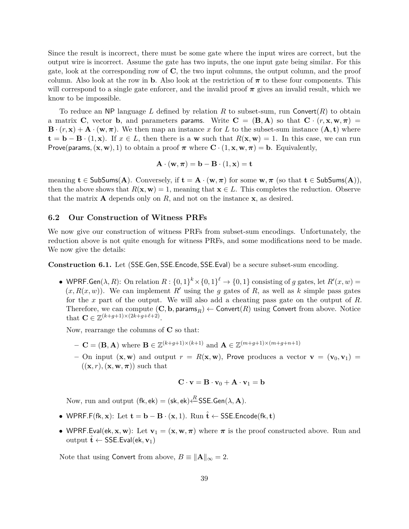Since the result is incorrect, there must be some gate where the input wires are correct, but the output wire is incorrect. Assume the gate has two inputs, the one input gate being similar. For this gate, look at the corresponding row of **C**, the two input columns, the output column, and the proof column. Also look at the row in **b**. Also look at the restriction of  $\pi$  to these four components. This will correspond to a single gate enforcer, and the invalid proof  $\pi$  gives an invalid result, which we know to be impossible.

To reduce an NP language L defined by relation R to subset-sum, run Convert $(R)$  to obtain a matrix **C**, vector **b**, and parameters params. Write  $C = (B, A)$  so that  $C \cdot (r, x, w, \pi) =$  $\mathbf{B} \cdot (r, \mathbf{x}) + \mathbf{A} \cdot (\mathbf{w}, \pi)$ . We then map an instance *x* for *L* to the subset-sum instance  $(\mathbf{A}, \mathbf{t})$  where **t** = **b** − **B** · (1, **x**). If  $x \in L$ , then there is a **w** such that  $R(\mathbf{x}, \mathbf{w}) = 1$ . In this case, we can run Prove(params,  $(\mathbf{x}, \mathbf{w}), 1)$  to obtain a proof  $\pi$  where  $\mathbf{C} \cdot (1, \mathbf{x}, \mathbf{w}, \pi) = \mathbf{b}$ . Equivalently,

$$
\mathbf{A} \cdot (\mathbf{w}, \boldsymbol{\pi}) = \mathbf{b} - \mathbf{B} \cdot (1, \mathbf{x}) = \mathbf{t}
$$

meaning  $\mathbf{t} \in \mathsf{SubSums}(\mathbf{A})$ . Conversely, if  $\mathbf{t} = \mathbf{A} \cdot (\mathbf{w}, \pi)$  for some  $\mathbf{w}, \pi$  (so that  $\mathbf{t} \in \mathsf{SubSums}(\mathbf{A})$ ), then the above shows that  $R(\mathbf{x}, \mathbf{w}) = 1$ , meaning that  $\mathbf{x} \in L$ . This completes the reduction. Observe that the matrix  $\bf{A}$  depends only on  $R$ , and not on the instance  $\bf{x}$ , as desired.

#### **6.2 Our Construction of Witness PRFs**

We now give our construction of witness PRFs from subset-sum encodings. Unfortunately, the reduction above is not quite enough for witness PRFs, and some modifications need to be made. We now give the details:

<span id="page-38-0"></span>**Construction 6.1.** Let (SSE*.*Gen*,* SSE*.*Encode*,* SSE*.*Eval) be a secure subset-sum encoding.

• WPRF.Gen( $\lambda, R$ ): On relation  $R: \{0,1\}^k \times \{0,1\}^{\ell} \to \{0,1\}$  consisting of *g* gates, let  $R'(x, w) =$  $(x, R(x, w))$ . We can implement R' using the g gates of R, as well as k simple pass gates for the *x* part of the output. We will also add a cheating pass gate on the output of *R*. Therefore, we can compute  $(C, \mathbf{b}, \mathbf{params}_R) \leftarrow \mathsf{Convert}(R)$  using Convert from above. Notice that  $\mathbf{C} \in \mathbb{Z}^{(k+g+1)\times(2k+g+\ell+2)}$ .

Now, rearrange the columns of **C** so that:

- $\mathbf{C} = (\mathbf{B}, \mathbf{A})$  where  $\mathbf{B} \in \mathbb{Z}^{(k+g+1)\times (k+1)}$  and  $\mathbf{A} \in \mathbb{Z}^{(m+g+1)\times (m+g+n+1)}$
- $-$  On input  $(\mathbf{x}, \mathbf{w})$  and output  $r = R(\mathbf{x}, \mathbf{w})$ , Prove produces a vector  $\mathbf{v} = (\mathbf{v}_0, \mathbf{v}_1)$  $((\mathbf{x}, r), (\mathbf{x}, \mathbf{w}, \pi))$  such that

$$
\mathbf{C} \cdot \mathbf{v} = \mathbf{B} \cdot \mathbf{v}_0 + \mathbf{A} \cdot \mathbf{v}_1 = \mathbf{b}
$$

Now, run and output  $(fk, ek) = (sk, ek) \xleftarrow{R} \text{SSE}.\text{Gen}(\lambda, \mathbf{A}).$ 

- WPRF*.*F(fk*,* **x**): Let **t** = **b** − **B** · (**x***,* 1). Run ˆ**t** ← SSE*.*Encode(fk*,* **t**)
- WPRF.Eval(ek, **x**, **w**): Let  $\mathbf{v}_1 = (\mathbf{x}, \mathbf{w}, \pi)$  where  $\pi$  is the proof constructed above. Run and output  $\hat{\mathbf{t}} \leftarrow$  SSE. Eval(ek,  $\mathbf{v}_1$ )

Note that using Convert from above,  $B \equiv ||\mathbf{A}||_{\infty} = 2$ .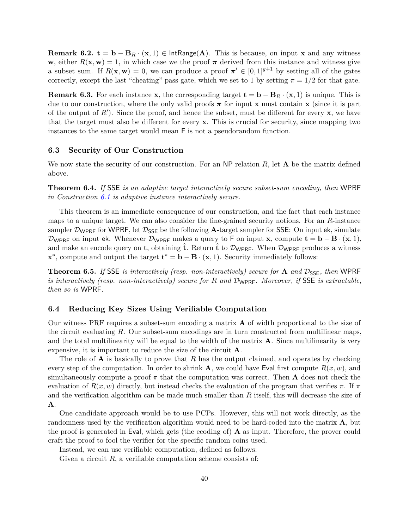**Remark 6.2.**  $\mathbf{t} = \mathbf{b} - \mathbf{B}_R \cdot (\mathbf{x}, 1) \in \text{IntRange}(\mathbf{A})$ . This is because, on input **x** and any witness **w**, either  $R(\mathbf{x}, \mathbf{w}) = 1$ , in which case we the proof  $\pi$  derived from this instance and witness give a subset sum. If  $R(\mathbf{x}, \mathbf{w}) = 0$ , we can produce a proof  $\pi' \in [0, 1]^{g+1}$  by setting all of the gates correctly, except the last "cheating" pass gate, which we set to 1 by setting  $\pi = 1/2$  for that gate.

**Remark 6.3.** For each instance **x**, the corresponding target  $\mathbf{t} = \mathbf{b} - \mathbf{B}_R \cdot (\mathbf{x}, 1)$  is unique. This is due to our construction, where the only valid proofs  $\pi$  for input **x** must contain **x** (since it is part of the output of  $R'$ ). Since the proof, and hence the subset, must be different for every  $x$ , we have that the target must also be different for every **x**. This is crucial for security, since mapping two instances to the same target would mean F is not a pseudorandom function.

## **6.3 Security of Our Construction**

We now state the security of our construction. For an NP relation *R*, let **A** be the matrix defined above.

**Theorem 6.4.** *If* SSE *is an adaptive target interactively secure subset-sum encoding, then* WPRF *in Construction [6.1](#page-38-0) is adaptive instance interactively secure.*

This theorem is an immediate consequence of our construction, and the fact that each instance maps to a unique target. We can also consider the fine-grained security notions. For an *R*-instance sampler  $\mathcal{D}_{\text{WPRF}}$  for WPRF, let  $\mathcal{D}_{\text{SSE}}$  be the following **A**-target sampler for SSE: On input ek, simulate D<sub>WPRF</sub> on input ek. Whenever  $D_{WPRF}$  makes a query to F on input **x**, compute  $\mathbf{t} = \mathbf{b} - \mathbf{B} \cdot (\mathbf{x}, 1)$ , and make an encode query on **t**, obtaining **t**. Return **t** to  $\mathcal{D}_{\text{WPRF}}$ . When  $\mathcal{D}_{\text{WPRF}}$  produces a witness  $\mathbf{x}^*$ , compute and output the target  $\mathbf{t}^* = \mathbf{b} - \mathbf{B} \cdot (\mathbf{x}, 1)$ . Security immediately follows:

**Theorem 6.5.** If SSE is interactively (resp. non-interactively) secure for **A** and  $\mathcal{D}_{\text{SSE}}$ , then WPRF *is interactively (resp. non-interactively) secure for R and* DWPRF*. Moreover, if* SSE *is extractable, then so is* WPRF*.*

### **6.4 Reducing Key Sizes Using Verifiable Computation**

Our witness PRF requires a subset-sum encoding a matrix **A** of width proportional to the size of the circuit evaluating *R*. Our subset-sum encodings are in turn constructed from multilinear maps, and the total multilinearity will be equal to the width of the matrix **A**. Since multilinearity is very expensive, it is important to reduce the size of the circuit **A**.

The role of **A** is basically to prove that *R* has the output claimed, and operates by checking every step of the computation. In order to shrink **A**, we could have Eval first compute  $R(x, w)$ , and simultaneously compute a proof  $\pi$  that the computation was correct. Then **A** does not check the evaluation of *R*(*x, w*) directly, but instead checks the evaluation of the program that verifies *π*. If *π* and the verification algorithm can be made much smaller than *R* itself, this will decrease the size of **A**.

One candidate approach would be to use PCPs. However, this will not work directly, as the randomness used by the verification algorithm would need to be hard-coded into the matrix **A**, but the proof is generated in Eval, which gets (the ecoding of) **A** as input. Therefore, the prover could craft the proof to fool the verifier for the specific random coins used.

Instead, we can use verifiable computation, defined as follows:

Given a circuit *R*, a verifiable computation scheme consists of: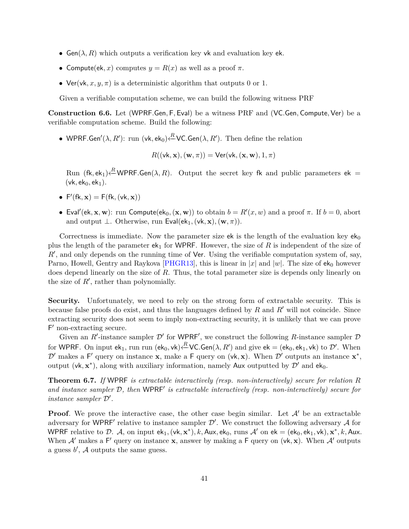- Gen( $\lambda$ , R) which outputs a verification key vk and evaluation key ek.
- Compute(ek, x) computes  $y = R(x)$  as well as a proof  $\pi$ .
- Ver(vk,  $x, y, \pi$ ) is a deterministic algorithm that outputs 0 or 1.

Given a verifiable computation scheme, we can build the following witness PRF

**Construction 6.6.** Let (WPRF*.*Gen*,* F*,* Eval) be a witness PRF and (VC*.*Gen*,* Compute*,* Ver) be a verifiable computation scheme. Build the following:

• WPRF.Gen'( $\lambda, R'$ ): run (vk, ek<sub>0</sub>) $\stackrel{R}{\leftarrow}$ VC.Gen( $\lambda, R'$ ). Then define the relation

$$
R((\mathsf{vk}, \mathbf{x}), (\mathbf{w}, \pi)) = \mathsf{Ver}(\mathsf{vk}, (\mathbf{x}, \mathbf{w}), 1, \pi)
$$

Run  $(\mathsf{fk}, \mathsf{ek}_1) \stackrel{R}{\leftarrow} \textsf{WPRF.Gen}(\lambda, R)$ . Output the secret key fk and public parameters  $\mathsf{ek} =$ (vk, ek<sub>0</sub>, ek<sub>1</sub>).

- $F'(fk, x) = F(fk, (vk, x))$
- Eval'(ek, **x**, **w**): run Compute(ek<sub>0</sub>, (**x**, **w**)) to obtain  $b = R'(x, w)$  and a proof  $\pi$ . If  $b = 0$ , abort and output  $\perp$ . Otherwise, run Eval(ek<sub>1</sub>, (vk, x), (w,  $\pi$ )).

Correctness is immediate. Now the parameter size ek is the length of the evaluation key  $ek_0$ plus the length of the parameter  $ek_1$  for WPRF. However, the size of  $R$  is independent of the size of *R*<sup> $\prime$ </sup>, and only depends on the running time of Ver. Using the verifiable computation system of, say, Parno, Howell, Gentry and Raykova [\[PHGR13\]](#page-49-14), this is linear in |*x*| and |*w*|. The size of  $e^{i\phi}$  however does depend linearly on the size of *R*. Thus, the total parameter size is depends only linearly on the size of  $R'$ , rather than polynomially.

**Security.** Unfortunately, we need to rely on the strong form of extractable security. This is because false proofs do exist, and thus the languages defined by  $R$  and  $R'$  will not coincide. Since extracting security does not seem to imply non-extracting security, it is unlikely that we can prove  $F'$  non-extracting secure.

Given an  $R'$ -instance sampler  $\mathcal{D}'$  for WPRF', we construct the following R-instance sampler  $\mathcal D$ for WPRF. On input ek<sub>1</sub>, run run (ek<sub>0</sub>, vk) $\stackrel{R}{\leftarrow}$ VC.Gen( $\lambda, R'$ ) and give ek = (ek<sub>0</sub>, ek<sub>1</sub>, vk) to  $\mathcal{D}'$ . When  $\mathcal{D}'$  makes a F' query on instance **x**, make a F query on (vk, **x**). When  $\mathcal{D}'$  outputs an instance  $\mathbf{x}^*$ , output (vk,  $\mathbf{x}^*$ ), along with auxiliary information, namely Aux outputted by  $\mathcal{D}'$  and  $ek_0$ .

**Theorem 6.7.** *If* WPRF *is extractable interactively (resp. non-interactively) secure for relation R* and instance sampler  $D$ , then WPRF' is extractable interactively (resp. non-interactively) secure for *instance sampler*  $\mathcal{D}'$ *.* 

**Proof**. We prove the interactive case, the other case begin similar. Let  $\mathcal{A}'$  be an extractable adversary for WPRF' relative to instance sampler  $\mathcal{D}'$ . We construct the following adversary A for WPRF relative to D. A, on input  $ek_1$ ,  $(vk, x^*)$ ,  $k$ , Aux,  $ek_0$ , runs  $A'$  on  $ek = (ek_0, ek_1, vk)$ ,  $x^*, k$ , Aux. When  $\mathcal{A}'$  makes a F' query on instance **x**, answer by making a F query on (vk, **x**). When  $\mathcal{A}'$  outputs a guess  $b'$ ,  $\mathcal A$  outputs the same guess.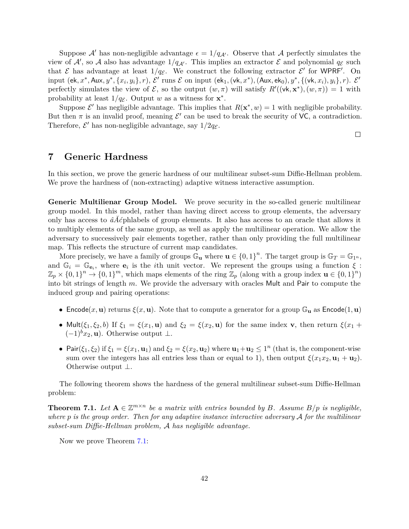Suppose A' has non-negligible advantage  $\epsilon = 1/q_{\mathcal{A}}$ . Observe that A perfectly simulates the view of  $\mathcal{A}'$ , so  $\mathcal{A}$  also has advantage  $1/q_{\mathcal{A}'}$ . This implies an extractor  $\mathcal{E}$  and polynomial  $q_{\mathcal{E}}$  such that  $\mathcal E$  has advantage at least  $1/q_{\mathcal E}$ . We construct the following extractor  $\mathcal E'$  for WPRF'. On input (ek,  $x^*$ , Aux,  $y^*$ ,  $\{x_i, y_i\}$ , $r$ ),  $\mathcal{E}'$  runs  $\mathcal E$  on input (ek<sub>1</sub>, (vk,  $x^*$ ), (Aux, ek<sub>0</sub>),  $y^*$ ,  $\{(\mathsf{vk}, x_i), y_i\}, r$ ).  $\mathcal{E}'$ perfectly simulates the view of  $\mathcal{E}$ , so the output  $(w, \pi)$  will satisfy  $R'((\mathsf{vk}, \mathbf{x}^*), (w, \pi)) = 1$  with probability at least  $1/q_{\mathcal{E}}$ . Output *w* as a witness for  $\mathbf{x}^*$ .

Suppose  $\mathcal{E}'$  has negligible advantage. This implies that  $R(\mathbf{x}^*, w) = 1$  with negligible probability. But then  $\pi$  is an invalid proof, meaning  $\mathcal{E}'$  can be used to break the security of VC, a contradiction. Therefore,  $\mathcal{E}'$  has non-negligible advantage, say  $1/2q_{\mathcal{E}}$ .

 $\Box$ 

## <span id="page-41-0"></span>**7 Generic Hardness**

In this section, we prove the generic hardness of our multilinear subset-sum Diffie-Hellman problem. We prove the hardness of (non-extracting) adaptive witness interactive assumption.

**Generic Multilienar Group Model.** We prove security in the so-called generic multilinear group model. In this model, rather than having direct access to group elements, the adversary only has access to *âĂć*phlabels of group elements. It also has access to an oracle that allows it to multiply elements of the same group, as well as apply the multilinear operation. We allow the adversary to successively pair elements together, rather than only providing the full multilinear map. This reflects the structure of current map candidates.

More precisely, we have a family of groups  $\mathbb{G}_{\mathbf{u}}$  where  $\mathbf{u} \in \{0,1\}^n$ . The target group is  $\mathbb{G}_T = \mathbb{G}_{1^n}$ , and  $\mathbb{G}_i = \mathbb{G}_{\mathbf{e}_i}$ , where  $\mathbf{e}_i$  is the *i*th unit vector. We represent the groups using a function  $\xi$ :  $\mathbb{Z}_p \times \{0,1\}^n \to \{0,1\}^m$ , which maps elements of the ring  $\mathbb{Z}_p$  (along with a group index  $\mathbf{u} \in \{0,1\}^n$ ) into bit strings of length *m*. We provide the adversary with oracles Mult and Pair to compute the induced group and pairing operations:

- Encode $(x, \mathbf{u})$  returns  $\xi(x, \mathbf{u})$ . Note that to compute a generator for a group  $\mathbb{G}_{\mathbf{u}}$  as Encode $(1, \mathbf{u})$
- Mult( $\xi_1, \xi_2, b$ ) If  $\xi_1 = \xi(x_1, \mathbf{u})$  and  $\xi_2 = \xi(x_2, \mathbf{u})$  for the same index **v**, then return  $\xi(x_1 + \mathbf{u})$  $(-1)^b x_2$ , **u**). Otherwise output  $\perp$ .
- Pair( $\xi_1, \xi_2$ ) if  $\xi_1 = \xi(x_1, \mathbf{u}_1)$  and  $\xi_2 = \xi(x_2, \mathbf{u}_2)$  where  $\mathbf{u}_1 + \mathbf{u}_2 \leq 1^n$  (that is, the component-wise sum over the integers has all entries less than or equal to 1), then output  $\xi(x_1x_2, \mathbf{u}_1 + \mathbf{u}_2)$ . Otherwise output ⊥.

The following theorem shows the hardness of the general multilinear subset-sum Diffie-Hellman problem:

<span id="page-41-1"></span>**Theorem 7.1.** *Let*  $A \in \mathbb{Z}^{m \times n}$  *be a matrix with entries bounded by B. Assume*  $B/p$  *is negligible, where p is the group order. Then for any adaptive instance interactive adversary* A *for the multilinear subset-sum Diffie-Hellman problem,* A *has negligible advantage.*

Now we prove Theorem [7.1:](#page-41-1)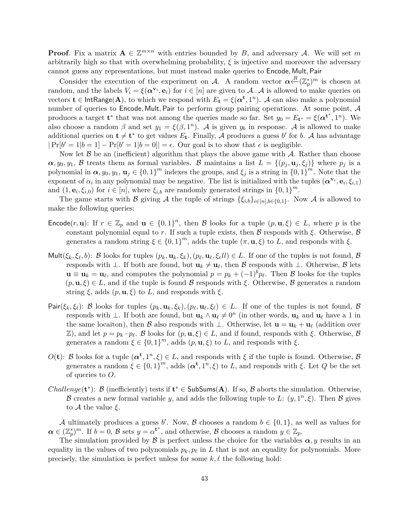**Proof**. Fix a matrix  $A \in \mathbb{Z}^{m \times n}$  with entries bounded by *B*, and adversary *A*. We will set *m* arbitrarily high so that with overwhelming probability,  $\xi$  is injective and moreover the adversary cannot guess any representations, but must instead make queries to Encode*,* Mult*,* Pair

Consider the execution of the experiment on A. A random vector  $\alpha \stackrel{R}{\leftarrow} (\mathbb{Z}_p^*)^m$  is chosen at random, and the labels  $V_i = \xi(\boldsymbol{\alpha}^{\mathbf{v}_i}, \mathbf{e}_i)$  for  $i \in [n]$  are given to A. A is allowed to make queries on vectors  $\mathbf{t} \in \textsf{IntRange}(\mathbf{A})$ , to which we respond with  $E_{\mathbf{t}} = \xi(\boldsymbol{\alpha^t}, 1^n)$ . A can also make a polynomial number of queries to Encode*,* Mult*,* Pair to perform group pairing operations. At some point, A produces a target  $t^*$  that was not among the queries made so far. Set  $y_0 = E_{t^*} = \xi(\alpha^{t^*}, 1^n)$ . We also choose a random  $\beta$  and set  $y_1 = \xi(\beta, 1^n)$ . A is given  $y_b$  in response. A is allowed to make additional queries on  $t \neq t^*$  to get values  $E_t$ . Finally, A produces a guess *b*<sup>*'*</sup> for *b*. A has advantage  $|\Pr[b' = 1|b = 1] - \Pr[b' = 1|b = 0]| = \epsilon$ . Our goal is to show that  $\epsilon$  is negligible.

Now let  $\beta$  be an (inefficient) algorithm that plays the above game with  $\beta$ . Rather than choose  $\alpha$ ,  $y_0$ ,  $y_1$ ,  $\beta$  treats them as formal variables.  $\beta$  maintains a list  $L = \{(p_i, \mathbf{u}_i, \xi_i)\}\$  where  $p_i$  is a polynomial in  $\alpha, y_0, y_1, u_j \in \{0, 1\}^m$  indexes the groups, and  $\xi_j$  is a string in  $\{0, 1\}^m$ . Note that the exponent of  $\alpha_i$  in any polynomial may be negative. The list is initialized with the tuples  $(\alpha^{v_i}, e_i, \xi_{i,1})$ and  $(1, \mathbf{e}_i, \xi_{i,0})$  for  $i \in [n]$ , where  $\xi_{i,b}$  are randomly generated strings in  $\{0,1\}^m$ .

The game starts with B giving A the tuple of strings  $\{\xi_{i,b}\}_{i\in[n],b\in\{0,1\}}$ . Now A is allowed to make the following queries:

- Encode $(r, \mathbf{u})$ : If  $r \in \mathbb{Z}_p$  and  $\mathbf{u} \in \{0,1\}^n$ , then B looks for a tuple  $(p, \mathbf{u}, \xi) \in L$ , where p is the constant polynomial equal to *r*. If such a tuple exists, then  $\beta$  responds with  $\xi$ . Otherwise,  $\beta$ generates a random string  $\xi \in \{0,1\}^m$ , adds the tuple  $(\pi, \mathbf{u}, \xi)$  to *L*, and responds with  $\xi$ .
- Mult $(\xi_k, \xi_\ell, b)$ : B looks for tuples  $(p_k, \mathbf{u}_k, \xi_k), (p_\ell, \mathbf{u}_\ell, \xi_\ell l l) \in L$ . If one of the tuples is not found, B responds with  $\bot$ . If both are found, but  $\mathbf{u}_k \neq \mathbf{u}_\ell$ , then B responds with  $\bot$ . Otherwise, B lets  $\mathbf{u} \equiv \mathbf{u}_k = \mathbf{u}_\ell$ , and computes the polynomial  $p = p_k + (-1)^b p_\ell$ . Then B looks for the tuples  $(p, \mathbf{u}, \xi) \in L$ , and if the tuple is found B responds with  $\xi$ . Otherwise, B generates a random string  $\xi$ , adds  $(p, \mathbf{u}, \xi)$  to  $L$ , and responds with  $\xi$ .
- Pair $(\xi_k, \xi_\ell)$ : B looks for tuples  $(p_k, \mathbf{u}_k, \xi_k)$ ,  $(p_\ell, \mathbf{u}_\ell, \xi_\ell) \in L$ . If one of the tuples is not found, B responds with  $\perp$ . If both are found, but  $\mathbf{u}_k \wedge \mathbf{u}_l \neq 0^n$  (in other words,  $\mathbf{u}_k$  and  $\mathbf{u}_l$  have a 1 in the same locaiton), then B also responds with  $\perp$ . Otherwise, let  $\mathbf{u} = \mathbf{u}_k + \mathbf{u}_\ell$  (addition over  $Z$ ), and let *p* = *p<sub>k</sub>* · *p*<sub>*k*</sub>. *B* looks for (*p*, **u**, *ξ*) ∈ *L*, and if found, responds with *ξ*. Otherwise, *B* generates a random  $\xi \in \{0,1\}^m$ , adds  $(p, \mathbf{u}, \xi)$  to *L*, and responds with  $\xi$ .
- *O*(**t**): B looks for a tuple  $(\alpha^t, 1^n, \xi) \in L$ , and responds with  $\xi$  if the tuple is found. Otherwise, B generates a random  $\xi \in \{0,1\}^m$ , adds  $(\boldsymbol{\alpha^t}, 1^n, \xi)$  to *L*, and responds with  $\xi$ . Let *Q* be the set of queries to *O*.
- *Challenge*( $t^*$ ): B (inefficiently) tests if  $t^* \in SubSums(A)$ . If so, B aborts the simulation. Otherwise, B creates a new formal variable *y*, and adds the following tuple to L:  $(y, 1^n, \xi)$ . Then B gives to A the value *ξ*.

A ultimately produces a guess *b*'. Now, B chooses a random  $b \in \{0, 1\}$ , as well as values for  $\alpha \in (\mathbb{Z}_p^*)^m$ . If  $b = 0$ ,  $\beta$  sets  $y = \alpha^{t^*}$ , and otherwise,  $\beta$  chooses a random  $y \in \mathbb{Z}_p$ .

The simulation provided by  $\beta$  is perfect unless the choice for the variables  $\alpha, y$  results in an equality in the values of two polynomials  $p_k, p_\ell$  in  $L$  that is not an equality for polynomials. More precisely, the simulation is perfect unless for some  $k, \ell$  the following hold: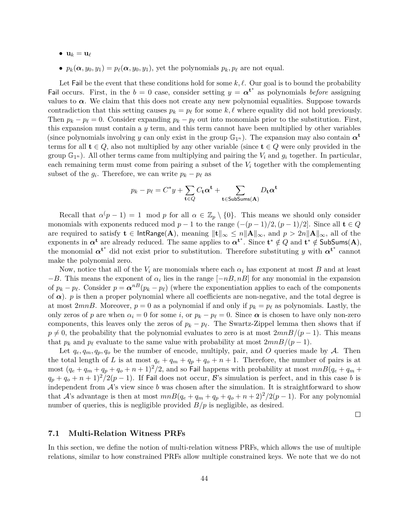- $\bullet$   $\mathbf{u}_k = \mathbf{u}_\ell$
- $p_k(\boldsymbol{\alpha}, y_0, y_1) = p_\ell(\boldsymbol{\alpha}, y_0, y_1)$ , yet the polynomials  $p_k, p_\ell$  are not equal.

Let Fail be the event that these conditions hold for some  $k, \ell$ . Our goal is to bound the probability Fail occurs. First, in the  $b = 0$  case, consider setting  $y = \alpha^{t^*}$  as polynomials *before* assigning values to  $\alpha$ . We claim that this does not create any new polynomial equalities. Suppose towards contradiction that this setting causes  $p_k = p_\ell$  for some  $k, \ell$  where equality did not hold previously. Then  $p_k - p_\ell = 0$ . Consider expanding  $p_k - p_\ell$  out into monomials prior to the substitution. First, this expansion must contain a *y* term, and this term cannot have been multiplied by other variables (since polynomials involving *y* can only exist in the group  $\mathbb{G}_{1^n}$ ). The expansion may also contain  $\alpha^t$ terms for all  $\mathbf{t} \in Q$ , also not multiplied by any other variable (since  $\mathbf{t} \in Q$  were only provided in the group  $\mathbb{G}_{1^n}$ ). All other terms came from multiplying and pairing the  $V_i$  and  $g_i$  together. In particular, each remaining term must come from pairing a subset of the *V<sup>i</sup>* together with the complementing subset of the  $g_i$ . Therefore, we can write  $p_k - p_\ell$  as

$$
p_k - p_\ell = C^* y + \sum_{\mathbf{t} \in Q} C_{\mathbf{t}} \alpha^{\mathbf{t}} + \sum_{\mathbf{t} \in \mathsf{SubSums}(\mathbf{A})} D_{\mathbf{t}} \alpha^{\mathbf{t}}
$$

Recall that  $\alpha(p-1) = 1 \mod p$  for all  $\alpha \in \mathbb{Z}_p \setminus \{0\}$ . This means we should only consider monomials with exponents reduced mod  $p-1$  to the range  $(-(p-1)/2, (p-1)/2]$ . Since all  $\mathbf{t} \in Q$ are required to satisfy  $\mathbf{t} \in \text{IntRange}(\mathbf{A})$ , meaning  $\|\mathbf{t}\|_{\infty} \leq n \|\mathbf{A}\|_{\infty}$ , and  $p > 2n \|\mathbf{A}\|_{\infty}$ , all of the exponents in  $\alpha^t$  are already reduced. The same applies to  $\alpha^{t^*}$ . Since  $t^* \notin Q$  and  $t^* \notin S$ ubSums(A), the monomial  $\alpha^{t^*}$  did not exist prior to substitution. Therefore substituting *y* with  $\alpha^{t^*}$  cannot make the polynomial zero.

Now, notice that all of the  $V_i$  are monomials where each  $\alpha_i$  has exponent at most  $B$  and at least  $-B$ . This means the exponent of  $\alpha_i$  lies in the range  $[-n, nB]$  for any monomial in the expansion of  $p_k - p_\ell$ . Consider  $p = \alpha^{nB}(p_k - p_\ell)$  (where the exponentiation applies to each of the components of  $\alpha$ ). *p* is then a proper polynomial where all coefficients are non-negative, and the total degree is at most 2*mnB*. Moreover,  $p = 0$  as a polynomial if and only if  $p_k = p_\ell$  as polynomials. Lastly, the only zeros of *p* are when  $\alpha_i = 0$  for some *i*, or  $p_k - p_\ell = 0$ . Since  $\alpha$  is chosen to have only non-zero components, this leaves only the zeros of  $p_k - p_\ell$ . The Swartz-Zippel lemma then shows that if  $p \neq 0$ , the probability that the polynomial evaluates to zero is at most  $2mnB/(p-1)$ . This means that  $p_k$  and  $p_\ell$  evaluate to the same value with probability at most  $2mnB/(p-1)$ .

Let  $q_e, q_m, q_p, q_o$  be the number of encode, multiply, pair, and O queries made by A. Then the total length of *L* is at most  $q_e + q_m + q_p + q_o + n + 1$ . Therefore, the number of pairs is at most  $(q_e + q_m + q_p + q_o + n + 1)^2/2$ , and so Fail happens with probability at most  $mnB(q_e + q_m +$  $q_p + q_o + n + 1$ )<sup>2</sup>/2(*p* − 1). If Fail does not occur, B's simulation is perfect, and in this case *b* is independent from A's view since *b* was chosen after the simulation. It is straightforward to show that A's advantage is then at most  $mnB(q_e+q_m+q_p+q_o+n+2)^2/2(p-1)$ . For any polynomial number of queries, this is negligible provided  $B/p$  is negligible, as desired.

 $\Box$ 

#### <span id="page-43-0"></span>**7.1 Multi-Relation Witness PRFs**

In this section, we define the notion of multi-relation witness PRFs, which allows the use of multiple relations, similar to how constrained PRFs allow multiple constrained keys. We note that we do not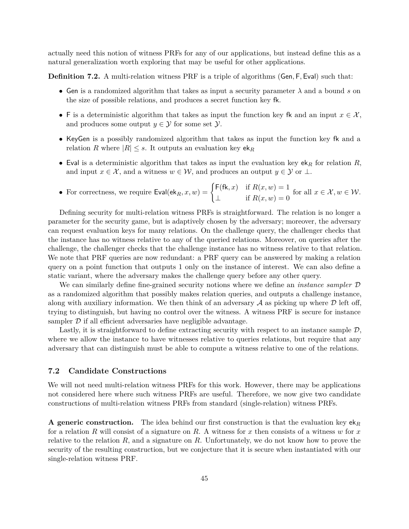actually need this notion of witness PRFs for any of our applications, but instead define this as a natural generalization worth exploring that may be useful for other applications.

**Definition 7.2.** A multi-relation witness PRF is a triple of algorithms (Gen*,* F*,* Eval) such that:

- Gen is a randomized algorithm that takes as input a security parameter *λ* and a bound *s* on the size of possible relations, and produces a secret function key fk.
- F is a deterministic algorithm that takes as input the function key fk and an input  $x \in \mathcal{X}$ , and produces some output  $y \in \mathcal{Y}$  for some set  $\mathcal{Y}$ .
- KeyGen is a possibly randomized algorithm that takes as input the function key fk and a relation *R* where  $|R| \leq s$ . It outputs an evaluation key ek<sub>*R*</sub>
- Eval is a deterministic algorithm that takes as input the evaluation key  $ek<sub>R</sub>$  for relation  $R$ , and input  $x \in \mathcal{X}$ , and a witness  $w \in \mathcal{W}$ , and produces an output  $y \in \mathcal{Y}$  or  $\perp$ .
- For correctness, we require  $\mathsf{Eval}(\mathsf{ek}_R, x, w) = \begin{cases} \mathsf{F}(\mathsf{fk}, x) & \text{if } R(x, w) = 1 \\ \mathsf{rk}(x, x) & \text{if } R(x, w) = 0 \end{cases}$  $\perp$  if  $R(x, w) = 0$ for all  $x \in \mathcal{X}, w \in \mathcal{W}$ .

Defining security for multi-relation witness PRFs is straightforward. The relation is no longer a parameter for the security game, but is adaptively chosen by the adversary; moreover, the adversary can request evaluation keys for many relations. On the challenge query, the challenger checks that the instance has no witness relative to any of the queried relations. Moreover, on queries after the challenge, the challenger checks that the challenge instance has no witness relative to that relation. We note that PRF queries are now redundant: a PRF query can be answered by making a relation query on a point function that outputs 1 only on the instance of interest. We can also define a static variant, where the adversary makes the challenge query before any other query.

We can similarly define fine-grained security notions where we define an *instance sampler* D as a randomized algorithm that possibly makes relation queries, and outputs a challenge instance, along with auxiliary information. We then think of an adversary  $A$  as picking up where  $D$  left off, trying to distinguish, but having no control over the witness. A witness PRF is secure for instance sampler  $\mathcal D$  if all efficient adversaries have negligible advantage.

Lastly, it is straightforward to define extracting security with respect to an instance sample  $\mathcal{D}$ , where we allow the instance to have witnesses relative to queries relations, but require that any adversary that can distinguish must be able to compute a witness relative to one of the relations.

## **7.2 Candidate Constructions**

We will not need multi-relation witness PRFs for this work. However, there may be applications not considered here where such witness PRFs are useful. Therefore, we now give two candidate constructions of multi-relation witness PRFs from standard (single-relation) witness PRFs.

<span id="page-44-0"></span>**A generic construction.** The idea behind our first construction is that the evaluation key ek*<sup>R</sup>* for a relation *R* will consist of a signature on *R*. A witness for *x* then consists of a witness *w* for *x* relative to the relation *R*, and a signature on *R*. Unfortunately, we do not know how to prove the security of the resulting construction, but we conjecture that it is secure when instantiated with our single-relation witness PRF.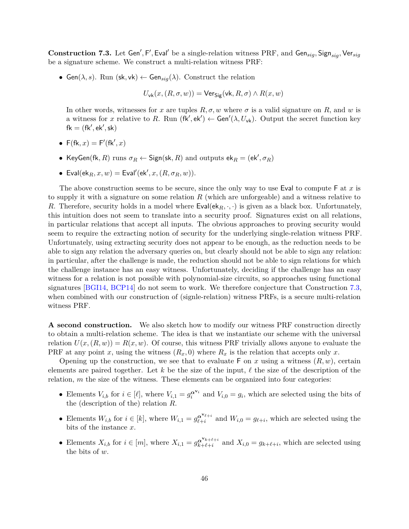${\bf Construction}$  7.3. Let Gen',  ${\sf F}',$  Eval' be a single-relation witness  ${\rm PRF},$  and  ${\sf Gen}_{sig}, {\sf Sign}_{sig}, {\sf Ver}_{sig}$ be a signature scheme. We construct a multi-relation witness PRF:

• Gen( $\lambda$ , s). Run (sk, vk)  $\leftarrow$  Gen<sub>sig</sub>( $\lambda$ ). Construct the relation

$$
U_{\rm vk}(x,(R,\sigma,w)) = \text{Vers}_{\text{ig}}(\text{vk},R,\sigma) \land R(x,w)
$$

In other words, witnesses for *x* are tuples  $R, \sigma, w$  where  $\sigma$  is a valid signature on  $R$ , and  $w$  is a witness for *x* relative to *R*. Run  $(fk', ek') \leftarrow Gen'(\lambda, U_{vk})$ . Output the secret function key  $fk = (fk', ek', sk)$ 

- $F(fk, x) = F'(fk', x)$
- KeyGen(fk, *R*) runs  $\sigma_R \leftarrow$  Sign(sk, *R*) and outputs ek $_R = (ek', \sigma_R)$
- Eval $(\mathsf{ek}_R, x, w) = \mathsf{Eval}(\mathsf{ek}', x, (R, \sigma_R, w)).$

The above construction seems to be secure, since the only way to use Eval to compute F at *x* is to supply it with a signature on some relation *R* (which are unforgeable) and a witness relative to *R*. Therefore, security holds in a model where  $Eval(ek_R, \cdot, \cdot)$  is given as a black box. Unfortunately, this intuition does not seem to translate into a security proof. Signatures exist on all relations, in particular relations that accept all inputs. The obvious approaches to proving security would seem to require the extracting notion of security for the underlying single-relation witness PRF. Unfortunately, using extracting security does not appear to be enough, as the reduction needs to be able to sign any relation the adversary queries on, but clearly should not be able to sign any relation: in particular, after the challenge is made, the reduction should not be able to sign relations for which the challenge instance has an easy witness. Unfortunately, deciding if the challenge has an easy witness for a relation is not possible with polynomial-size circuits, so approaches using functional signatures [\[BGI14,](#page-47-7) [BCP14\]](#page-47-0) do not seem to work. We therefore conjecture that Construction [7.3,](#page-44-0) when combined with our construction of (signle-relation) witness PRFs, is a secure multi-relation witness PRF.

**A second construction.** We also sketch how to modify our witness PRF construction directly to obtain a multi-relation scheme. The idea is that we instantiate our scheme with the universal relation  $U(x,(R, w)) = R(x, w)$ . Of course, this witness PRF trivially allows anyone to evaluate the PRF at any point *x*, using the witness  $(R_x, 0)$  where  $R_x$  is the relation that accepts only *x*.

Opening up the construction, we see that to evaluate  $\mathsf{F}$  on *x* using a witness  $(R, w)$ , certain elements are paired together. Let  $k$  be the size of the input,  $\ell$  the size of the description of the relation, *m* the size of the witness. These elements can be organized into four categories:

- Elements  $V_{i,b}$  for  $i \in [\ell]$ , where  $V_{i,1} = g_i^{\alpha^{V_i}}$  and  $V_{i,0} = g_i$ , which are selected using the bits of the (description of the) relation *R*.
- Elements  $W_{i,b}$  for  $i \in [k]$ , where  $W_{i,1} = g_{\ell+i}^{\alpha^{\mathbf{v}_{\ell+i}}}$  $\sum_{\ell+i}^{\alpha^* \ell+i}$  and  $W_{i,0} = g_{\ell+i}$ , which are selected using the bits of the instance *x*.
- Elements  $X_{i,b}$  for  $i \in [m]$ , where  $X_{i,1} = g_{k+\ell+i}^{\alpha^{V_k+\ell+i}}$  $\alpha^{k+1}$  and  $X_{i,0} = g_{k+\ell+i}$ , which are selected using the bits of *w*.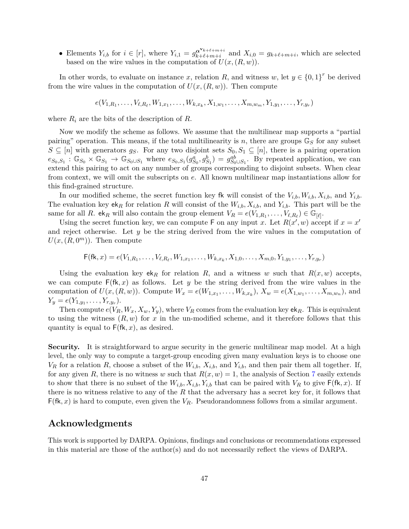• Elements  $Y_{i,b}$  for  $i \in [r]$ , where  $Y_{i,1} = g_{k+\ell+m+i}^{\alpha^{V_k+\ell+m+i}}$  $\alpha^{k+1}$ <sup>k+ $\ell+m+1$ </sup>
and  $X_{i,0} = g_{k+\ell+m+i}$ , which are selected based on the wire values in the computation of  $U(x,(R, w))$ .

In other words, to evaluate on instance *x*, relation *R*, and witness *w*, let  $y \in \{0,1\}^r$  be derived from the wire values in the computation of  $U(x,(R,w))$ . Then compute

$$
e(V_{1,R_1},\ldots,V_{\ell,R_\ell},W_{1,x_1},\ldots,W_{k,x_k},X_{1,w_1},\ldots,X_{m,w_m},Y_{1,y_1},\ldots,Y_{r,y_r})
$$

where *R<sup>i</sup>* are the bits of the description of *R*.

Now we modify the scheme as follows. We assume that the multilinear map supports a "partial pairing" operation. This means, if the total multilinearity is *n*, there are groups  $\mathbb{G}_S$  for any subset *S* ⊆ [*n*] with generators *g<sub>S</sub>*. For any two disjoint sets  $S_0, S_1$  ⊆ [*n*], there is a pairing operation  $e_{S_0,S_1}: \mathbb{G}_{S_0} \times \mathbb{G}_{S_1} \to \mathbb{G}_{S_0 \cup S_1}$  where  $e_{S_0,S_1}(g_{S_0}^a, g_{S_1}^b) = g_{S_0 \cup S_1}^{ab}$ . By repeated application, we can extend this pairing to act on any number of groups corresponding to disjoint subsets. When clear from context, we will omit the subscripts on *e*. All known multilinear map instantiations allow for this find-grained structure.

In our modified scheme, the secret function key fk will consist of the  $V_{i,b}, W_{i,b}, X_{i,b}$ , and  $Y_{i,b}$ . The evaluation key  $ek_R$  for relation R will consist of the  $W_{i,b}$ ,  $X_{i,b}$ , and  $Y_{i,b}$ . This part will be the same for all *R*. ek<sub>*R*</sub> will also contain the group element  $V_R = e(V_{1,R_1}, \ldots, V_{\ell,R_\ell}) \in \mathbb{G}_{[\ell]}$ .

Using the secret function key, we can compute F on any input *x*. Let  $R(x', w)$  accept if  $x = x'$ and reject otherwise. Let *y* be the string derived from the wire values in the computation of  $U(x, (R, 0<sup>m</sup>))$ . Then compute

$$
\mathsf{F}(\mathsf{fk}, x) = e(V_{1,R_1}, \ldots, V_{\ell,R_{\ell}}, W_{1,x_1}, \ldots, W_{k,x_k}, X_{1,0}, \ldots, X_{m,0}, Y_{1,y_1}, \ldots, Y_{r,y_r})
$$

Using the evaluation key  $ek_R$  for relation R, and a witness w such that  $R(x, w)$  accepts, we can compute  $F(fk, x)$  as follows. Let *y* be the string derived from the wire values in the computation of  $U(x, (R, w))$ . Compute  $W_x = e(W_{1,x_1}, \ldots, W_{k,x_k}), X_w = e(X_{1,w_1}, \ldots, X_{m,w_n}),$  and  $Y_y = e(Y_{1,y_1}, \ldots, Y_{r,y_r}).$ 

Then compute  $e(V_R, W_x, X_w, Y_y)$ , where  $V_R$  comes from the evaluation key  $ek_R$ . This is equivalent to using the witness  $(R, w)$  for x in the un-modified scheme, and it therefore follows that this quantity is equal to F(fk*, x*), as desired.

**Security.** It is straightforward to argue security in the generic multilinear map model. At a high level, the only way to compute a target-group encoding given many evaluation keys is to choose one  $V_R$  for a relation *R*, choose a subset of the  $W_{i,b}$ ,  $X_{i,b}$ , and  $Y_{i,b}$ , and then pair them all together. If, for any given *R*, there is no witness *w* such that  $R(x, w) = 1$ , the analysis of Section [7](#page-41-0) easily extends to show that there is no subset of the  $W_{i,b}$ ,  $X_{i,b}$ ,  $Y_{i,b}$  that can be paired with  $V_R$  to give  $\mathsf{F}(\mathsf{fk}, x)$ . If there is no witness relative to any of the *R* that the adversary has a secret key for, it follows that  $F(fk, x)$  is hard to compute, even given the  $V_R$ . Pseudorandomness follows from a similar argument.

## **Acknowledgments**

This work is supported by DARPA. Opinions, findings and conclusions or recommendations expressed in this material are those of the author(s) and do not necessarily reflect the views of DARPA.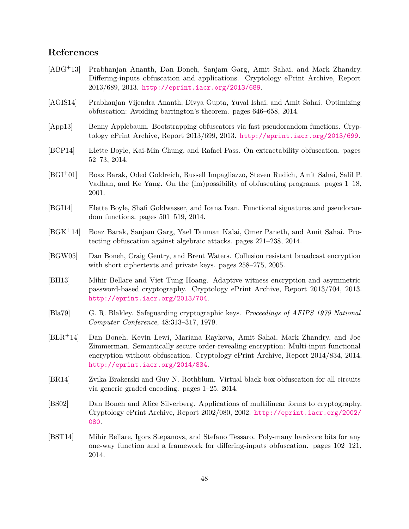## **References**

- <span id="page-47-1"></span>[ABG+13] Prabhanjan Ananth, Dan Boneh, Sanjam Garg, Amit Sahai, and Mark Zhandry. Differing-inputs obfuscation and applications. Cryptology ePrint Archive, Report 2013/689, 2013. <http://eprint.iacr.org/2013/689>.
- <span id="page-47-4"></span>[AGIS14] Prabhanjan Vijendra Ananth, Divya Gupta, Yuval Ishai, and Amit Sahai. Optimizing obfuscation: Avoiding barrington's theorem. pages 646–658, 2014.
- <span id="page-47-6"></span>[App13] Benny Applebaum. Bootstrapping obfuscators via fast pseudorandom functions. Cryptology ePrint Archive, Report 2013/699, 2013. <http://eprint.iacr.org/2013/699>.
- <span id="page-47-0"></span>[BCP14] Elette Boyle, Kai-Min Chung, and Rafael Pass. On extractability obfuscation. pages 52–73, 2014.
- <span id="page-47-9"></span>[BGI+01] Boaz Barak, Oded Goldreich, Russell Impagliazzo, Steven Rudich, Amit Sahai, Salil P. Vadhan, and Ke Yang. On the (im)possibility of obfuscating programs. pages 1–18, 2001.
- <span id="page-47-7"></span>[BGI14] Elette Boyle, Shafi Goldwasser, and Ioana Ivan. Functional signatures and pseudorandom functions. pages 501–519, 2014.
- <span id="page-47-3"></span>[BGK+14] Boaz Barak, Sanjam Garg, Yael Tauman Kalai, Omer Paneth, and Amit Sahai. Protecting obfuscation against algebraic attacks. pages 221–238, 2014.
- <span id="page-47-10"></span>[BGW05] Dan Boneh, Craig Gentry, and Brent Waters. Collusion resistant broadcast encryption with short ciphertexts and private keys. pages 258–275, 2005.
- <span id="page-47-13"></span>[BH13] Mihir Bellare and Viet Tung Hoang. Adaptive witness encryption and asymmetric password-based cryptography. Cryptology ePrint Archive, Report 2013/704, 2013. <http://eprint.iacr.org/2013/704>.
- <span id="page-47-12"></span>[Bla79] G. R. Blakley. Safeguarding cryptographic keys. *Proceedings of AFIPS 1979 National Computer Conference*, 48:313–317, 1979.
- <span id="page-47-11"></span>[BLR+14] Dan Boneh, Kevin Lewi, Mariana Raykova, Amit Sahai, Mark Zhandry, and Joe Zimmerman. Semantically secure order-revealing encryption: Multi-input functional encryption without obfuscation. Cryptology ePrint Archive, Report 2014/834, 2014. <http://eprint.iacr.org/2014/834>.
- <span id="page-47-2"></span>[BR14] Zvika Brakerski and Guy N. Rothblum. Virtual black-box obfuscation for all circuits via generic graded encoding. pages 1–25, 2014.
- <span id="page-47-5"></span>[BS02] Dan Boneh and Alice Silverberg. Applications of multilinear forms to cryptography. Cryptology ePrint Archive, Report 2002/080, 2002. [http://eprint.iacr.org/2002/](http://eprint.iacr.org/2002/080) [080](http://eprint.iacr.org/2002/080).
- <span id="page-47-8"></span>[BST14] Mihir Bellare, Igors Stepanovs, and Stefano Tessaro. Poly-many hardcore bits for any one-way function and a framework for differing-inputs obfuscation. pages 102–121, 2014.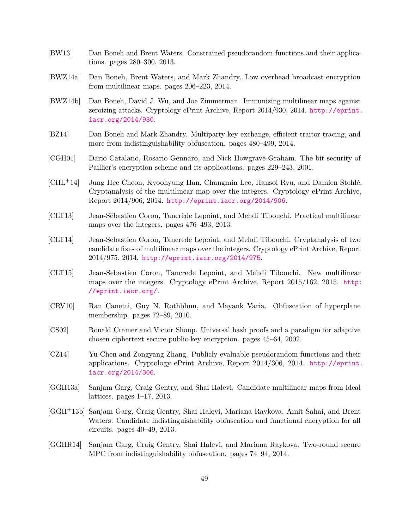- <span id="page-48-8"></span>[BW13] Dan Boneh and Brent Waters. Constrained pseudorandom functions and their applications. pages 280–300, 2013.
- <span id="page-48-14"></span>[BWZ14a] Dan Boneh, Brent Waters, and Mark Zhandry. Low overhead broadcast encryption from multilinear maps. pages 206–223, 2014.
- <span id="page-48-4"></span>[BWZ14b] Dan Boneh, David J. Wu, and Joe Zimmerman. Immunizing multilinear maps against zeroizing attacks. Cryptology ePrint Archive, Report 2014/930, 2014. [http://eprint.](http://eprint.iacr.org/2014/930) [iacr.org/2014/930](http://eprint.iacr.org/2014/930).
- <span id="page-48-1"></span>[BZ14] Dan Boneh and Mark Zhandry. Multiparty key exchange, efficient traitor tracing, and more from indistinguishability obfuscation. pages 480–499, 2014.
- <span id="page-48-13"></span>[CGH01] Dario Catalano, Rosario Gennaro, and Nick Howgrave-Graham. The bit security of Paillier's encryption scheme and its applications. pages 229–243, 2001.
- <span id="page-48-3"></span>[CHL+14] Jung Hee Cheon, Kyoohyung Han, Changmin Lee, Hansol Ryu, and Damien Stehlé. Cryptanalysis of the multilinear map over the integers. Cryptology ePrint Archive, Report 2014/906, 2014. <http://eprint.iacr.org/2014/906>.
- <span id="page-48-12"></span>[CLT13] Jean-Sébastien Coron, Tancrède Lepoint, and Mehdi Tibouchi. Practical multilinear maps over the integers. pages 476–493, 2013.
- <span id="page-48-5"></span>[CLT14] Jean-Sebastien Coron, Tancrede Lepoint, and Mehdi Tibouchi. Cryptanalysis of two candidate fixes of multilinear maps over the integers. Cryptology ePrint Archive, Report 2014/975, 2014. <http://eprint.iacr.org/2014/975>.
- <span id="page-48-6"></span>[CLT15] Jean-Sebastien Coron, Tancrede Lepoint, and Mehdi Tibouchi. New multilinear maps over the integers. Cryptology ePrint Archive, Report 2015/162, 2015. [http:](http://eprint.iacr.org/) [//eprint.iacr.org/](http://eprint.iacr.org/).
- <span id="page-48-9"></span>[CRV10] Ran Canetti, Guy N. Rothblum, and Mayank Varia. Obfuscation of hyperplane membership. pages 72–89, 2010.
- <span id="page-48-10"></span>[CS02] Ronald Cramer and Victor Shoup. Universal hash proofs and a paradigm for adaptive chosen ciphertext secure public-key encryption. pages 45–64, 2002.
- <span id="page-48-11"></span>[CZ14] Yu Chen and Zongyang Zhang. Publicly evaluable pseudorandom functions and their applications. Cryptology ePrint Archive, Report 2014/306, 2014. [http://eprint.](http://eprint.iacr.org/2014/306) [iacr.org/2014/306](http://eprint.iacr.org/2014/306).
- <span id="page-48-7"></span>[GGH13a] Sanjam Garg, Craig Gentry, and Shai Halevi. Candidate multilinear maps from ideal lattices. pages 1–17, 2013.
- <span id="page-48-0"></span>[GGH+13b] Sanjam Garg, Craig Gentry, Shai Halevi, Mariana Raykova, Amit Sahai, and Brent Waters. Candidate indistinguishability obfuscation and functional encryption for all circuits. pages 40–49, 2013.
- <span id="page-48-2"></span>[GGHR14] Sanjam Garg, Craig Gentry, Shai Halevi, and Mariana Raykova. Two-round secure MPC from indistinguishability obfuscation. pages 74–94, 2014.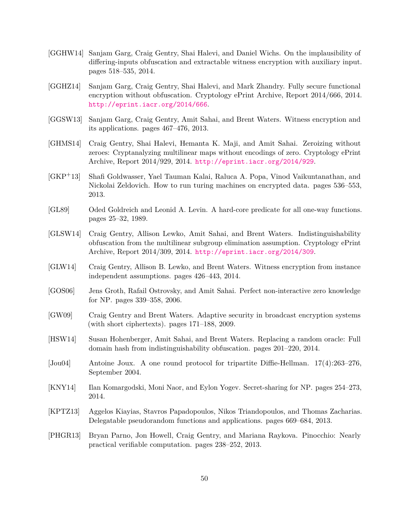- <span id="page-49-9"></span>[GGHW14] Sanjam Garg, Craig Gentry, Shai Halevi, and Daniel Wichs. On the implausibility of differing-inputs obfuscation and extractable witness encryption with auxiliary input. pages 518–535, 2014.
- <span id="page-49-7"></span>[GGHZ14] Sanjam Garg, Craig Gentry, Shai Halevi, and Mark Zhandry. Fully secure functional encryption without obfuscation. Cryptology ePrint Archive, Report 2014/666, 2014. <http://eprint.iacr.org/2014/666>.
- <span id="page-49-4"></span>[GGSW13] Sanjam Garg, Craig Gentry, Amit Sahai, and Brent Waters. Witness encryption and its applications. pages 467–476, 2013.
- <span id="page-49-3"></span>[GHMS14] Craig Gentry, Shai Halevi, Hemanta K. Maji, and Amit Sahai. Zeroizing without zeroes: Cryptanalyzing multilinear maps without encodings of zero. Cryptology ePrint Archive, Report 2014/929, 2014. <http://eprint.iacr.org/2014/929>.
- <span id="page-49-8"></span>[GKP+13] Shafi Goldwasser, Yael Tauman Kalai, Raluca A. Popa, Vinod Vaikuntanathan, and Nickolai Zeldovich. How to run turing machines on encrypted data. pages 536–553, 2013.
- <span id="page-49-11"></span>[GL89] Oded Goldreich and Leonid A. Levin. A hard-core predicate for all one-way functions. pages 25–32, 1989.
- <span id="page-49-2"></span>[GLSW14] Craig Gentry, Allison Lewko, Amit Sahai, and Brent Waters. Indistinguishability obfuscation from the multilinear subgroup elimination assumption. Cryptology ePrint Archive, Report 2014/309, 2014. <http://eprint.iacr.org/2014/309>.
- <span id="page-49-6"></span>[GLW14] Craig Gentry, Allison B. Lewko, and Brent Waters. Witness encryption from instance independent assumptions. pages 426–443, 2014.
- <span id="page-49-13"></span>[GOS06] Jens Groth, Rafail Ostrovsky, and Amit Sahai. Perfect non-interactive zero knowledge for NP. pages 339–358, 2006.
- <span id="page-49-12"></span>[GW09] Craig Gentry and Brent Waters. Adaptive security in broadcast encryption systems (with short ciphertexts). pages 171–188, 2009.
- <span id="page-49-0"></span>[HSW14] Susan Hohenberger, Amit Sahai, and Brent Waters. Replacing a random oracle: Full domain hash from indistinguishability obfuscation. pages 201–220, 2014.
- <span id="page-49-10"></span>[Jou04] Antoine Joux. A one round protocol for tripartite Diffie-Hellman. 17(4):263–276, September 2004.
- <span id="page-49-1"></span>[KNY14] Ilan Komargodski, Moni Naor, and Eylon Yogev. Secret-sharing for NP. pages 254–273, 2014.
- <span id="page-49-5"></span>[KPTZ13] Aggelos Kiayias, Stavros Papadopoulos, Nikos Triandopoulos, and Thomas Zacharias. Delegatable pseudorandom functions and applications. pages 669–684, 2013.
- <span id="page-49-14"></span>[PHGR13] Bryan Parno, Jon Howell, Craig Gentry, and Mariana Raykova. Pinocchio: Nearly practical verifiable computation. pages 238–252, 2013.